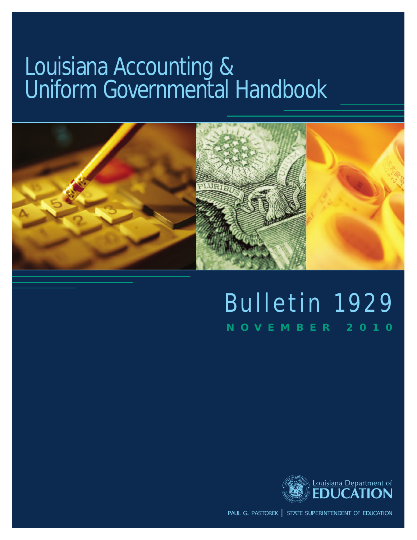# Louisiana Accounting & Uniform Governmental Handbook



## Bulletin 1929 NOVEMBER 2010



paul g. pastorek | state superintendent of education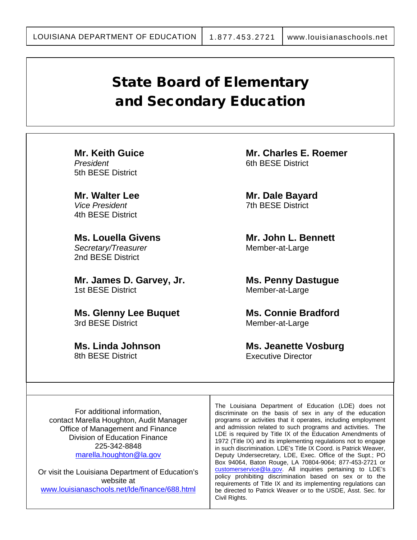### State Board of Elementary and Secondary Education

**Mr. Keith Guice** *President* 5th BESE District

**Mr. Walter Lee** *Vice President* 4th BESE District

**Ms. Louella Givens** *Secretary/Treasurer* 2nd BESE District

**Mr. James D. Garvey, Jr.** 1st BESE District

**Ms. Glenny Lee Buquet** 3rd BESE District

**Ms. Linda Johnson** 8th BESE District

**Mr. Charles E. Roemer** 6th BESE District

**Mr. Dale Bayard** 7th BESE District

**Mr. John L. Bennett** Member-at-Large

**Ms. Penny Dastugue** Member-at-Large

**Ms. Connie Bradford** Member-at-Large

**Ms. Jeanette Vosburg** Executive Director

For additional information, contact Marella Houghton, Audit Manager Office of Management and Finance Division of Education Finance 225-342-8848 [marella.houghton@la.gov](mailto:marella.houghton@la.gov)

Or visit the Louisiana Department of Education's website at [www.louisianaschools.net/lde/finance/688.html](http://www.louisianaschools.net/lde/finance/688.html)

The Louisiana Department of Education (LDE) does not discriminate on the basis of sex in any of the education programs or activities that it operates, including employment and admission related to such programs and activities. The LDE is required by Title IX of the Education Amendments of 1972 (Title IX) and its implementing regulations not to engage in such discrimination. LDE's Title IX Coord. is Patrick Weaver, Deputy Undersecretary, LDE, Exec. Office of the Supt.; PO Box 94064, Baton Rouge, LA 70804-9064; 877-453-2721 or [customerservice@la.gov.](mailto:customerservice@la.gov) All inquiries pertaining to LDE's policy prohibiting discrimination based on sex or to the requirements of Title IX and its implementing regulations can be directed to Patrick Weaver or to the USDE, Asst. Sec. for Civil Rights.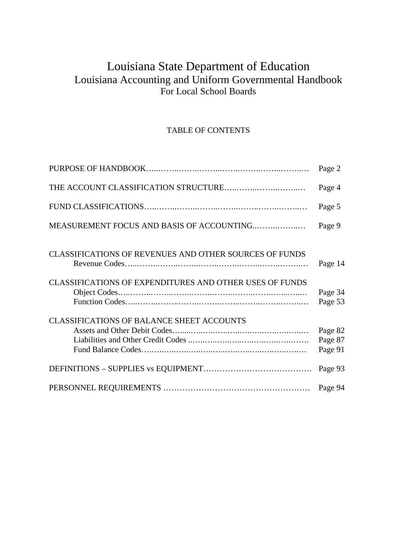### Louisiana State Department of Education Louisiana Accounting and Uniform Governmental Handbook For Local School Boards

#### TABLE OF CONTENTS

|                                                               | Page 2                        |
|---------------------------------------------------------------|-------------------------------|
|                                                               | Page 4                        |
|                                                               | Page 5                        |
| MEASUREMENT FOCUS AND BASIS OF ACCOUNTING                     | Page 9                        |
| <b>CLASSIFICATIONS OF REVENUES AND OTHER SOURCES OF FUNDS</b> | Page 14                       |
| CLASSIFICATIONS OF EXPENDITURES AND OTHER USES OF FUNDS       | Page 34<br>Page 53            |
| <b>CLASSIFICATIONS OF BALANCE SHEET ACCOUNTS</b>              | Page 82<br>Page 87<br>Page 91 |
|                                                               | Page 93                       |
|                                                               | Page 94                       |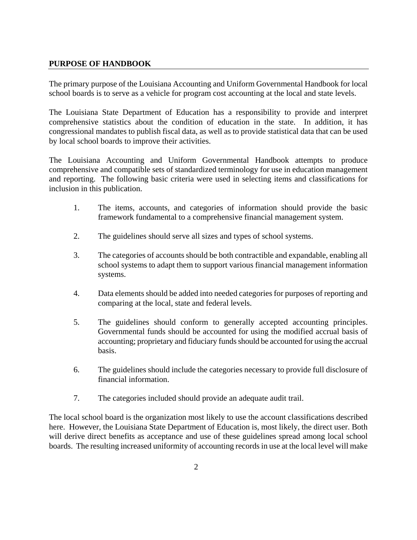#### **PURPOSE OF HANDBOOK**

The primary purpose of the Louisiana Accounting and Uniform Governmental Handbook for local school boards is to serve as a vehicle for program cost accounting at the local and state levels.

The Louisiana State Department of Education has a responsibility to provide and interpret comprehensive statistics about the condition of education in the state. In addition, it has congressional mandates to publish fiscal data, as well as to provide statistical data that can be used by local school boards to improve their activities.

The Louisiana Accounting and Uniform Governmental Handbook attempts to produce comprehensive and compatible sets of standardized terminology for use in education management and reporting. The following basic criteria were used in selecting items and classifications for inclusion in this publication.

- 1. The items, accounts, and categories of information should provide the basic framework fundamental to a comprehensive financial management system.
- 2. The guidelines should serve all sizes and types of school systems.
- 3. The categories of accounts should be both contractible and expandable, enabling all school systems to adapt them to support various financial management information systems.
- 4. Data elements should be added into needed categories for purposes of reporting and comparing at the local, state and federal levels.
- 5. The guidelines should conform to generally accepted accounting principles. Governmental funds should be accounted for using the modified accrual basis of accounting; proprietary and fiduciary funds should be accounted for using the accrual basis.
- 6. The guidelines should include the categories necessary to provide full disclosure of financial information.
- 7. The categories included should provide an adequate audit trail.

The local school board is the organization most likely to use the account classifications described here. However, the Louisiana State Department of Education is, most likely, the direct user. Both will derive direct benefits as acceptance and use of these guidelines spread among local school boards. The resulting increased uniformity of accounting records in use at the local level will make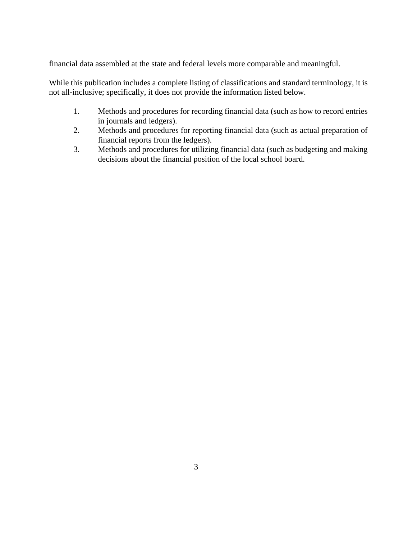financial data assembled at the state and federal levels more comparable and meaningful.

While this publication includes a complete listing of classifications and standard terminology, it is not all-inclusive; specifically, it does not provide the information listed below.

- 1. Methods and procedures for recording financial data (such as how to record entries in journals and ledgers).
- 2. Methods and procedures for reporting financial data (such as actual preparation of financial reports from the ledgers).
- 3. Methods and procedures for utilizing financial data (such as budgeting and making decisions about the financial position of the local school board.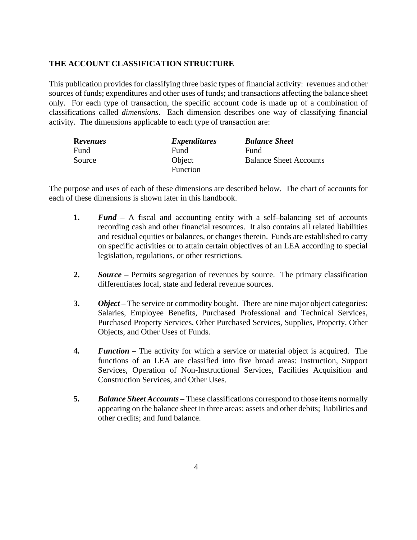#### **THE ACCOUNT CLASSIFICATION STRUCTURE**

This publication provides for classifying three basic types of financial activity: revenues and other sources of funds; expenditures and other uses of funds; and transactions affecting the balance sheet only. For each type of transaction, the specific account code is made up of a combination of classifications called *dimensions*. Each dimension describes one way of classifying financial activity. The dimensions applicable to each type of transaction are:

| <b>Revenues</b> | <i>Expenditures</i> | <b>Balance Sheet</b>          |
|-----------------|---------------------|-------------------------------|
| Fund            | Fund                | Fund                          |
| Source          | Object              | <b>Balance Sheet Accounts</b> |
|                 | <b>Function</b>     |                               |

The purpose and uses of each of these dimensions are described below. The chart of accounts for each of these dimensions is shown later in this handbook.

- **1.** *Fund* A fiscal and accounting entity with a self–balancing set of accounts recording cash and other financial resources. It also contains all related liabilities and residual equities or balances, or changes therein. Funds are established to carry on specific activities or to attain certain objectives of an LEA according to special legislation, regulations, or other restrictions.
- **2.** *Source* Permits segregation of revenues by source. The primary classification differentiates local, state and federal revenue sources.
- **3.** *Object* The service or commodity bought. There are nine major object categories: Salaries, Employee Benefits, Purchased Professional and Technical Services, Purchased Property Services, Other Purchased Services, Supplies, Property, Other Objects, and Other Uses of Funds.
- **4.** *Function* The activity for which a service or material object is acquired. The functions of an LEA are classified into five broad areas: Instruction, Support Services, Operation of Non-Instructional Services, Facilities Acquisition and Construction Services, and Other Uses.
- **5.** *Balance Sheet Accounts* These classifications correspond to those items normally appearing on the balance sheet in three areas: assets and other debits; liabilities and other credits; and fund balance.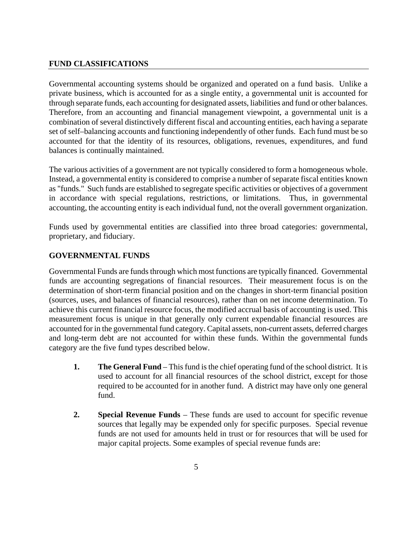#### **FUND CLASSIFICATIONS**

Governmental accounting systems should be organized and operated on a fund basis. Unlike a private business, which is accounted for as a single entity, a governmental unit is accounted for through separate funds, each accounting for designated assets, liabilities and fund or other balances. Therefore, from an accounting and financial management viewpoint, a governmental unit is a combination of several distinctively different fiscal and accounting entities, each having a separate set of self–balancing accounts and functioning independently of other funds. Each fund must be so accounted for that the identity of its resources, obligations, revenues, expenditures, and fund balances is continually maintained.

The various activities of a government are not typically considered to form a homogeneous whole. Instead, a governmental entity is considered to comprise a number of separate fiscal entities known as "funds." Such funds are established to segregate specific activities or objectives of a government in accordance with special regulations, restrictions, or limitations. Thus, in governmental accounting, the accounting entity is each individual fund, not the overall government organization.

Funds used by governmental entities are classified into three broad categories: governmental, proprietary, and fiduciary.

#### **GOVERNMENTAL FUNDS**

Governmental Funds are funds through which most functions are typically financed. Governmental funds are accounting segregations of financial resources. Their measurement focus is on the determination of short-term financial position and on the changes in short-term financial position (sources, uses, and balances of financial resources), rather than on net income determination. To achieve this current financial resource focus, the modified accrual basis of accounting is used. This measurement focus is unique in that generally only current expendable financial resources are accounted for in the governmental fund category. Capital assets, non-current assets, deferred charges and long-term debt are not accounted for within these funds. Within the governmental funds category are the five fund types described below.

- **1. The General Fund** This fund is the chief operating fund of the school district. It is used to account for all financial resources of the school district, except for those required to be accounted for in another fund. A district may have only one general fund.
- **2. Special Revenue Funds** These funds are used to account for specific revenue sources that legally may be expended only for specific purposes. Special revenue funds are not used for amounts held in trust or for resources that will be used for major capital projects. Some examples of special revenue funds are: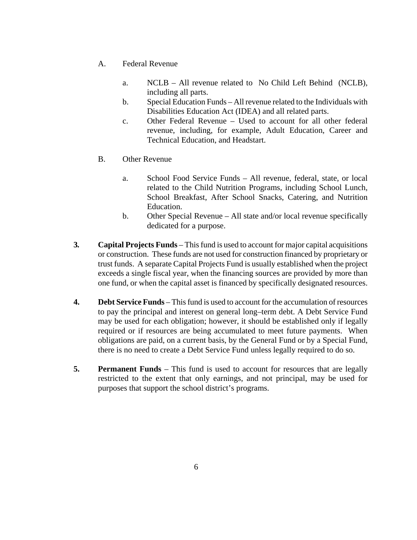- A. Federal Revenue
	- a. NCLB All revenue related to No Child Left Behind (NCLB), including all parts.
	- b. Special Education Funds All revenue related to the Individuals with Disabilities Education Act (IDEA) and all related parts.
	- c. Other Federal Revenue Used to account for all other federal revenue, including, for example, Adult Education, Career and Technical Education, and Headstart.
- B. Other Revenue
	- a. School Food Service Funds All revenue, federal, state, or local related to the Child Nutrition Programs, including School Lunch, School Breakfast, After School Snacks, Catering, and Nutrition Education.
	- b. Other Special Revenue All state and/or local revenue specifically dedicated for a purpose.
- **3***.* **Capital Projects Funds** This fund is used to account for major capital acquisitions or construction. These funds are not used for construction financed by proprietary or trust funds. A separate Capital Projects Fund is usually established when the project exceeds a single fiscal year, when the financing sources are provided by more than one fund, or when the capital asset is financed by specifically designated resources.
- **4. Debt Service Funds**  This fund is used to account for the accumulation of resources to pay the principal and interest on general long–term debt. A Debt Service Fund may be used for each obligation; however, it should be established only if legally required or if resources are being accumulated to meet future payments. When obligations are paid, on a current basis, by the General Fund or by a Special Fund, there is no need to create a Debt Service Fund unless legally required to do so.
- **5. Permanent Funds**  This fund is used to account for resources that are legally restricted to the extent that only earnings, and not principal, may be used for purposes that support the school district's programs.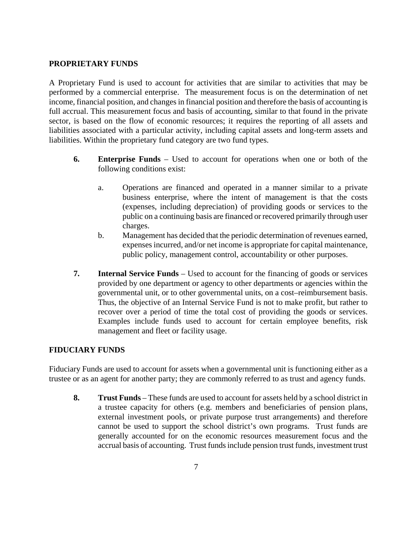#### **PROPRIETARY FUNDS**

A Proprietary Fund is used to account for activities that are similar to activities that may be performed by a commercial enterprise. The measurement focus is on the determination of net income, financial position, and changes in financial position and therefore the basis of accounting is full accrual. This measurement focus and basis of accounting, similar to that found in the private sector, is based on the flow of economic resources; it requires the reporting of all assets and liabilities associated with a particular activity, including capital assets and long-term assets and liabilities. Within the proprietary fund category are two fund types.

- **6. Enterprise Funds** Used to account for operations when one or both of the following conditions exist:
	- a. Operations are financed and operated in a manner similar to a private business enterprise, where the intent of management is that the costs (expenses, including depreciation) of providing goods or services to the public on a continuing basis are financed or recovered primarily through user charges.
	- b. Management has decided that the periodic determination of revenues earned, expenses incurred, and/or net income is appropriate for capital maintenance, public policy, management control, accountability or other purposes.
- **7. Internal Service Funds** Used to account for the financing of goods or services provided by one department or agency to other departments or agencies within the governmental unit, or to other governmental units, on a cost–reimbursement basis. Thus, the objective of an Internal Service Fund is not to make profit, but rather to recover over a period of time the total cost of providing the goods or services. Examples include funds used to account for certain employee benefits, risk management and fleet or facility usage.

#### **FIDUCIARY FUNDS**

Fiduciary Funds are used to account for assets when a governmental unit is functioning either as a trustee or as an agent for another party; they are commonly referred to as trust and agency funds.

**8. Trust Funds** – These funds are used to account for assets held by a school district in a trustee capacity for others (e.g. members and beneficiaries of pension plans, external investment pools, or private purpose trust arrangements) and therefore cannot be used to support the school district's own programs. Trust funds are generally accounted for on the economic resources measurement focus and the accrual basis of accounting. Trust funds include pension trust funds, investment trust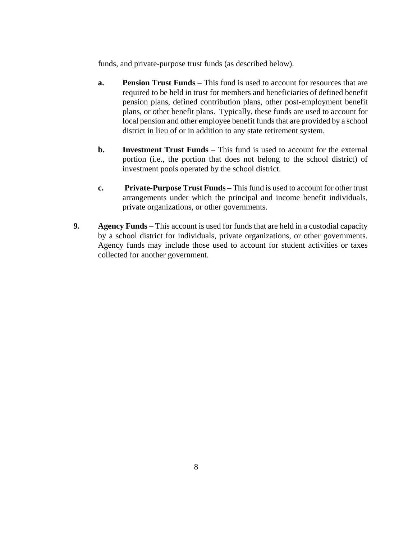funds, and private-purpose trust funds (as described below).

- **a. Pension Trust Funds**  This fund is used to account for resources that are required to be held in trust for members and beneficiaries of defined benefit pension plans, defined contribution plans, other post-employment benefit plans, or other benefit plans. Typically, these funds are used to account for local pension and other employee benefit funds that are provided by a school district in lieu of or in addition to any state retirement system.
- **b. Investment Trust Funds** This fund is used to account for the external portion (i.e., the portion that does not belong to the school district) of investment pools operated by the school district.
- **c. Private-Purpose Trust Funds** This fund is used to account for other trust arrangements under which the principal and income benefit individuals, private organizations, or other governments.
- **9. Agency Funds**  This account is used for funds that are held in a custodial capacity by a school district for individuals, private organizations, or other governments. Agency funds may include those used to account for student activities or taxes collected for another government.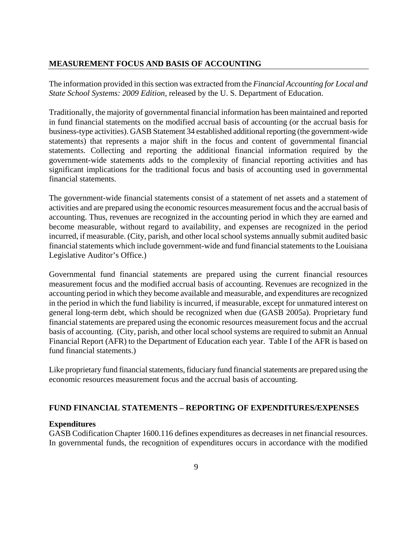#### **MEASUREMENT FOCUS AND BASIS OF ACCOUNTING**

The information provided in this section was extracted from the *Financial Accounting for Local and State School Systems: 2009 Edition,* released by the U. S. Department of Education.

Traditionally, the majority of governmental financial information has been maintained and reported in fund financial statements on the modified accrual basis of accounting (or the accrual basis for business-type activities). GASB Statement 34 established additional reporting (the government-wide statements) that represents a major shift in the focus and content of governmental financial statements. Collecting and reporting the additional financial information required by the government-wide statements adds to the complexity of financial reporting activities and has significant implications for the traditional focus and basis of accounting used in governmental financial statements.

The government-wide financial statements consist of a statement of net assets and a statement of activities and are prepared using the economic resources measurement focus and the accrual basis of accounting. Thus, revenues are recognized in the accounting period in which they are earned and become measurable, without regard to availability, and expenses are recognized in the period incurred, if measurable. (City, parish, and other local school systems annually submit audited basic financial statements which include government-wide and fund financial statements to the Louisiana Legislative Auditor's Office.)

Governmental fund financial statements are prepared using the current financial resources measurement focus and the modified accrual basis of accounting. Revenues are recognized in the accounting period in which they become available and measurable, and expenditures are recognized in the period in which the fund liability is incurred, if measurable, except for unmatured interest on general long-term debt, which should be recognized when due (GASB 2005a). Proprietary fund financial statements are prepared using the economic resources measurement focus and the accrual basis of accounting. (City, parish, and other local school systems are required to submit an Annual Financial Report (AFR) to the Department of Education each year. Table I of the AFR is based on fund financial statements.)

Like proprietary fund financial statements, fiduciary fund financial statements are prepared using the economic resources measurement focus and the accrual basis of accounting.

#### **FUND FINANCIAL STATEMENTS – REPORTING OF EXPENDITURES/EXPENSES**

#### **Expenditures**

GASB Codification Chapter 1600.116 defines expenditures as decreases in net financial resources. In governmental funds, the recognition of expenditures occurs in accordance with the modified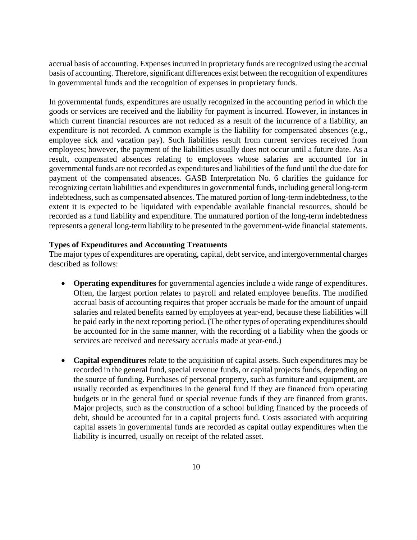accrual basis of accounting. Expenses incurred in proprietary funds are recognized using the accrual basis of accounting. Therefore, significant differences exist between the recognition of expenditures in governmental funds and the recognition of expenses in proprietary funds.

In governmental funds, expenditures are usually recognized in the accounting period in which the goods or services are received and the liability for payment is incurred. However, in instances in which current financial resources are not reduced as a result of the incurrence of a liability, an expenditure is not recorded. A common example is the liability for compensated absences (e.g., employee sick and vacation pay). Such liabilities result from current services received from employees; however, the payment of the liabilities usually does not occur until a future date. As a result, compensated absences relating to employees whose salaries are accounted for in governmental funds are not recorded as expenditures and liabilities of the fund until the due date for payment of the compensated absences. GASB Interpretation No. 6 clarifies the guidance for recognizing certain liabilities and expenditures in governmental funds, including general long-term indebtedness, such as compensated absences. The matured portion of long-term indebtedness, to the extent it is expected to be liquidated with expendable available financial resources, should be recorded as a fund liability and expenditure. The unmatured portion of the long-term indebtedness represents a general long-term liability to be presented in the government-wide financial statements.

#### **Types of Expenditures and Accounting Treatments**

The major types of expenditures are operating, capital, debt service, and intergovernmental charges described as follows:

- **Operating expenditures** for governmental agencies include a wide range of expenditures. Often, the largest portion relates to payroll and related employee benefits. The modified accrual basis of accounting requires that proper accruals be made for the amount of unpaid salaries and related benefits earned by employees at year-end, because these liabilities will be paid early in the next reporting period. (The other types of operating expenditures should be accounted for in the same manner, with the recording of a liability when the goods or services are received and necessary accruals made at year-end.)
- **Capital expenditures** relate to the acquisition of capital assets. Such expenditures may be recorded in the general fund, special revenue funds, or capital projects funds, depending on the source of funding. Purchases of personal property, such as furniture and equipment, are usually recorded as expenditures in the general fund if they are financed from operating budgets or in the general fund or special revenue funds if they are financed from grants. Major projects, such as the construction of a school building financed by the proceeds of debt, should be accounted for in a capital projects fund. Costs associated with acquiring capital assets in governmental funds are recorded as capital outlay expenditures when the liability is incurred, usually on receipt of the related asset.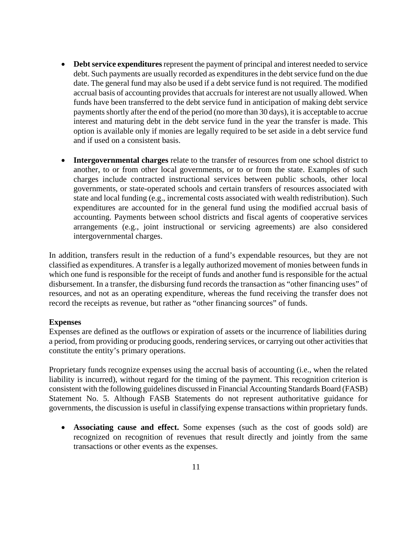- **Debt service expenditures** represent the payment of principal and interest needed to service debt. Such payments are usually recorded as expenditures in the debt service fund on the due date. The general fund may also be used if a debt service fund is not required. The modified accrual basis of accounting provides that accruals for interest are not usually allowed. When funds have been transferred to the debt service fund in anticipation of making debt service payments shortly after the end of the period (no more than 30 days), it is acceptable to accrue interest and maturing debt in the debt service fund in the year the transfer is made. This option is available only if monies are legally required to be set aside in a debt service fund and if used on a consistent basis.
- **Intergovernmental charges** relate to the transfer of resources from one school district to another, to or from other local governments, or to or from the state. Examples of such charges include contracted instructional services between public schools, other local governments, or state-operated schools and certain transfers of resources associated with state and local funding (e.g., incremental costs associated with wealth redistribution). Such expenditures are accounted for in the general fund using the modified accrual basis of accounting. Payments between school districts and fiscal agents of cooperative services arrangements (e.g., joint instructional or servicing agreements) are also considered intergovernmental charges.

In addition, transfers result in the reduction of a fund's expendable resources, but they are not classified as expenditures. A transfer is a legally authorized movement of monies between funds in which one fund is responsible for the receipt of funds and another fund is responsible for the actual disbursement. In a transfer, the disbursing fund records the transaction as "other financing uses" of resources, and not as an operating expenditure, whereas the fund receiving the transfer does not record the receipts as revenue, but rather as "other financing sources" of funds.

#### **Expenses**

Expenses are defined as the outflows or expiration of assets or the incurrence of liabilities during a period, from providing or producing goods, rendering services, or carrying out other activities that constitute the entity's primary operations.

Proprietary funds recognize expenses using the accrual basis of accounting (i.e., when the related liability is incurred), without regard for the timing of the payment. This recognition criterion is consistent with the following guidelines discussed in Financial Accounting Standards Board (FASB) Statement No. 5. Although FASB Statements do not represent authoritative guidance for governments, the discussion is useful in classifying expense transactions within proprietary funds.

• **Associating cause and effect.** Some expenses (such as the cost of goods sold) are recognized on recognition of revenues that result directly and jointly from the same transactions or other events as the expenses.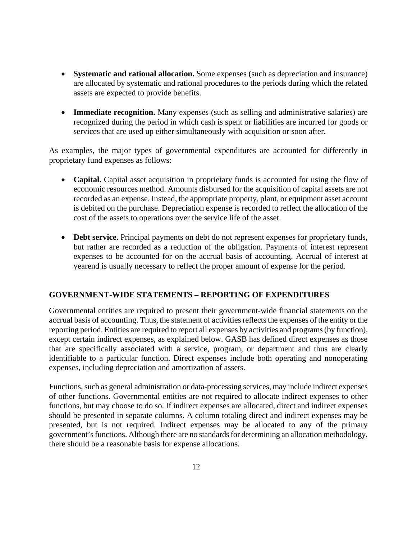- **Systematic and rational allocation.** Some expenses (such as depreciation and insurance) are allocated by systematic and rational procedures to the periods during which the related assets are expected to provide benefits.
- **Immediate recognition.** Many expenses (such as selling and administrative salaries) are recognized during the period in which cash is spent or liabilities are incurred for goods or services that are used up either simultaneously with acquisition or soon after.

As examples, the major types of governmental expenditures are accounted for differently in proprietary fund expenses as follows:

- **Capital.** Capital asset acquisition in proprietary funds is accounted for using the flow of economic resources method. Amounts disbursed for the acquisition of capital assets are not recorded as an expense. Instead, the appropriate property, plant, or equipment asset account is debited on the purchase. Depreciation expense is recorded to reflect the allocation of the cost of the assets to operations over the service life of the asset.
- **Debt service.** Principal payments on debt do not represent expenses for proprietary funds, but rather are recorded as a reduction of the obligation. Payments of interest represent expenses to be accounted for on the accrual basis of accounting. Accrual of interest at yearend is usually necessary to reflect the proper amount of expense for the period.

#### **GOVERNMENT-WIDE STATEMENTS – REPORTING OF EXPENDITURES**

Governmental entities are required to present their government-wide financial statements on the accrual basis of accounting. Thus, the statement of activities reflects the expenses of the entity or the reporting period. Entities are required to report all expenses by activities and programs (by function), except certain indirect expenses, as explained below. GASB has defined direct expenses as those that are specifically associated with a service, program, or department and thus are clearly identifiable to a particular function. Direct expenses include both operating and nonoperating expenses, including depreciation and amortization of assets.

Functions, such as general administration or data-processing services, may include indirect expenses of other functions. Governmental entities are not required to allocate indirect expenses to other functions, but may choose to do so. If indirect expenses are allocated, direct and indirect expenses should be presented in separate columns. A column totaling direct and indirect expenses may be presented, but is not required. Indirect expenses may be allocated to any of the primary government's functions. Although there are no standards for determining an allocation methodology, there should be a reasonable basis for expense allocations.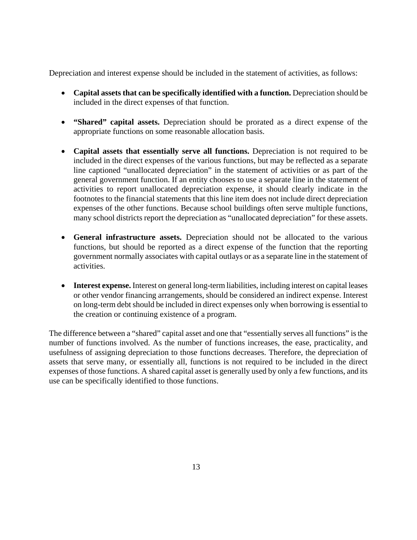Depreciation and interest expense should be included in the statement of activities, as follows:

- **Capital assets that can be specifically identified with a function.** Depreciation should be included in the direct expenses of that function.
- **"Shared" capital assets.** Depreciation should be prorated as a direct expense of the appropriate functions on some reasonable allocation basis.
- **Capital assets that essentially serve all functions.** Depreciation is not required to be included in the direct expenses of the various functions, but may be reflected as a separate line captioned "unallocated depreciation" in the statement of activities or as part of the general government function. If an entity chooses to use a separate line in the statement of activities to report unallocated depreciation expense, it should clearly indicate in the footnotes to the financial statements that this line item does not include direct depreciation expenses of the other functions. Because school buildings often serve multiple functions, many school districts report the depreciation as "unallocated depreciation" for these assets.
- **General infrastructure assets.** Depreciation should not be allocated to the various functions, but should be reported as a direct expense of the function that the reporting government normally associates with capital outlays or as a separate line in the statement of activities.
- **Interest expense.** Interest on general long-term liabilities, including interest on capital leases or other vendor financing arrangements, should be considered an indirect expense. Interest on long-term debt should be included in direct expenses only when borrowing is essential to the creation or continuing existence of a program.

The difference between a "shared" capital asset and one that "essentially serves all functions" is the number of functions involved. As the number of functions increases, the ease, practicality, and usefulness of assigning depreciation to those functions decreases. Therefore, the depreciation of assets that serve many, or essentially all, functions is not required to be included in the direct expenses of those functions. A shared capital asset is generally used by only a few functions, and its use can be specifically identified to those functions.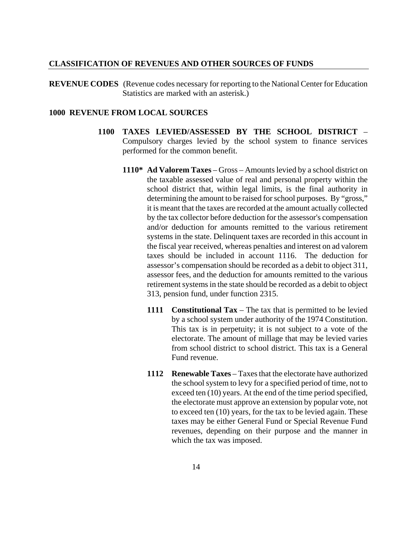#### **CLASSIFICATION OF REVENUES AND OTHER SOURCES OF FUNDS**

**REVENUE CODES** (Revenue codes necessary for reporting to the National Center for Education Statistics are marked with an asterisk.)

#### **1000 REVENUE FROM LOCAL SOURCES**

- **1100 TAXES LEVIED/ASSESSED BY THE SCHOOL DISTRICT** Compulsory charges levied by the school system to finance services performed for the common benefit.
	- **1110\* Ad Valorem Taxes** Gross Amounts levied by a school district on the taxable assessed value of real and personal property within the school district that, within legal limits, is the final authority in determining the amount to be raised for school purposes. By "gross," it is meant that the taxes are recorded at the amount actually collected by the tax collector before deduction for the assessor's compensation and/or deduction for amounts remitted to the various retirement systems in the state. Delinquent taxes are recorded in this account in the fiscal year received, whereas penalties and interest on ad valorem taxes should be included in account 1116. The deduction for assessor's compensation should be recorded as a debit to object 311, assessor fees, and the deduction for amounts remitted to the various retirement systems in the state should be recorded as a debit to object 313, pension fund, under function 2315.
		- **1111 Constitutional Tax** The tax that is permitted to be levied by a school system under authority of the 1974 Constitution. This tax is in perpetuity; it is not subject to a vote of the electorate. The amount of millage that may be levied varies from school district to school district. This tax is a General Fund revenue.
		- **1112 Renewable Taxes** Taxes that the electorate have authorized the school system to levy for a specified period of time, not to exceed ten (10) years. At the end of the time period specified, the electorate must approve an extension by popular vote, not to exceed ten (10) years, for the tax to be levied again. These taxes may be either General Fund or Special Revenue Fund revenues, depending on their purpose and the manner in which the tax was imposed.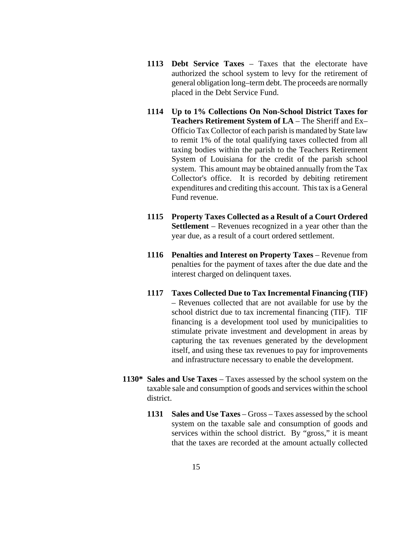- **1113 Debt Service Taxes** Taxes that the electorate have authorized the school system to levy for the retirement of general obligation long–term debt. The proceeds are normally placed in the Debt Service Fund.
- **1114 Up to 1% Collections On Non-School District Taxes for Teachers Retirement System of LA** – The Sheriff and Ex– Officio Tax Collector of each parish is mandated by State law to remit 1% of the total qualifying taxes collected from all taxing bodies within the parish to the Teachers Retirement System of Louisiana for the credit of the parish school system. This amount may be obtained annually from the Tax Collector's office. It is recorded by debiting retirement expenditures and crediting this account. This tax is a General Fund revenue.
- **1115 Property Taxes Collected as a Result of a Court Ordered Settlement** – Revenues recognized in a year other than the year due, as a result of a court ordered settlement.
- **1116** Penalties and Interest on Property Taxes Revenue from penalties for the payment of taxes after the due date and the interest charged on delinquent taxes.
- **1117 Taxes Collected Due to Tax Incremental Financing (TIF)** – Revenues collected that are not available for use by the school district due to tax incremental financing (TIF). TIF financing is a development tool used by municipalities to stimulate private investment and development in areas by capturing the tax revenues generated by the development itself, and using these tax revenues to pay for improvements and infrastructure necessary to enable the development.
- **1130\* Sales and Use Taxes** Taxes assessed by the school system on the taxable sale and consumption of goods and services within the school district.
	- **1131 Sales and Use Taxes**  Gross Taxes assessed by the school system on the taxable sale and consumption of goods and services within the school district. By "gross," it is meant that the taxes are recorded at the amount actually collected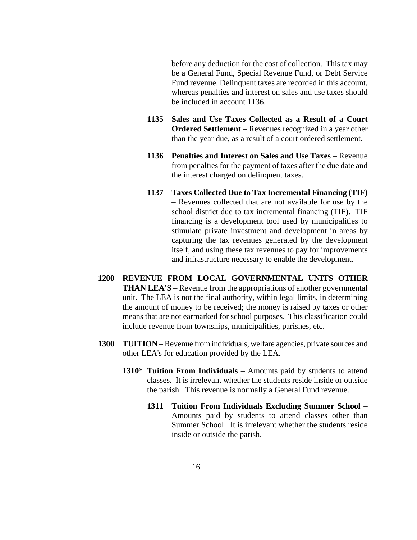before any deduction for the cost of collection. This tax may be a General Fund, Special Revenue Fund, or Debt Service Fund revenue. Delinquent taxes are recorded in this account, whereas penalties and interest on sales and use taxes should be included in account 1136.

- **1135 Sales and Use Taxes Collected as a Result of a Court Ordered Settlement** – Revenues recognized in a year other than the year due, as a result of a court ordered settlement.
- **1136 Penalties and Interest on Sales and Use Taxes**  Revenue from penalties for the payment of taxes after the due date and the interest charged on delinquent taxes.
- **1137 Taxes Collected Due to Tax Incremental Financing (TIF)**  – Revenues collected that are not available for use by the school district due to tax incremental financing (TIF). TIF financing is a development tool used by municipalities to stimulate private investment and development in areas by capturing the tax revenues generated by the development itself, and using these tax revenues to pay for improvements and infrastructure necessary to enable the development.
- **1200 REVENUE FROM LOCAL GOVERNMENTAL UNITS OTHER THAN LEA'S** – Revenue from the appropriations of another governmental unit. The LEA is not the final authority, within legal limits, in determining the amount of money to be received; the money is raised by taxes or other means that are not earmarked for school purposes. This classification could include revenue from townships, municipalities, parishes, etc.
- **1300 TUITION** Revenue from individuals, welfare agencies, private sources and other LEA's for education provided by the LEA.
	- **1310\* Tuition From Individuals** Amounts paid by students to attend classes. It is irrelevant whether the students reside inside or outside the parish. This revenue is normally a General Fund revenue.
		- **1311 Tuition From Individuals Excluding Summer School** Amounts paid by students to attend classes other than Summer School. It is irrelevant whether the students reside inside or outside the parish.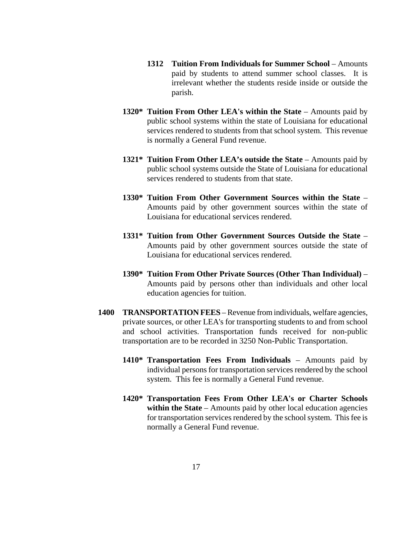- **1312 Tuition From Individuals for Summer School** Amounts paid by students to attend summer school classes. It is irrelevant whether the students reside inside or outside the parish.
- **1320\* Tuition From Other LEA's within the State** Amounts paid by public school systems within the state of Louisiana for educational services rendered to students from that school system. This revenue is normally a General Fund revenue.
- **1321\* Tuition From Other LEA's outside the State**  Amounts paid by public school systems outside the State of Louisiana for educational services rendered to students from that state.
- **1330\* Tuition From Other Government Sources within the State**  Amounts paid by other government sources within the state of Louisiana for educational services rendered.
- **1331\* Tuition from Other Government Sources Outside the State** Amounts paid by other government sources outside the state of Louisiana for educational services rendered.
- **1390\* Tuition From Other Private Sources (Other Than Individual)** Amounts paid by persons other than individuals and other local education agencies for tuition.
- **1400 TRANSPORTATION FEES** Revenue from individuals, welfare agencies, private sources, or other LEA's for transporting students to and from school and school activities. Transportation funds received for non-public transportation are to be recorded in 3250 Non-Public Transportation.
	- **1410\* Transportation Fees From Individuals** Amounts paid by individual persons for transportation services rendered by the school system. This fee is normally a General Fund revenue.
	- **1420\* Transportation Fees From Other LEA's or Charter Schools within the State** – Amounts paid by other local education agencies for transportation services rendered by the school system. This fee is normally a General Fund revenue.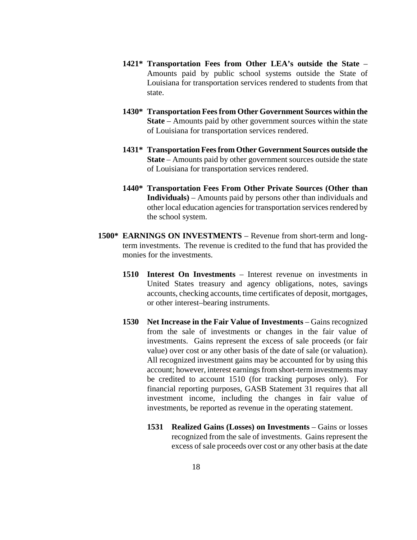- **1421\* Transportation Fees from Other LEA's outside the State** Amounts paid by public school systems outside the State of Louisiana for transportation services rendered to students from that state.
- **1430\* Transportation Fees from Other Government Sources within the State** – Amounts paid by other government sources within the state of Louisiana for transportation services rendered.
- **1431\* Transportation Fees from Other Government Sources outside the State** – Amounts paid by other government sources outside the state of Louisiana for transportation services rendered.
- **1440\* Transportation Fees From Other Private Sources (Other than Individuals)** – Amounts paid by persons other than individuals and other local education agencies for transportation services rendered by the school system.
- **1500\* EARNINGS ON INVESTMENTS** Revenue from short-term and longterm investments. The revenue is credited to the fund that has provided the monies for the investments.
	- **1510 Interest On Investments** Interest revenue on investments in United States treasury and agency obligations, notes, savings accounts, checking accounts, time certificates of deposit, mortgages, or other interest–bearing instruments.
	- **1530 Net Increase in the Fair Value of Investments**  Gains recognized from the sale of investments or changes in the fair value of investments. Gains represent the excess of sale proceeds (or fair value) over cost or any other basis of the date of sale (or valuation). All recognized investment gains may be accounted for by using this account; however, interest earnings from short-term investments may be credited to account 1510 (for tracking purposes only). For financial reporting purposes, GASB Statement 31 requires that all investment income, including the changes in fair value of investments, be reported as revenue in the operating statement.
		- **1531 Realized Gains (Losses) on Investments** Gains or losses recognized from the sale of investments. Gains represent the excess of sale proceeds over cost or any other basis at the date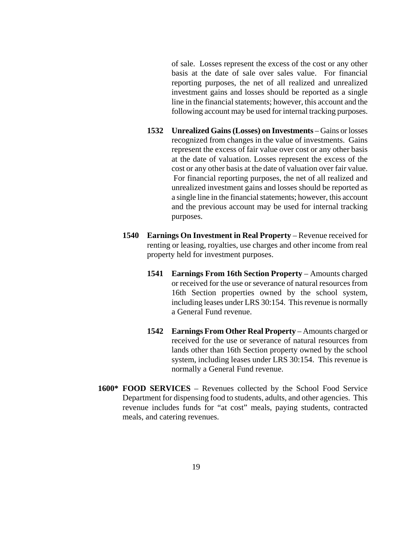of sale. Losses represent the excess of the cost or any other basis at the date of sale over sales value. For financial reporting purposes, the net of all realized and unrealized investment gains and losses should be reported as a single line in the financial statements; however, this account and the following account may be used for internal tracking purposes.

- **1532 Unrealized Gains (Losses) on Investments** Gains or losses recognized from changes in the value of investments. Gains represent the excess of fair value over cost or any other basis at the date of valuation. Losses represent the excess of the cost or any other basis at the date of valuation over fair value. For financial reporting purposes, the net of all realized and unrealized investment gains and losses should be reported as a single line in the financial statements; however, this account and the previous account may be used for internal tracking purposes.
- **1540 Earnings On Investment in Real Property** Revenue received for renting or leasing, royalties, use charges and other income from real property held for investment purposes.
	- **1541 Earnings From 16th Section Property** Amounts charged or received for the use or severance of natural resources from 16th Section properties owned by the school system, including leases under LRS 30:154. This revenue is normally a General Fund revenue.
	- **1542 Earnings From Other Real Property**  Amounts charged or received for the use or severance of natural resources from lands other than 16th Section property owned by the school system, including leases under LRS 30:154. This revenue is normally a General Fund revenue.
- **1600\* FOOD SERVICES** Revenues collected by the School Food Service Department for dispensing food to students, adults, and other agencies. This revenue includes funds for "at cost" meals, paying students, contracted meals, and catering revenues.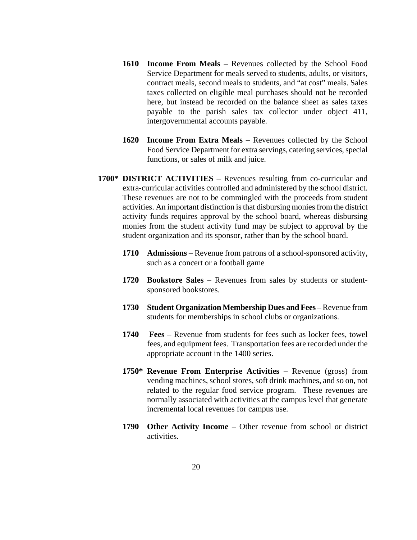- **1610 Income From Meals** Revenues collected by the School Food Service Department for meals served to students, adults, or visitors, contract meals, second meals to students, and "at cost" meals. Sales taxes collected on eligible meal purchases should not be recorded here, but instead be recorded on the balance sheet as sales taxes payable to the parish sales tax collector under object 411, intergovernmental accounts payable.
- **1620 Income From Extra Meals** Revenues collected by the School Food Service Department for extra servings, catering services, special functions, or sales of milk and juice.
- **1700\* DISTRICT ACTIVITIES** Revenues resulting from co-curricular and extra-curricular activities controlled and administered by the school district. These revenues are not to be commingled with the proceeds from student activities. An important distinction is that disbursing monies from the district activity funds requires approval by the school board, whereas disbursing monies from the student activity fund may be subject to approval by the student organization and its sponsor, rather than by the school board.
	- **1710 Admissions** Revenue from patrons of a school-sponsored activity, such as a concert or a football game
	- **1720 Bookstore Sales** Revenues from sales by students or studentsponsored bookstores.
	- **1730 Student Organization Membership Dues and Fees** Revenue from students for memberships in school clubs or organizations.
	- **1740 Fees** Revenue from students for fees such as locker fees, towel fees, and equipment fees. Transportation fees are recorded under the appropriate account in the 1400 series.
	- **1750\* Revenue From Enterprise Activities** Revenue (gross) from vending machines, school stores, soft drink machines, and so on, not related to the regular food service program. These revenues are normally associated with activities at the campus level that generate incremental local revenues for campus use.
	- **1790 Other Activity Income** Other revenue from school or district activities.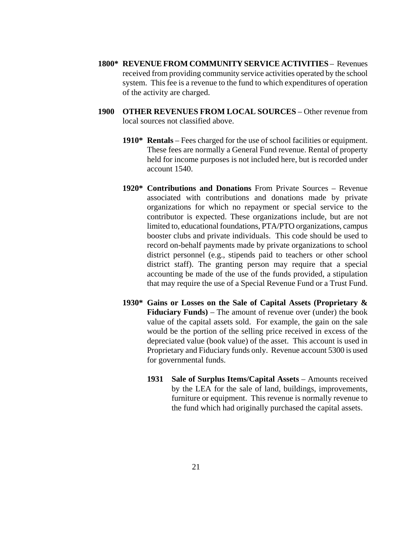- **1800\* REVENUE FROM COMMUNITY SERVICE ACTIVITIES** Revenues received from providing community service activities operated by the school system. This fee is a revenue to the fund to which expenditures of operation of the activity are charged.
- **1900 OTHER REVENUES FROM LOCAL SOURCES** Other revenue from local sources not classified above.
	- **1910\* Rentals** Fees charged for the use of school facilities or equipment. These fees are normally a General Fund revenue. Rental of property held for income purposes is not included here, but is recorded under account 1540.
	- **1920\* Contributions and Donations** From Private Sources Revenue associated with contributions and donations made by private organizations for which no repayment or special service to the contributor is expected. These organizations include, but are not limited to, educational foundations, PTA/PTO organizations, campus booster clubs and private individuals. This code should be used to record on-behalf payments made by private organizations to school district personnel (e.g., stipends paid to teachers or other school district staff). The granting person may require that a special accounting be made of the use of the funds provided, a stipulation that may require the use of a Special Revenue Fund or a Trust Fund.
	- **1930\* Gains or Losses on the Sale of Capital Assets (Proprietary & Fiduciary Funds)** – The amount of revenue over (under) the book value of the capital assets sold. For example, the gain on the sale would be the portion of the selling price received in excess of the depreciated value (book value) of the asset. This account is used in Proprietary and Fiduciary funds only. Revenue account 5300 is used for governmental funds.
		- **1931 Sale of Surplus Items/Capital Assets** Amounts received by the LEA for the sale of land, buildings, improvements, furniture or equipment. This revenue is normally revenue to the fund which had originally purchased the capital assets.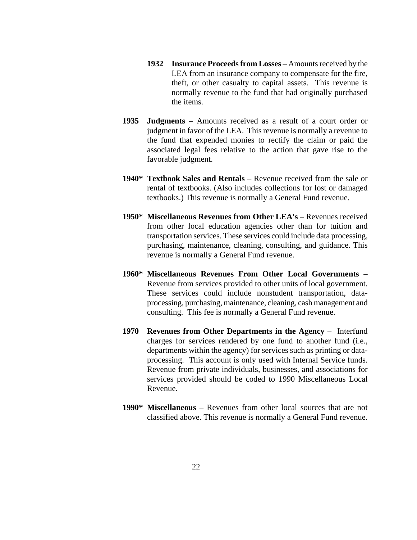- **1932 Insurance Proceeds from Losses** Amounts received by the LEA from an insurance company to compensate for the fire, theft, or other casualty to capital assets. This revenue is normally revenue to the fund that had originally purchased the items.
- **1935 Judgments** Amounts received as a result of a court order or judgment in favor of the LEA. This revenue is normally a revenue to the fund that expended monies to rectify the claim or paid the associated legal fees relative to the action that gave rise to the favorable judgment.
- **1940\* Textbook Sales and Rentals** Revenue received from the sale or rental of textbooks. (Also includes collections for lost or damaged textbooks.) This revenue is normally a General Fund revenue.
- **1950\* Miscellaneous Revenues from Other LEA's** Revenues received from other local education agencies other than for tuition and transportation services. These services could include data processing, purchasing, maintenance, cleaning, consulting, and guidance. This revenue is normally a General Fund revenue.
- **1960\* Miscellaneous Revenues From Other Local Governments** Revenue from services provided to other units of local government. These services could include nonstudent transportation, dataprocessing, purchasing, maintenance, cleaning, cash management and consulting. This fee is normally a General Fund revenue.
- **1970 Revenues from Other Departments in the Agency** Interfund charges for services rendered by one fund to another fund (i.e., departments within the agency) for services such as printing or dataprocessing. This account is only used with Internal Service funds. Revenue from private individuals, businesses, and associations for services provided should be coded to 1990 Miscellaneous Local Revenue.
- **1990\* Miscellaneous** Revenues from other local sources that are not classified above. This revenue is normally a General Fund revenue.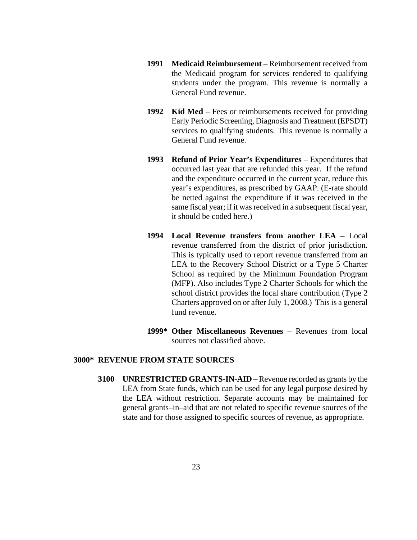- **1991 Medicaid Reimbursement** Reimbursement received from the Medicaid program for services rendered to qualifying students under the program. This revenue is normally a General Fund revenue.
- **1992 Kid Med** Fees or reimbursements received for providing Early Periodic Screening, Diagnosis and Treatment (EPSDT) services to qualifying students. This revenue is normally a General Fund revenue.
- **1993 Refund of Prior Year's Expenditures** Expenditures that occurred last year that are refunded this year. If the refund and the expenditure occurred in the current year, reduce this year's expenditures, as prescribed by GAAP. (E-rate should be netted against the expenditure if it was received in the same fiscal year; if it was received in a subsequent fiscal year, it should be coded here.)
- **1994 Local Revenue transfers from another LEA** Local revenue transferred from the district of prior jurisdiction. This is typically used to report revenue transferred from an LEA to the Recovery School District or a Type 5 Charter School as required by the Minimum Foundation Program (MFP). Also includes Type 2 Charter Schools for which the school district provides the local share contribution (Type 2 Charters approved on or after July 1, 2008.) This is a general fund revenue.
- **1999\* Other Miscellaneous Revenues** Revenues from local sources not classified above.

#### **3000\* REVENUE FROM STATE SOURCES**

**3100 UNRESTRICTED GRANTS-IN-AID** – Revenue recorded as grants by the LEA from State funds, which can be used for any legal purpose desired by the LEA without restriction. Separate accounts may be maintained for general grants–in–aid that are not related to specific revenue sources of the state and for those assigned to specific sources of revenue, as appropriate.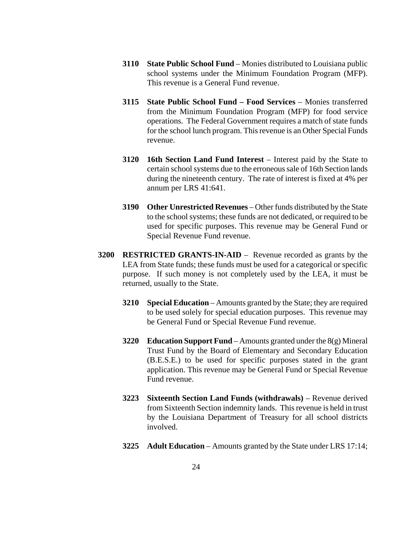- **3110 State Public School Fund** Monies distributed to Louisiana public school systems under the Minimum Foundation Program (MFP). This revenue is a General Fund revenue.
- **3115 State Public School Fund – Food Services** Monies transferred from the Minimum Foundation Program (MFP) for food service operations. The Federal Government requires a match of state funds for the school lunch program. This revenue is an Other Special Funds revenue.
- **3120 16th Section Land Fund Interest** Interest paid by the State to certain school systems due to the erroneous sale of 16th Section lands during the nineteenth century. The rate of interest is fixed at 4% per annum per LRS 41:641.
- **3190 Other Unrestricted Revenues** Other funds distributed by the State to the school systems; these funds are not dedicated, or required to be used for specific purposes. This revenue may be General Fund or Special Revenue Fund revenue.
- **3200 RESTRICTED GRANTS-IN-AID** Revenue recorded as grants by the LEA from State funds; these funds must be used for a categorical or specific purpose. If such money is not completely used by the LEA, it must be returned, usually to the State.
	- **3210 Special Education** Amounts granted by the State; they are required to be used solely for special education purposes. This revenue may be General Fund or Special Revenue Fund revenue.
	- **3220 Education Support Fund**  Amounts granted under the 8(g) Mineral Trust Fund by the Board of Elementary and Secondary Education (B.E.S.E.) to be used for specific purposes stated in the grant application. This revenue may be General Fund or Special Revenue Fund revenue.
	- **3223 Sixteenth Section Land Funds (withdrawals)** Revenue derived from Sixteenth Section indemnity lands. This revenue is held in trust by the Louisiana Department of Treasury for all school districts involved.
	- **3225 Adult Education** Amounts granted by the State under LRS 17:14;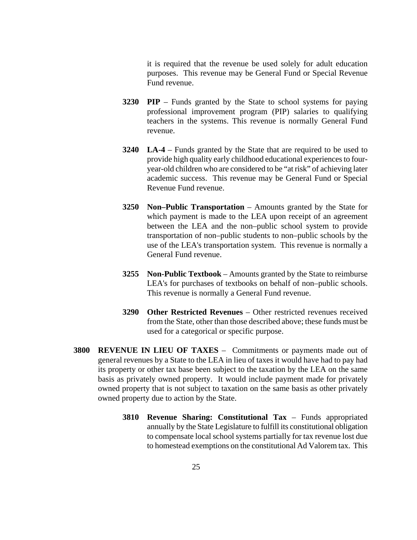it is required that the revenue be used solely for adult education purposes. This revenue may be General Fund or Special Revenue Fund revenue.

- **3230 PIP** Funds granted by the State to school systems for paying professional improvement program (PIP) salaries to qualifying teachers in the systems. This revenue is normally General Fund revenue.
- **3240 LA-4** Funds granted by the State that are required to be used to provide high quality early childhood educational experiences to fouryear-old children who are considered to be "at risk" of achieving later academic success. This revenue may be General Fund or Special Revenue Fund revenue.
- **3250 Non–Public Transportation** Amounts granted by the State for which payment is made to the LEA upon receipt of an agreement between the LEA and the non–public school system to provide transportation of non–public students to non–public schools by the use of the LEA's transportation system. This revenue is normally a General Fund revenue.
- **3255 Non-Public Textbook** Amounts granted by the State to reimburse LEA's for purchases of textbooks on behalf of non–public schools. This revenue is normally a General Fund revenue.
- **3290 Other Restricted Revenues** Other restricted revenues received from the State, other than those described above; these funds must be used for a categorical or specific purpose.
- **3800 REVENUE IN LIEU OF TAXES** Commitments or payments made out of general revenues by a State to the LEA in lieu of taxes it would have had to pay had its property or other tax base been subject to the taxation by the LEA on the same basis as privately owned property. It would include payment made for privately owned property that is not subject to taxation on the same basis as other privately owned property due to action by the State.
	- **3810 Revenue Sharing: Constitutional Tax** Funds appropriated annually by the State Legislature to fulfill its constitutional obligation to compensate local school systems partially for tax revenue lost due to homestead exemptions on the constitutional Ad Valorem tax. This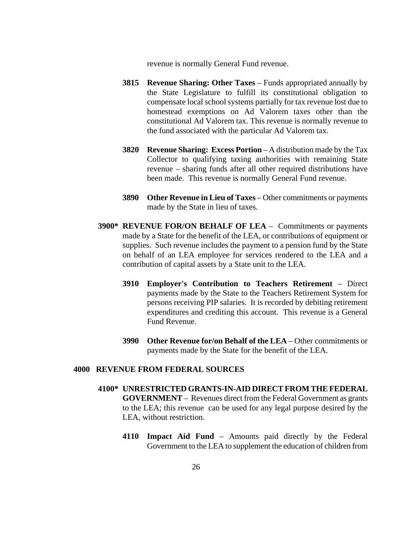revenue is normally General Fund revenue.

- **3815 Revenue Sharing: Other Taxes** Funds appropriated annually by the State Legislature to fulfill its constitutional obligation to compensate local school systems partially for tax revenue lost due to homestead exemptions on Ad Valorem taxes other than the constitutional Ad Valorem tax. This revenue is normally revenue to the fund associated with the particular Ad Valorem tax.
- **3820 Revenue Sharing: Excess Portion** A distribution made by the Tax Collector to qualifying taxing authorities with remaining State revenue – sharing funds after all other required distributions have been made. This revenue is normally General Fund revenue.
- **3890 Other Revenue in Lieu of Taxes** Other commitments or payments made by the State in lieu of taxes.
- **3900\* REVENUE FOR/ON BEHALF OF LEA** Commitments or payments made by a State for the benefit of the LEA, or contributions of equipment or supplies. Such revenue includes the payment to a pension fund by the State on behalf of an LEA employee for services rendered to the LEA and a contribution of capital assets by a State unit to the LEA.
	- **3910 Employer's Contribution to Teachers Retirement** Direct payments made by the State to the Teachers Retirement System for persons receiving PIP salaries. It is recorded by debiting retirement expenditures and crediting this account. This revenue is a General Fund Revenue.
	- **3990 Other Revenue for/on Behalf of the LEA** Other commitments or payments made by the State for the benefit of the LEA.

#### **4000 REVENUE FROM FEDERAL SOURCES**

- **4100\* UNRESTRICTED GRANTS-IN-AID DIRECT FROM THE FEDERAL GOVERNMENT** – Revenues direct from the Federal Government as grants to the LEA; this revenue can be used for any legal purpose desired by the LEA, without restriction.
	- **4110 Impact Aid Fund** Amounts paid directly by the Federal Government to the LEA to supplement the education of children from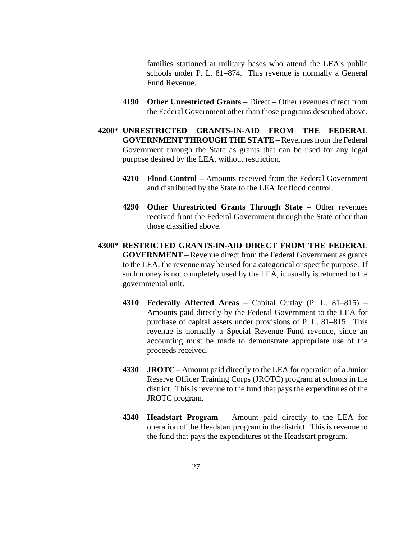families stationed at military bases who attend the LEA's public schools under P. L. 81–874. This revenue is normally a General Fund Revenue.

- **4190 Other Unrestricted Grants**  Direct Other revenues direct from the Federal Government other than those programs described above.
- **4200\* UNRESTRICTED GRANTS-IN-AID FROM THE FEDERAL GOVERNMENT THROUGH THE STATE** – Revenues from the Federal Government through the State as grants that can be used for any legal purpose desired by the LEA, without restriction.
	- **4210 Flood Control** Amounts received from the Federal Government and distributed by the State to the LEA for flood control.
	- **4290 Other Unrestricted Grants Through State** Other revenues received from the Federal Government through the State other than those classified above.
- **4300\* RESTRICTED GRANTS-IN-AID DIRECT FROM THE FEDERAL GOVERNMENT** – Revenue direct from the Federal Government as grants to the LEA; the revenue may be used for a categorical or specific purpose. If such money is not completely used by the LEA, it usually is returned to the governmental unit.
	- **4310 Federally Affected Areas** Capital Outlay (P. L. 81–815) Amounts paid directly by the Federal Government to the LEA for purchase of capital assets under provisions of P. L. 81–815. This revenue is normally a Special Revenue Fund revenue, since an accounting must be made to demonstrate appropriate use of the proceeds received.
	- **4330 JROTC** Amount paid directly to the LEA for operation of a Junior Reserve Officer Training Corps (JROTC) program at schools in the district. This is revenue to the fund that pays the expenditures of the JROTC program.
	- **4340 Headstart Program** Amount paid directly to the LEA for operation of the Headstart program in the district. This is revenue to the fund that pays the expenditures of the Headstart program.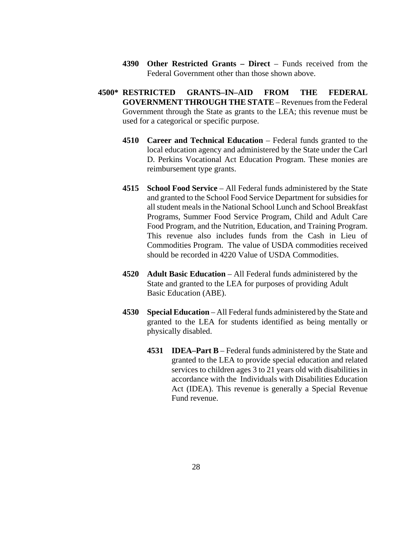- **4390 Other Restricted Grants – Direct** Funds received from the Federal Government other than those shown above.
- **4500\* RESTRICTED GRANTS–IN–AID FROM THE FEDERAL GOVERNMENT THROUGH THE STATE** – Revenues from the Federal Government through the State as grants to the LEA; this revenue must be used for a categorical or specific purpose.
	- **4510 Career and Technical Education** Federal funds granted to the local education agency and administered by the State under the Carl D. Perkins Vocational Act Education Program. These monies are reimbursement type grants.
	- **4515 School Food Service** All Federal funds administered by the State and granted to the School Food Service Department for subsidies for all student meals in the National School Lunch and School Breakfast Programs, Summer Food Service Program, Child and Adult Care Food Program, and the Nutrition, Education, and Training Program. This revenue also includes funds from the Cash in Lieu of Commodities Program. The value of USDA commodities received should be recorded in 4220 Value of USDA Commodities.
	- **4520 Adult Basic Education** All Federal funds administered by the State and granted to the LEA for purposes of providing Adult Basic Education (ABE).
	- **4530 Special Education** All Federal funds administered by the State and granted to the LEA for students identified as being mentally or physically disabled.
		- **4531 IDEA–Part B** Federal funds administered by the State and granted to the LEA to provide special education and related services to children ages 3 to 21 years old with disabilities in accordance with the Individuals with Disabilities Education Act (IDEA). This revenue is generally a Special Revenue Fund revenue.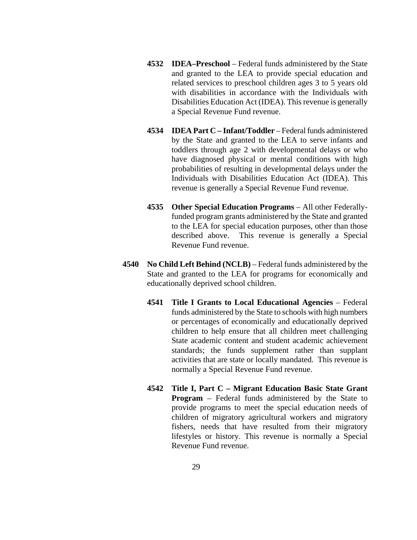- **4532 IDEA–Preschool** Federal funds administered by the State and granted to the LEA to provide special education and related services to preschool children ages 3 to 5 years old with disabilities in accordance with the Individuals with Disabilities Education Act (IDEA). This revenue is generally a Special Revenue Fund revenue.
- **4534 IDEA Part C – Infant/Toddler** Federal funds administered by the State and granted to the LEA to serve infants and toddlers through age 2 with developmental delays or who have diagnosed physical or mental conditions with high probabilities of resulting in developmental delays under the Individuals with Disabilities Education Act (IDEA). This revenue is generally a Special Revenue Fund revenue.
- **4535 Other Special Education Programs** All other Federallyfunded program grants administered by the State and granted to the LEA for special education purposes, other than those described above. This revenue is generally a Special Revenue Fund revenue.
- **4540 No Child Left Behind (NCLB)** Federal funds administered by the State and granted to the LEA for programs for economically and educationally deprived school children.
	- **4541 Title I Grants to Local Educational Agencies** Federal funds administered by the State to schools with high numbers or percentages of economically and educationally deprived children to help ensure that all children meet challenging State academic content and student academic achievement standards; the funds supplement rather than supplant activities that are state or locally mandated. This revenue is normally a Special Revenue Fund revenue.
	- **4542 Title I, Part C – Migrant Education Basic State Grant Program** – Federal funds administered by the State to provide programs to meet the special education needs of children of migratory agricultural workers and migratory fishers, needs that have resulted from their migratory lifestyles or history. This revenue is normally a Special Revenue Fund revenue.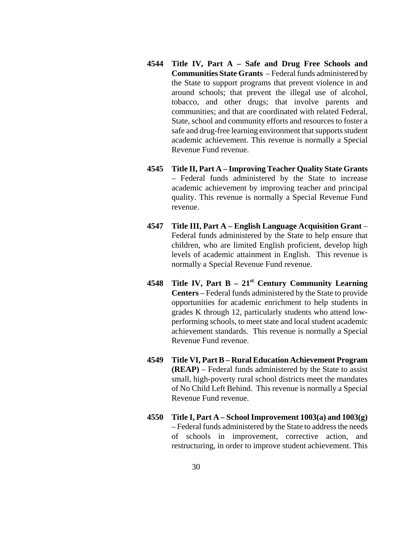- **4544 Title IV, Part A – Safe and Drug Free Schools and Communities State Grants** – Federal funds administered by the State to support programs that prevent violence in and around schools; that prevent the illegal use of alcohol, tobacco, and other drugs; that involve parents and communities; and that are coordinated with related Federal, State, school and community efforts and resources to foster a safe and drug-free learning environment that supports student academic achievement. This revenue is normally a Special Revenue Fund revenue.
- **4545 Title II, Part A – Improving Teacher Quality State Grants**  *–* Federal funds administered by the State to increase academic achievement by improving teacher and principal quality. This revenue is normally a Special Revenue Fund revenue.
- **4547 Title III, Part A – English Language Acquisition Grant** Federal funds administered by the State to help ensure that children, who are limited English proficient, develop high levels of academic attainment in English. This revenue is normally a Special Revenue Fund revenue.
- **4548 Title IV, Part B – 21st Century Community Learning Centers** – Federal funds administered by the State to provide opportunities for academic enrichment to help students in grades K through 12, particularly students who attend lowperforming schools, to meet state and local student academic achievement standards. This revenue is normally a Special Revenue Fund revenue.
- **4549 Title VI, Part B – Rural Education Achievement Program (REAP)** – Federal funds administered by the State to assist small, high-poverty rural school districts meet the mandates of No Child Left Behind. This revenue is normally a Special Revenue Fund revenue.
- **4550 Title I, Part A – School Improvement 1003(a) and 1003(g)** – Federal funds administered by the State to address the needs of schools in improvement, corrective action, and restructuring, in order to improve student achievement. This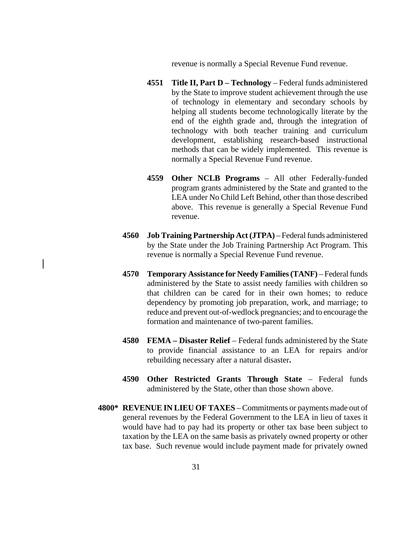revenue is normally a Special Revenue Fund revenue.

- **4551 Title II, Part D – Technology** Federal funds administered by the State to improve student achievement through the use of technology in elementary and secondary schools by helping all students become technologically literate by the end of the eighth grade and, through the integration of technology with both teacher training and curriculum development, establishing research-based instructional methods that can be widely implemented. This revenue is normally a Special Revenue Fund revenue.
- **4559 Other NCLB Programs** All other Federally-funded program grants administered by the State and granted to the LEA under No Child Left Behind, other than those described above. This revenue is generally a Special Revenue Fund revenue.
- **4560 Job Training Partnership Act (JTPA)** Federal funds administered by the State under the Job Training Partnership Act Program. This revenue is normally a Special Revenue Fund revenue.
- **4570 Temporary Assistance for Needy Families (TANF)** Federal funds administered by the State to assist needy families with children so that children can be cared for in their own homes; to reduce dependency by promoting job preparation, work, and marriage; to reduce and prevent out-of-wedlock pregnancies; and to encourage the formation and maintenance of two-parent families.
- **4580 FEMA – Disaster Relief** Federal funds administered by the State to provide financial assistance to an LEA for repairs and/or rebuilding necessary after a natural disaster**.**
- **4590 Other Restricted Grants Through State** Federal funds administered by the State, other than those shown above.
- **4800\* REVENUE IN LIEU OF TAXES** Commitments or payments made out of general revenues by the Federal Government to the LEA in lieu of taxes it would have had to pay had its property or other tax base been subject to taxation by the LEA on the same basis as privately owned property or other tax base. Such revenue would include payment made for privately owned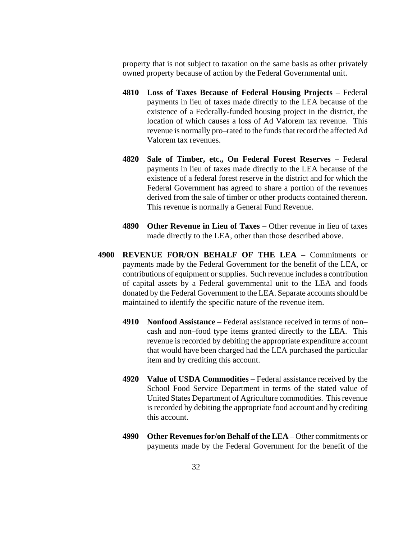property that is not subject to taxation on the same basis as other privately owned property because of action by the Federal Governmental unit.

- **4810 Loss of Taxes Because of Federal Housing Projects** Federal payments in lieu of taxes made directly to the LEA because of the existence of a Federally-funded housing project in the district, the location of which causes a loss of Ad Valorem tax revenue. This revenue is normally pro–rated to the funds that record the affected Ad Valorem tax revenues.
- **4820 Sale of Timber, etc., On Federal Forest Reserves** Federal payments in lieu of taxes made directly to the LEA because of the existence of a federal forest reserve in the district and for which the Federal Government has agreed to share a portion of the revenues derived from the sale of timber or other products contained thereon. This revenue is normally a General Fund Revenue.
- **4890 Other Revenue in Lieu of Taxes** Other revenue in lieu of taxes made directly to the LEA, other than those described above.
- **4900 REVENUE FOR/ON BEHALF OF THE LEA**  Commitments or payments made by the Federal Government for the benefit of the LEA, or contributions of equipment or supplies. Such revenue includes a contribution of capital assets by a Federal governmental unit to the LEA and foods donated by the Federal Government to the LEA. Separate accounts should be maintained to identify the specific nature of the revenue item.
	- **4910 Nonfood Assistance** Federal assistance received in terms of non– cash and non–food type items granted directly to the LEA. This revenue is recorded by debiting the appropriate expenditure account that would have been charged had the LEA purchased the particular item and by crediting this account.
	- **4920 Value of USDA Commodities** Federal assistance received by the School Food Service Department in terms of the stated value of United States Department of Agriculture commodities. This revenue is recorded by debiting the appropriate food account and by crediting this account.
	- **4990 Other Revenues for/on Behalf of the LEA** Other commitments or payments made by the Federal Government for the benefit of the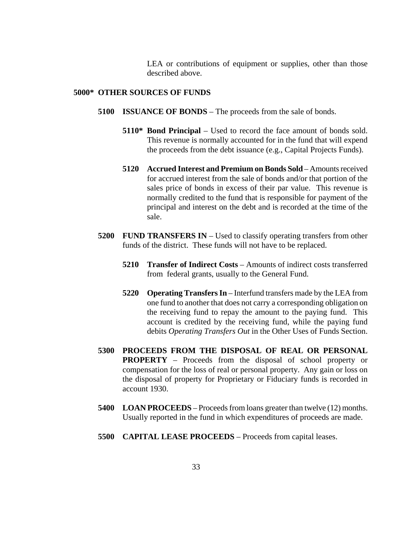LEA or contributions of equipment or supplies, other than those described above.

#### **5000\* OTHER SOURCES OF FUNDS**

- **5100 ISSUANCE OF BONDS** The proceeds from the sale of bonds.
	- **5110\* Bond Principal** Used to record the face amount of bonds sold. This revenue is normally accounted for in the fund that will expend the proceeds from the debt issuance (e.g., Capital Projects Funds).
	- **5120 Accrued Interest and Premium on Bonds Sold** Amounts received for accrued interest from the sale of bonds and/or that portion of the sales price of bonds in excess of their par value. This revenue is normally credited to the fund that is responsible for payment of the principal and interest on the debt and is recorded at the time of the sale.
- **5200 FUND TRANSFERS IN** Used to classify operating transfers from other funds of the district. These funds will not have to be replaced.
	- **5210 Transfer of Indirect Costs** Amounts of indirect costs transferred from federal grants, usually to the General Fund.
	- **5220 Operating Transfers In** Interfund transfers made by the LEA from one fund to another that does not carry a corresponding obligation on the receiving fund to repay the amount to the paying fund. This account is credited by the receiving fund, while the paying fund debits *Operating Transfers Out* in the Other Uses of Funds Section.
- **5300 PROCEEDS FROM THE DISPOSAL OF REAL OR PERSONAL PROPERTY** – Proceeds from the disposal of school property or compensation for the loss of real or personal property. Any gain or loss on the disposal of property for Proprietary or Fiduciary funds is recorded in account 1930.
- **5400 LOAN PROCEEDS** Proceeds from loans greater than twelve (12) months. Usually reported in the fund in which expenditures of proceeds are made.
- **5500 CAPITAL LEASE PROCEEDS** Proceeds from capital leases.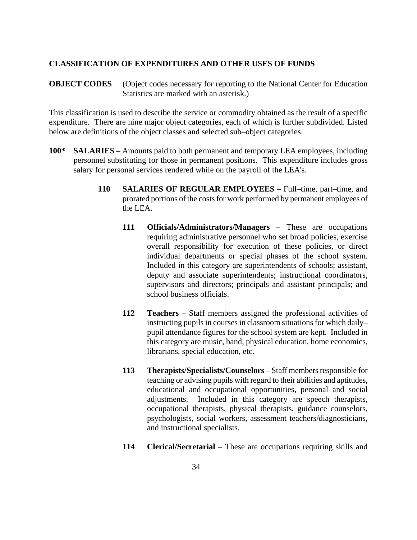#### **CLASSIFICATION OF EXPENDITURES AND OTHER USES OF FUNDS**

**OBJECT CODES** (Object codes necessary for reporting to the National Center for Education Statistics are marked with an asterisk.)

This classification is used to describe the service or commodity obtained as the result of a specific expenditure. There are nine major object categories, each of which is further subdivided. Listed below are definitions of the object classes and selected sub–object categories.

- **100\* SALARIES** Amounts paid to both permanent and temporary LEA employees, including personnel substituting for those in permanent positions. This expenditure includes gross salary for personal services rendered while on the payroll of the LEA's.
	- **110 SALARIES OF REGULAR EMPLOYEES** Full–time, part–time, and prorated portions of the costs for work performed by permanent employees of the LEA.
		- **111 Officials/Administrators/Managers** These are occupations requiring administrative personnel who set broad policies, exercise overall responsibility for execution of these policies, or direct individual departments or special phases of the school system. Included in this category are superintendents of schools; assistant, deputy and associate superintendents; instructional coordinators, supervisors and directors; principals and assistant principals; and school business officials.
		- **112 Teachers** Staff members assigned the professional activities of instructing pupils in courses in classroom situations for which daily– pupil attendance figures for the school system are kept. Included in this category are music, band, physical education, home economics, librarians, special education, etc.
		- **113 Therapists/Specialists/Counselors** Staff members responsible for teaching or advising pupils with regard to their abilities and aptitudes, educational and occupational opportunities, personal and social adjustments. Included in this category are speech therapists, occupational therapists, physical therapists, guidance counselors, psychologists, social workers, assessment teachers/diagnosticians, and instructional specialists.
		- **114 Clerical/Secretarial** These are occupations requiring skills and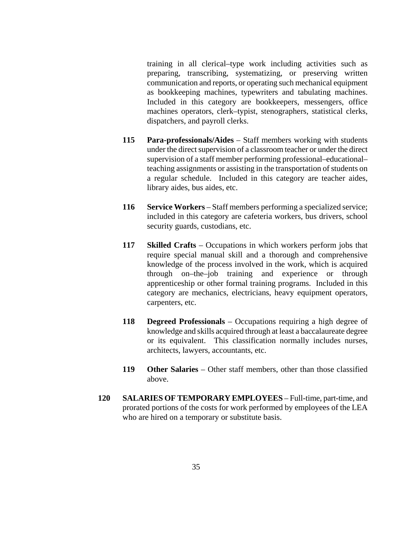training in all clerical–type work including activities such as preparing, transcribing, systematizing, or preserving written communication and reports, or operating such mechanical equipment as bookkeeping machines, typewriters and tabulating machines. Included in this category are bookkeepers, messengers, office machines operators, clerk–typist, stenographers, statistical clerks, dispatchers, and payroll clerks.

- **115 Para-professionals/Aides** Staff members working with students under the direct supervision of a classroom teacher or under the direct supervision of a staff member performing professional–educational– teaching assignments or assisting in the transportation of students on a regular schedule. Included in this category are teacher aides, library aides, bus aides, etc.
- **116 Service Workers** Staff members performing a specialized service; included in this category are cafeteria workers, bus drivers, school security guards, custodians, etc.
- **117 Skilled Crafts** Occupations in which workers perform jobs that require special manual skill and a thorough and comprehensive knowledge of the process involved in the work, which is acquired through on–the–job training and experience or through apprenticeship or other formal training programs. Included in this category are mechanics, electricians, heavy equipment operators, carpenters, etc.
- **118 Degreed Professionals** Occupations requiring a high degree of knowledge and skills acquired through at least a baccalaureate degree or its equivalent. This classification normally includes nurses, architects, lawyers, accountants, etc.
- **119 Other Salaries** Other staff members, other than those classified above.
- **120 SALARIES OF TEMPORARY EMPLOYEES** Full-time, part-time, and prorated portions of the costs for work performed by employees of the LEA who are hired on a temporary or substitute basis.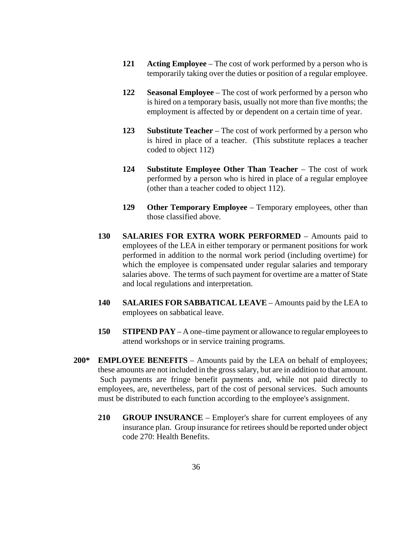- **121 Acting Employee** The cost of work performed by a person who is temporarily taking over the duties or position of a regular employee.
- **122 Seasonal Employee** The cost of work performed by a person who is hired on a temporary basis, usually not more than five months; the employment is affected by or dependent on a certain time of year.
- **123 Substitute Teacher**  The cost of work performed by a person who is hired in place of a teacher. (This substitute replaces a teacher coded to object 112)
- **124 Substitute Employee Other Than Teacher** The cost of work performed by a person who is hired in place of a regular employee (other than a teacher coded to object 112).
- **129 Other Temporary Employee** Temporary employees, other than those classified above.
- **130 SALARIES FOR EXTRA WORK PERFORMED** Amounts paid to employees of the LEA in either temporary or permanent positions for work performed in addition to the normal work period (including overtime) for which the employee is compensated under regular salaries and temporary salaries above. The terms of such payment for overtime are a matter of State and local regulations and interpretation.
- **140 SALARIES FOR SABBATICAL LEAVE** Amounts paid by the LEA to employees on sabbatical leave.
- **150 STIPEND PAY** A one–time payment or allowance to regular employees to attend workshops or in service training programs.
- **200\* EMPLOYEE BENEFITS** Amounts paid by the LEA on behalf of employees; these amounts are not included in the gross salary, but are in addition to that amount. Such payments are fringe benefit payments and, while not paid directly to employees, are, nevertheless, part of the cost of personal services. Such amounts must be distributed to each function according to the employee's assignment.
	- **210 GROUP INSURANCE** Employer's share for current employees of any insurance plan. Group insurance for retirees should be reported under object code 270: Health Benefits.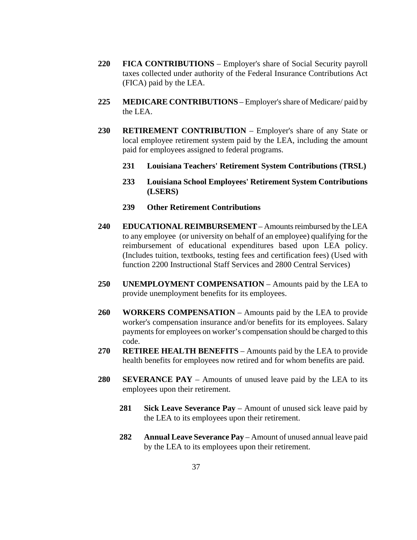- **220 FICA CONTRIBUTIONS** Employer's share of Social Security payroll taxes collected under authority of the Federal Insurance Contributions Act (FICA) paid by the LEA.
- **225 MEDICARE CONTRIBUTIONS** Employer's share of Medicare/ paid by the LEA.
- **230 RETIREMENT CONTRIBUTION** Employer's share of any State or local employee retirement system paid by the LEA, including the amount paid for employees assigned to federal programs.
	- **231 Louisiana Teachers' Retirement System Contributions (TRSL)**
	- **233 Louisiana School Employees' Retirement System Contributions (LSERS)**
	- **239 Other Retirement Contributions**
- **240 EDUCATIONAL REIMBURSEMENT** Amounts reimbursed by the LEA to any employee (or university on behalf of an employee) qualifying for the reimbursement of educational expenditures based upon LEA policy. (Includes tuition, textbooks, testing fees and certification fees) (Used with function 2200 Instructional Staff Services and 2800 Central Services)
- **250 UNEMPLOYMENT COMPENSATION** Amounts paid by the LEA to provide unemployment benefits for its employees.
- **260 WORKERS COMPENSATION** Amounts paid by the LEA to provide worker's compensation insurance and/or benefits for its employees. Salary payments for employees on worker's compensation should be charged to this code.
- **270 RETIREE HEALTH BENEFITS** Amounts paid by the LEA to provide health benefits for employees now retired and for whom benefits are paid.
- **280 SEVERANCE PAY** Amounts of unused leave paid by the LEA to its employees upon their retirement.
	- **281 Sick Leave Severance Pay** Amount of unused sick leave paid by the LEA to its employees upon their retirement.
	- **282 Annual Leave Severance Pay** Amount of unused annual leave paid by the LEA to its employees upon their retirement.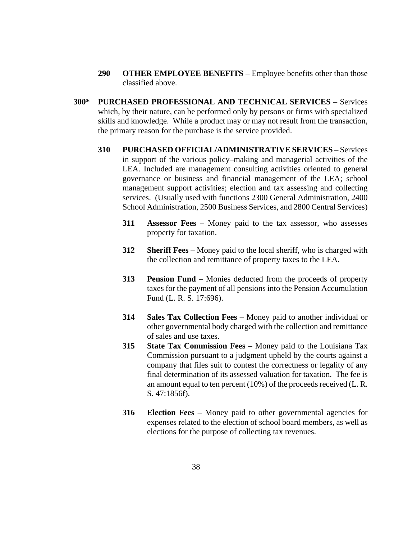- **290 OTHER EMPLOYEE BENEFITS** Employee benefits other than those classified above.
- **300\* PURCHASED PROFESSIONAL AND TECHNICAL SERVICES** Services which, by their nature, can be performed only by persons or firms with specialized skills and knowledge. While a product may or may not result from the transaction, the primary reason for the purchase is the service provided.
	- **310 PURCHASED OFFICIAL/ADMINISTRATIVE SERVICES** Services in support of the various policy–making and managerial activities of the LEA. Included are management consulting activities oriented to general governance or business and financial management of the LEA; school management support activities; election and tax assessing and collecting services. (Usually used with functions 2300 General Administration, 2400 School Administration, 2500 Business Services, and 2800 Central Services)
		- **311 Assessor Fees** Money paid to the tax assessor, who assesses property for taxation.
		- **312 Sheriff Fees** Money paid to the local sheriff, who is charged with the collection and remittance of property taxes to the LEA.
		- **313 Pension Fund** Monies deducted from the proceeds of property taxes for the payment of all pensions into the Pension Accumulation Fund (L. R. S. 17:696).
		- **314 Sales Tax Collection Fees** Money paid to another individual or other governmental body charged with the collection and remittance of sales and use taxes.
		- **315 State Tax Commission Fees** Money paid to the Louisiana Tax Commission pursuant to a judgment upheld by the courts against a company that files suit to contest the correctness or legality of any final determination of its assessed valuation for taxation. The fee is an amount equal to ten percent (10%) of the proceeds received (L. R. S. 47:1856f).
		- **316 Election Fees** Money paid to other governmental agencies for expenses related to the election of school board members, as well as elections for the purpose of collecting tax revenues.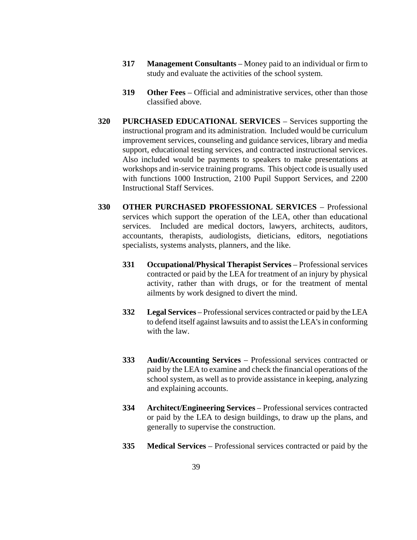- **317 Management Consultants** Money paid to an individual or firm to study and evaluate the activities of the school system.
- **319 Other Fees** Official and administrative services, other than those classified above.
- **320 PURCHASED EDUCATIONAL SERVICES** Services supporting the instructional program and its administration. Included would be curriculum improvement services, counseling and guidance services, library and media support, educational testing services, and contracted instructional services. Also included would be payments to speakers to make presentations at workshops and in-service training programs. This object code is usually used with functions 1000 Instruction, 2100 Pupil Support Services, and 2200 Instructional Staff Services.
- **330 OTHER PURCHASED PROFESSIONAL SERVICES** Professional services which support the operation of the LEA, other than educational services. Included are medical doctors, lawyers, architects, auditors, accountants, therapists, audiologists, dieticians, editors, negotiations specialists, systems analysts, planners, and the like.
	- **331 Occupational/Physical Therapist Services** Professional services contracted or paid by the LEA for treatment of an injury by physical activity, rather than with drugs, or for the treatment of mental ailments by work designed to divert the mind.
	- **332 Legal Services** Professional services contracted or paid by the LEA to defend itself against lawsuits and to assist the LEA's in conforming with the law.
	- **333 Audit/Accounting Services** Professional services contracted or paid by the LEA to examine and check the financial operations of the school system, as well as to provide assistance in keeping, analyzing and explaining accounts.
	- **334 Architect/Engineering Services** Professional services contracted or paid by the LEA to design buildings, to draw up the plans, and generally to supervise the construction.
	- **335 Medical Services** Professional services contracted or paid by the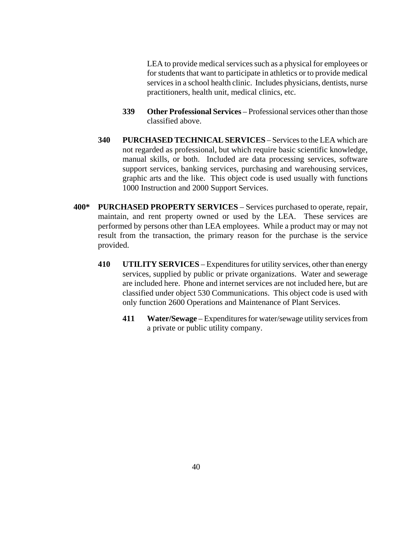LEA to provide medical services such as a physical for employees or for students that want to participate in athletics or to provide medical services in a school health clinic. Includes physicians, dentists, nurse practitioners, health unit, medical clinics, etc.

- **339 Other Professional Services** Professional services other than those classified above.
- **340 PURCHASED TECHNICAL SERVICES** Services to the LEA which are not regarded as professional, but which require basic scientific knowledge, manual skills, or both. Included are data processing services, software support services, banking services, purchasing and warehousing services, graphic arts and the like. This object code is used usually with functions 1000 Instruction and 2000 Support Services.
- **400\* PURCHASED PROPERTY SERVICES** Services purchased to operate, repair, maintain, and rent property owned or used by the LEA. These services are performed by persons other than LEA employees. While a product may or may not result from the transaction, the primary reason for the purchase is the service provided.
	- **410 UTILITY SERVICES** Expenditures for utility services, other than energy services, supplied by public or private organizations. Water and sewerage are included here. Phone and internet services are not included here, but are classified under object 530 Communications. This object code is used with only function 2600 Operations and Maintenance of Plant Services.
		- **411 Water/Sewage** Expenditures for water/sewage utility services from a private or public utility company.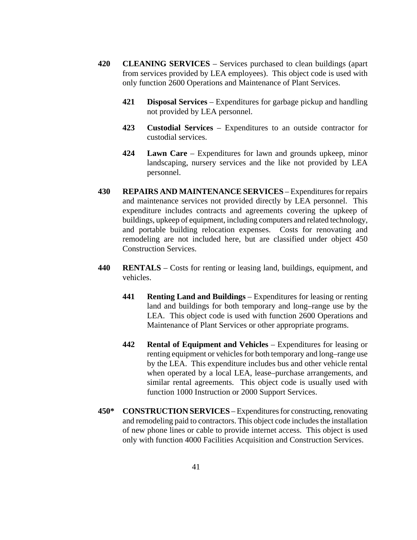- **420 CLEANING SERVICES** Services purchased to clean buildings (apart from services provided by LEA employees). This object code is used with only function 2600 Operations and Maintenance of Plant Services.
	- **421 Disposal Services** Expenditures for garbage pickup and handling not provided by LEA personnel.
	- **423 Custodial Services** Expenditures to an outside contractor for custodial services.
	- **424 Lawn Care** Expenditures for lawn and grounds upkeep, minor landscaping, nursery services and the like not provided by LEA personnel.
- **430 REPAIRS AND MAINTENANCE SERVICES** Expenditures for repairs and maintenance services not provided directly by LEA personnel. This expenditure includes contracts and agreements covering the upkeep of buildings, upkeep of equipment, including computers and related technology, and portable building relocation expenses. Costs for renovating and remodeling are not included here, but are classified under object 450 Construction Services.
- **440 RENTALS** Costs for renting or leasing land, buildings, equipment, and vehicles.
	- **441 Renting Land and Buildings** Expenditures for leasing or renting land and buildings for both temporary and long–range use by the LEA. This object code is used with function 2600 Operations and Maintenance of Plant Services or other appropriate programs.
	- **442 Rental of Equipment and Vehicles** Expenditures for leasing or renting equipment or vehicles for both temporary and long–range use by the LEA. This expenditure includes bus and other vehicle rental when operated by a local LEA, lease–purchase arrangements, and similar rental agreements. This object code is usually used with function 1000 Instruction or 2000 Support Services.
- **450\* CONSTRUCTION SERVICES** Expenditures for constructing, renovating and remodeling paid to contractors. This object code includes the installation of new phone lines or cable to provide internet access. This object is used only with function 4000 Facilities Acquisition and Construction Services.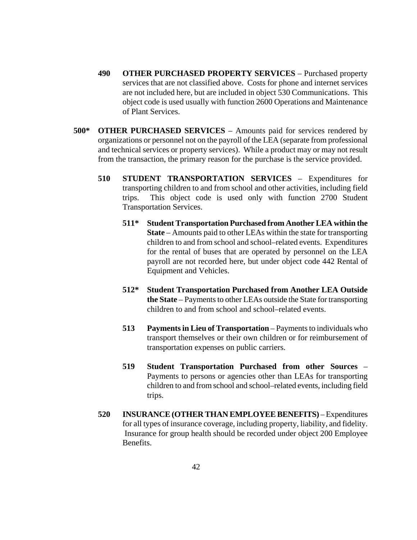- **490 OTHER PURCHASED PROPERTY SERVICES** Purchased property services that are not classified above. Costs for phone and internet services are not included here, but are included in object 530 Communications. This object code is used usually with function 2600 Operations and Maintenance of Plant Services.
- **500\* OTHER PURCHASED SERVICES** Amounts paid for services rendered by organizations or personnel not on the payroll of the LEA (separate from professional and technical services or property services). While a product may or may not result from the transaction, the primary reason for the purchase is the service provided.
	- **510 STUDENT TRANSPORTATION SERVICES** Expenditures for transporting children to and from school and other activities, including field trips. This object code is used only with function 2700 Student Transportation Services.
		- **511\* Student Transportation Purchased from Another LEA within the State** – Amounts paid to other LEAs within the state for transporting children to and from school and school–related events. Expenditures for the rental of buses that are operated by personnel on the LEA payroll are not recorded here, but under object code 442 Rental of Equipment and Vehicles.
		- **512\* Student Transportation Purchased from Another LEA Outside the State** – Payments to other LEAs outside the State for transporting children to and from school and school–related events.
		- **513 Payments in Lieu of Transportation** Payments to individuals who transport themselves or their own children or for reimbursement of transportation expenses on public carriers.
		- **519 Student Transportation Purchased from other Sources** Payments to persons or agencies other than LEAs for transporting children to and from school and school–related events, including field trips.
	- **520 INSURANCE (OTHER THAN EMPLOYEE BENEFITS)** Expenditures for all types of insurance coverage, including property, liability, and fidelity. Insurance for group health should be recorded under object 200 Employee Benefits.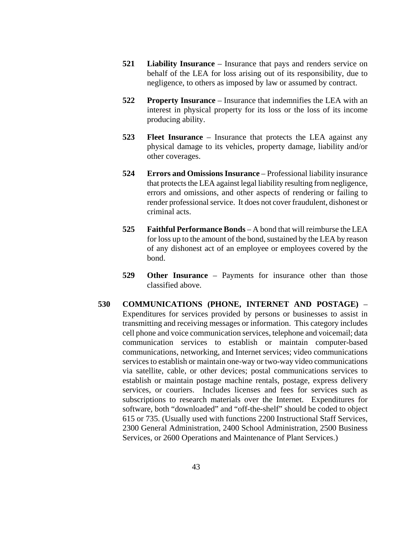- **521 Liability Insurance** Insurance that pays and renders service on behalf of the LEA for loss arising out of its responsibility, due to negligence, to others as imposed by law or assumed by contract.
- **522 Property Insurance** Insurance that indemnifies the LEA with an interest in physical property for its loss or the loss of its income producing ability.
- **523 Fleet Insurance** Insurance that protects the LEA against any physical damage to its vehicles, property damage, liability and/or other coverages.
- **524 Errors and Omissions Insurance** Professional liability insurance that protects the LEA against legal liability resulting from negligence, errors and omissions, and other aspects of rendering or failing to render professional service. It does not cover fraudulent, dishonest or criminal acts.
- **525 Faithful Performance Bonds** A bond that will reimburse the LEA for loss up to the amount of the bond, sustained by the LEA by reason of any dishonest act of an employee or employees covered by the bond.
- **529 Other Insurance** Payments for insurance other than those classified above.
- **530 COMMUNICATIONS (PHONE, INTERNET AND POSTAGE)**  Expenditures for services provided by persons or businesses to assist in transmitting and receiving messages or information. This category includes cell phone and voice communication services, telephone and voicemail; data communication services to establish or maintain computer-based communications, networking, and Internet services; video communications services to establish or maintain one-way or two-way video communications via satellite, cable, or other devices; postal communications services to establish or maintain postage machine rentals, postage, express delivery services, or couriers. Includes licenses and fees for services such as subscriptions to research materials over the Internet. Expenditures for software, both "downloaded" and "off-the-shelf" should be coded to object 615 or 735. (Usually used with functions 2200 Instructional Staff Services, 2300 General Administration, 2400 School Administration, 2500 Business Services, or 2600 Operations and Maintenance of Plant Services.)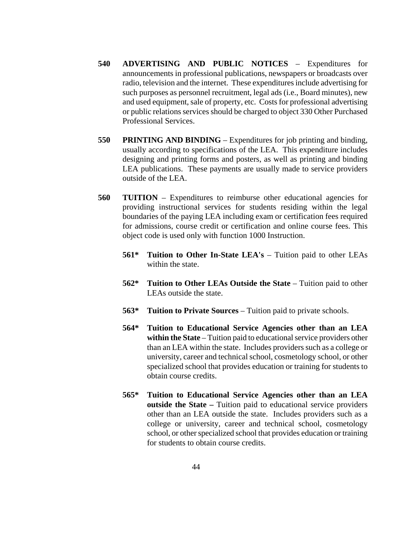- **540 ADVERTISING AND PUBLIC NOTICES** Expenditures for announcements in professional publications, newspapers or broadcasts over radio, television and the internet. These expenditures include advertising for such purposes as personnel recruitment, legal ads (i.e., Board minutes), new and used equipment, sale of property, etc. Costs for professional advertising or public relations services should be charged to object 330 Other Purchased Professional Services.
- **550 PRINTING AND BINDING** Expenditures for job printing and binding, usually according to specifications of the LEA. This expenditure includes designing and printing forms and posters, as well as printing and binding LEA publications. These payments are usually made to service providers outside of the LEA.
- **560 TUITION** Expenditures to reimburse other educational agencies for providing instructional services for students residing within the legal boundaries of the paying LEA including exam or certification fees required for admissions, course credit or certification and online course fees. This object code is used only with function 1000 Instruction.
	- **561\* Tuition to Other In-State LEA's** Tuition paid to other LEAs within the state.
	- **562\* Tuition to Other LEAs Outside the State** Tuition paid to other LEAs outside the state.
	- **563\* Tuition to Private Sources** Tuition paid to private schools.
	- **564\* Tuition to Educational Service Agencies other than an LEA within the State** – Tuition paid to educational service providers other than an LEA within the state. Includes providers such as a college or university, career and technical school, cosmetology school, or other specialized school that provides education or training for students to obtain course credits.
	- **565\* Tuition to Educational Service Agencies other than an LEA outside the State –** Tuition paid to educational service providers other than an LEA outside the state. Includes providers such as a college or university, career and technical school, cosmetology school, or other specialized school that provides education or training for students to obtain course credits.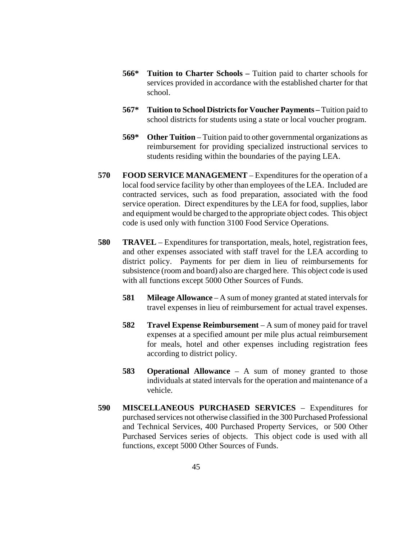- **566\* Tuition to Charter Schools –** Tuition paid to charter schools for services provided in accordance with the established charter for that school.
- **567\* Tuition to School Districts for Voucher Payments –** Tuition paid to school districts for students using a state or local voucher program.
- **569\* Other Tuition** Tuition paid to other governmental organizations as reimbursement for providing specialized instructional services to students residing within the boundaries of the paying LEA.
- **570 FOOD SERVICE MANAGEMENT** Expenditures for the operation of a local food service facility by other than employees of the LEA. Included are contracted services, such as food preparation, associated with the food service operation. Direct expenditures by the LEA for food, supplies, labor and equipment would be charged to the appropriate object codes. This object code is used only with function 3100 Food Service Operations.
- **580 TRAVEL** Expenditures for transportation, meals, hotel, registration fees, and other expenses associated with staff travel for the LEA according to district policy. Payments for per diem in lieu of reimbursements for subsistence (room and board) also are charged here. This object code is used with all functions except 5000 Other Sources of Funds.
	- **581 Mileage Allowance** A sum of money granted at stated intervals for travel expenses in lieu of reimbursement for actual travel expenses.
	- **582 Travel Expense Reimbursement** A sum of money paid for travel expenses at a specified amount per mile plus actual reimbursement for meals, hotel and other expenses including registration fees according to district policy.
	- **583 Operational Allowance** A sum of money granted to those individuals at stated intervals for the operation and maintenance of a vehicle.
- **590 MISCELLANEOUS PURCHASED SERVICES** Expenditures for purchased services not otherwise classified in the 300 Purchased Professional and Technical Services, 400 Purchased Property Services, or 500 Other Purchased Services series of objects. This object code is used with all functions, except 5000 Other Sources of Funds.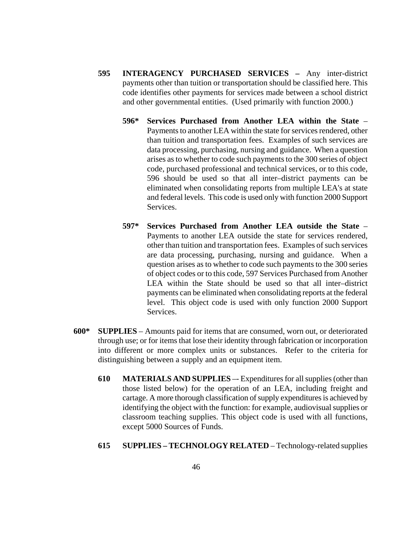- **595 INTERAGENCY PURCHASED SERVICES –** Any inter-district payments other than tuition or transportation should be classified here. This code identifies other payments for services made between a school district and other governmental entities. (Used primarily with function 2000.)
	- **596\* Services Purchased from Another LEA within the State**  Payments to another LEA within the state for services rendered, other than tuition and transportation fees. Examples of such services are data processing, purchasing, nursing and guidance. When a question arises as to whether to code such payments to the 300 series of object code, purchased professional and technical services, or to this code, 596 should be used so that all inter–district payments can be eliminated when consolidating reports from multiple LEA's at state and federal levels. This code is used only with function 2000 Support Services.
	- **597\* Services Purchased from Another LEA outside the State** Payments to another LEA outside the state for services rendered, other than tuition and transportation fees. Examples of such services are data processing, purchasing, nursing and guidance. When a question arises as to whether to code such payments to the 300 series of object codes or to this code, 597 Services Purchased from Another LEA within the State should be used so that all inter–district payments can be eliminated when consolidating reports at the federal level. This object code is used with only function 2000 Support Services.
- **600\* SUPPLIES** Amounts paid for items that are consumed, worn out, or deteriorated through use; or for items that lose their identity through fabrication or incorporation into different or more complex units or substances. Refer to the criteria for distinguishing between a supply and an equipment item.
	- **610 MATERIALS AND SUPPLIES** –- Expenditures for all supplies (other than those listed below) for the operation of an LEA, including freight and cartage. A more thorough classification of supply expenditures is achieved by identifying the object with the function: for example, audiovisual supplies or classroom teaching supplies. This object code is used with all functions, except 5000 Sources of Funds.
	- **615 SUPPLIES – TECHNOLOGY RELATED** Technology-related supplies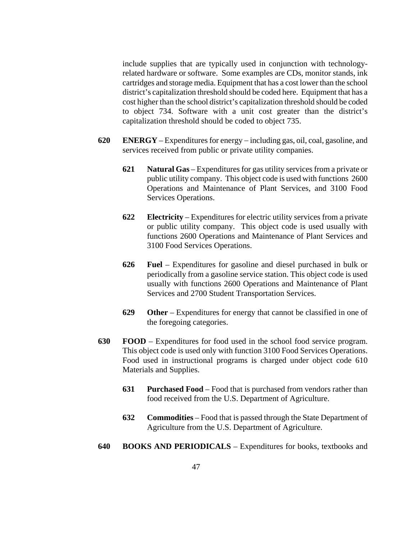include supplies that are typically used in conjunction with technologyrelated hardware or software. Some examples are CDs, monitor stands, ink cartridges and storage media. Equipment that has a cost lower than the school district's capitalization threshold should be coded here. Equipment that has a cost higher than the school district's capitalization threshold should be coded to object 734. Software with a unit cost greater than the district's capitalization threshold should be coded to object 735.

- **620 ENERGY** Expenditures for energy − including gas, oil, coal, gasoline, and services received from public or private utility companies.
	- **621 Natural Gas** Expenditures for gas utility services from a private or public utility company. This object code is used with functions 2600 Operations and Maintenance of Plant Services, and 3100 Food Services Operations.
	- **622 Electricity** Expenditures for electric utility services from a private or public utility company. This object code is used usually with functions 2600 Operations and Maintenance of Plant Services and 3100 Food Services Operations.
	- **626 Fuel** Expenditures for gasoline and diesel purchased in bulk or periodically from a gasoline service station. This object code is used usually with functions 2600 Operations and Maintenance of Plant Services and 2700 Student Transportation Services.
	- **629 Other** Expenditures for energy that cannot be classified in one of the foregoing categories.
- **630 FOOD** Expenditures for food used in the school food service program. This object code is used only with function 3100 Food Services Operations. Food used in instructional programs is charged under object code 610 Materials and Supplies.
	- **631 Purchased Food** Food that is purchased from vendors rather than food received from the U.S. Department of Agriculture.
	- **632 Commodities** Food that is passed through the State Department of Agriculture from the U.S. Department of Agriculture.
- **640 BOOKS AND PERIODICALS** Expenditures for books, textbooks and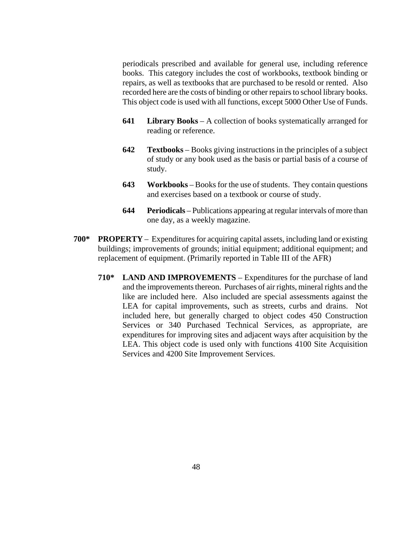periodicals prescribed and available for general use, including reference books. This category includes the cost of workbooks, textbook binding or repairs, as well as textbooks that are purchased to be resold or rented. Also recorded here are the costs of binding or other repairs to school library books. This object code is used with all functions, except 5000 Other Use of Funds.

- **641 Library Books** A collection of books systematically arranged for reading or reference.
- **642 Textbooks** Books giving instructions in the principles of a subject of study or any book used as the basis or partial basis of a course of study.
- **643 Workbooks** Booksfor the use of students. They contain questions and exercises based on a textbook or course of study.
- **644 Periodicals** Publications appearing at regular intervals of more than one day, as a weekly magazine.
- **700\* PROPERTY** Expenditures for acquiring capital assets, including land or existing buildings; improvements of grounds; initial equipment; additional equipment; and replacement of equipment. (Primarily reported in Table III of the AFR)
	- **710\* LAND AND IMPROVEMENTS** Expenditures for the purchase of land and the improvements thereon. Purchases of air rights, mineral rights and the like are included here. Also included are special assessments against the LEA for capital improvements, such as streets, curbs and drains. Not included here, but generally charged to object codes 450 Construction Services or 340 Purchased Technical Services, as appropriate, are expenditures for improving sites and adjacent ways after acquisition by the LEA. This object code is used only with functions 4100 Site Acquisition Services and 4200 Site Improvement Services.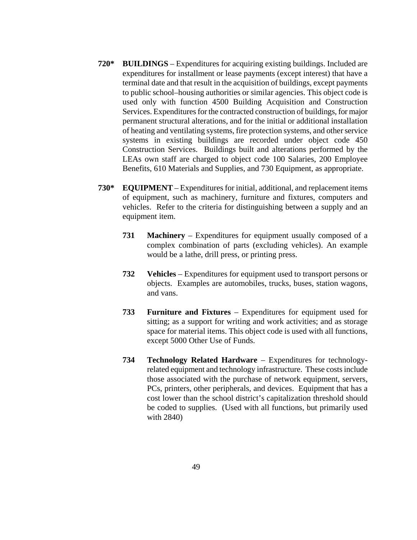- **720\* BUILDINGS** Expenditures for acquiring existing buildings. Included are expenditures for installment or lease payments (except interest) that have a terminal date and that result in the acquisition of buildings, except payments to public school–housing authorities or similar agencies. This object code is used only with function 4500 Building Acquisition and Construction Services. Expenditures for the contracted construction of buildings, for major permanent structural alterations, and for the initial or additional installation of heating and ventilating systems, fire protection systems, and other service systems in existing buildings are recorded under object code 450 Construction Services. Buildings built and alterations performed by the LEAs own staff are charged to object code 100 Salaries, 200 Employee Benefits, 610 Materials and Supplies, and 730 Equipment, as appropriate.
- **730\* EQUIPMENT** Expenditures for initial, additional, and replacement items of equipment, such as machinery, furniture and fixtures, computers and vehicles. Refer to the criteria for distinguishing between a supply and an equipment item.
	- **731 Machinery** Expenditures for equipment usually composed of a complex combination of parts (excluding vehicles). An example would be a lathe, drill press, or printing press.
	- **732 Vehicles** Expenditures for equipment used to transport persons or objects. Examples are automobiles, trucks, buses, station wagons, and vans.
	- **733 Furniture and Fixtures** Expenditures for equipment used for sitting; as a support for writing and work activities; and as storage space for material items. This object code is used with all functions, except 5000 Other Use of Funds.
	- **734 Technology Related Hardware** Expenditures for technologyrelated equipment and technology infrastructure. These costs include those associated with the purchase of network equipment, servers, PCs, printers, other peripherals, and devices. Equipment that has a cost lower than the school district's capitalization threshold should be coded to supplies. (Used with all functions, but primarily used with 2840)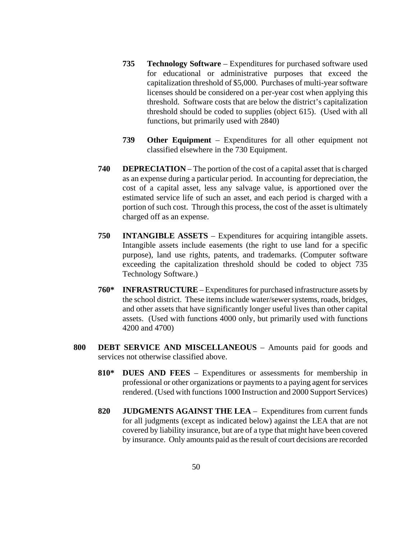- **735 Technology Software** Expenditures for purchased software used for educational or administrative purposes that exceed the capitalization threshold of \$5,000. Purchases of multi-year software licenses should be considered on a per-year cost when applying this threshold. Software costs that are below the district's capitalization threshold should be coded to supplies (object 615). (Used with all functions, but primarily used with 2840)
- **739 Other Equipment** Expenditures for all other equipment not classified elsewhere in the 730 Equipment.
- **740 DEPRECIATION** The portion of the cost of a capital asset that is charged as an expense during a particular period. In accounting for depreciation, the cost of a capital asset, less any salvage value, is apportioned over the estimated service life of such an asset, and each period is charged with a portion of such cost. Through this process, the cost of the asset is ultimately charged off as an expense.
- **750 INTANGIBLE ASSETS** Expenditures for acquiring intangible assets. Intangible assets include easements (the right to use land for a specific purpose), land use rights, patents, and trademarks. (Computer software exceeding the capitalization threshold should be coded to object 735 Technology Software.)
- **760\* INFRASTRUCTURE** Expenditures for purchased infrastructure assets by the school district. These items include water/sewer systems, roads, bridges, and other assets that have significantly longer useful lives than other capital assets. (Used with functions 4000 only, but primarily used with functions 4200 and 4700)
- **800 DEBT SERVICE AND MISCELLANEOUS** Amounts paid for goods and services not otherwise classified above.
	- **810\* DUES AND FEES** Expenditures or assessments for membership in professional or other organizations or payments to a paying agent for services rendered. (Used with functions 1000 Instruction and 2000 Support Services)
	- **820 JUDGMENTS AGAINST THE LEA** Expenditures from current funds for all judgments (except as indicated below) against the LEA that are not covered by liability insurance, but are of a type that might have been covered by insurance. Only amounts paid as the result of court decisions are recorded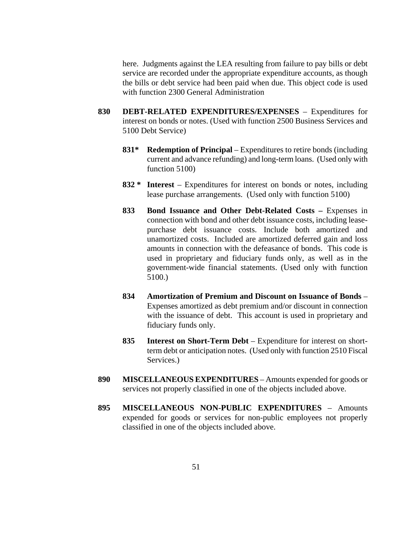here. Judgments against the LEA resulting from failure to pay bills or debt service are recorded under the appropriate expenditure accounts, as though the bills or debt service had been paid when due. This object code is used with function 2300 General Administration

- **830 DEBT-RELATED EXPENDITURES/EXPENSES** Expenditures for interest on bonds or notes. (Used with function 2500 Business Services and 5100 Debt Service)
	- **831\* Redemption of Principal** Expenditures to retire bonds (including current and advance refunding) and long-term loans. (Used only with function 5100)
	- **832 \* Interest** Expenditures for interest on bonds or notes, including lease purchase arrangements. (Used only with function 5100)
	- **833 Bond Issuance and Other Debt-Related Costs –** Expenses in connection with bond and other debt issuance costs, including leasepurchase debt issuance costs. Include both amortized and unamortized costs. Included are amortized deferred gain and loss amounts in connection with the defeasance of bonds. This code is used in proprietary and fiduciary funds only, as well as in the government-wide financial statements. (Used only with function 5100.)
	- **834 Amortization of Premium and Discount on Issuance of Bonds** Expenses amortized as debt premium and/or discount in connection with the issuance of debt. This account is used in proprietary and fiduciary funds only.
	- **835 Interest on Short-Term Debt** Expenditure for interest on shortterm debt or anticipation notes. (Used only with function 2510 Fiscal Services.)
- **890 MISCELLANEOUS EXPENDITURES** Amounts expended for goods or services not properly classified in one of the objects included above.
- **895 MISCELLANEOUS NON-PUBLIC EXPENDITURES** Amounts expended for goods or services for non-public employees not properly classified in one of the objects included above.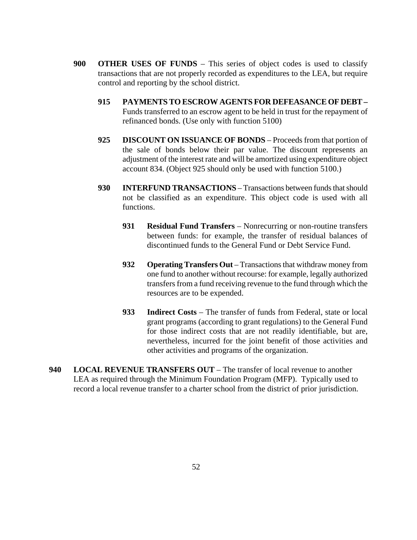- **900 OTHER USES OF FUNDS** This series of object codes is used to classify transactions that are not properly recorded as expenditures to the LEA, but require control and reporting by the school district.
	- **915 PAYMENTS TO ESCROW AGENTS FOR DEFEASANCE OF DEBT –** Funds transferred to an escrow agent to be held in trust for the repayment of refinanced bonds. (Use only with function 5100)
	- **925 DISCOUNT ON ISSUANCE OF BONDS** Proceeds from that portion of the sale of bonds below their par value. The discount represents an adjustment of the interest rate and will be amortized using expenditure object account 834. (Object 925 should only be used with function 5100.)
	- **930 INTERFUND TRANSACTIONS** Transactions between funds that should not be classified as an expenditure. This object code is used with all functions.
		- **931 Residual Fund Transfers** Nonrecurring or non-routine transfers between funds: for example, the transfer of residual balances of discontinued funds to the General Fund or Debt Service Fund.
		- **932 Operating Transfers Out** Transactions that withdraw money from one fund to another without recourse: for example, legally authorized transfers from a fund receiving revenue to the fund through which the resources are to be expended.
		- **933 Indirect Costs** The transfer of funds from Federal, state or local grant programs (according to grant regulations) to the General Fund for those indirect costs that are not readily identifiable, but are, nevertheless, incurred for the joint benefit of those activities and other activities and programs of the organization.
- **940 LOCAL REVENUE TRANSFERS OUT**  The transfer of local revenue to another LEA as required through the Minimum Foundation Program (MFP). Typically used to record a local revenue transfer to a charter school from the district of prior jurisdiction.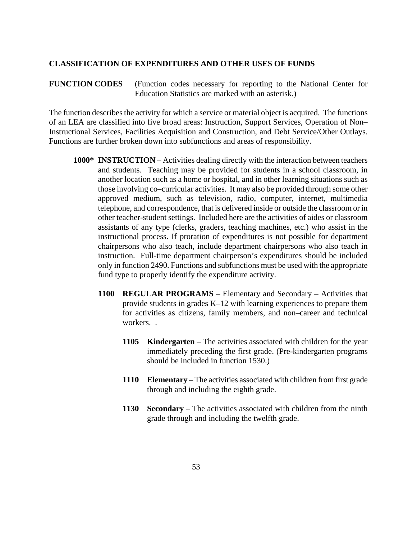## **CLASSIFICATION OF EXPENDITURES AND OTHER USES OF FUNDS**

## **FUNCTION CODES** (Function codes necessary for reporting to the National Center for Education Statistics are marked with an asterisk.)

The function describes the activity for which a service or material object is acquired. The functions of an LEA are classified into five broad areas: Instruction, Support Services, Operation of Non– Instructional Services, Facilities Acquisition and Construction, and Debt Service/Other Outlays. Functions are further broken down into subfunctions and areas of responsibility.

- **1000\* INSTRUCTION** Activities dealing directly with the interaction between teachers and students. Teaching may be provided for students in a school classroom, in another location such as a home or hospital, and in other learning situations such as those involving co–curricular activities. It may also be provided through some other approved medium, such as television, radio, computer, internet, multimedia telephone, and correspondence, that is delivered inside or outside the classroom or in other teacher-student settings. Included here are the activities of aides or classroom assistants of any type (clerks, graders, teaching machines, etc.) who assist in the instructional process. If proration of expenditures is not possible for department chairpersons who also teach, include department chairpersons who also teach in instruction. Full-time department chairperson's expenditures should be included only in function 2490. Functions and subfunctions must be used with the appropriate fund type to properly identify the expenditure activity.
	- **1100 REGULAR PROGRAMS** Elementary and Secondary Activities that provide students in grades K–12 with learning experiences to prepare them for activities as citizens, family members, and non–career and technical workers. .
		- **1105 Kindergarten** The activities associated with children for the year immediately preceding the first grade. (Pre-kindergarten programs should be included in function 1530.)
		- **1110 Elementary** The activities associated with children from first grade through and including the eighth grade.
		- **1130 Secondary** The activities associated with children from the ninth grade through and including the twelfth grade.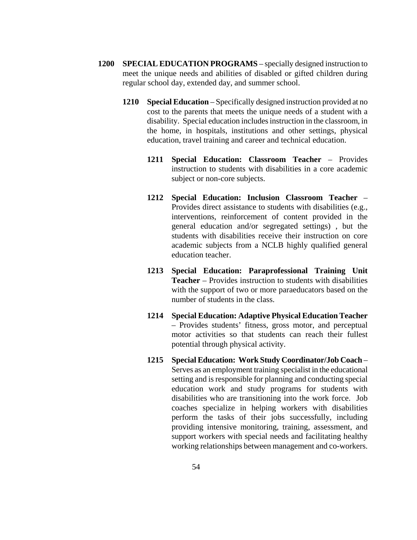- **1200 SPECIAL EDUCATION PROGRAMS** specially designed instruction to meet the unique needs and abilities of disabled or gifted children during regular school day, extended day, and summer school.
	- **1210 Special Education** Specifically designed instruction provided at no cost to the parents that meets the unique needs of a student with a disability. Special education includes instruction in the classroom, in the home, in hospitals, institutions and other settings, physical education, travel training and career and technical education.
		- **1211 Special Education: Classroom Teacher** Provides instruction to students with disabilities in a core academic subject or non-core subjects.
		- **1212 Special Education: Inclusion Classroom Teacher** Provides direct assistance to students with disabilities (e.g., interventions, reinforcement of content provided in the general education and/or segregated settings) , but the students with disabilities receive their instruction on core academic subjects from a NCLB highly qualified general education teacher.
		- **1213 Special Education: Paraprofessional Training Unit Teacher** – Provides instruction to students with disabilities with the support of two or more paraeducators based on the number of students in the class.
		- **1214 Special Education: Adaptive Physical Education Teacher** – Provides students' fitness, gross motor, and perceptual motor activities so that students can reach their fullest potential through physical activity.
		- **1215 Special Education: Work Study Coordinator/Job Coach** Serves as an employment training specialist in the educational setting and is responsible for planning and conducting special education work and study programs for students with disabilities who are transitioning into the work force. Job coaches specialize in helping workers with disabilities perform the tasks of their jobs successfully, including providing intensive monitoring, training, assessment, and support workers with special needs and facilitating healthy working relationships between management and co-workers.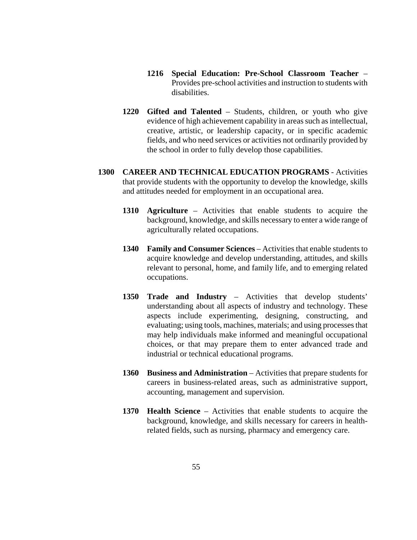- **1216 Special Education: Pre-School Classroom Teacher**  Provides pre-school activities and instruction to students with disabilities.
- **1220 Gifted and Talented** Students, children, or youth who give evidence of high achievement capability in areas such as intellectual, creative, artistic, or leadership capacity, or in specific academic fields, and who need services or activities not ordinarily provided by the school in order to fully develop those capabilities.
- **1300 CAREER AND TECHNICAL EDUCATION PROGRAMS** Activities that provide students with the opportunity to develop the knowledge, skills and attitudes needed for employment in an occupational area.
	- **1310 Agriculture** Activities that enable students to acquire the background, knowledge, and skills necessary to enter a wide range of agriculturally related occupations.
	- **1340 Family and Consumer Sciences** Activities that enable students to acquire knowledge and develop understanding, attitudes, and skills relevant to personal, home, and family life, and to emerging related occupations.
	- **1350 Trade and Industry** Activities that develop students' understanding about all aspects of industry and technology. These aspects include experimenting, designing, constructing, and evaluating; using tools, machines, materials; and using processes that may help individuals make informed and meaningful occupational choices, or that may prepare them to enter advanced trade and industrial or technical educational programs.
	- **1360 Business and Administration** Activities that prepare students for careers in business-related areas, such as administrative support, accounting, management and supervision.
	- **1370 Health Science** Activities that enable students to acquire the background, knowledge, and skills necessary for careers in healthrelated fields, such as nursing, pharmacy and emergency care.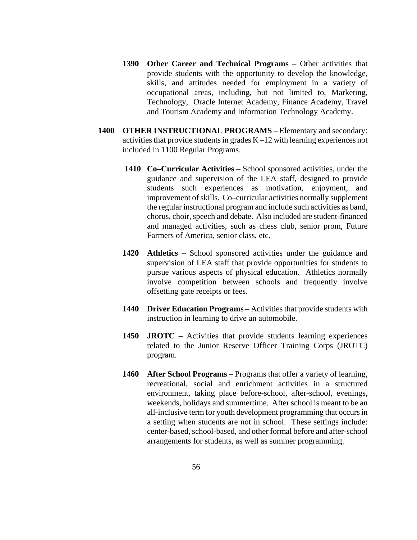- **1390 Other Career and Technical Programs** Other activities that provide students with the opportunity to develop the knowledge, skills, and attitudes needed for employment in a variety of occupational areas, including, but not limited to, Marketing, Technology, Oracle Internet Academy, Finance Academy, Travel and Tourism Academy and Information Technology Academy.
- **1400 OTHER INSTRUCTIONAL PROGRAMS** Elementary and secondary: activities that provide students in grades K –12 with learning experiences not included in 1100 Regular Programs.
	- **1410 Co–Curricular Activities** School sponsored activities, under the guidance and supervision of the LEA staff, designed to provide students such experiences as motivation, enjoyment, and improvement of skills. Co–curricular activities normally supplement the regular instructional program and include such activities as band, chorus, choir, speech and debate. Also included are student-financed and managed activities, such as chess club, senior prom, Future Farmers of America, senior class, etc.
	- **1420 Athletics** School sponsored activities under the guidance and supervision of LEA staff that provide opportunities for students to pursue various aspects of physical education. Athletics normally involve competition between schools and frequently involve offsetting gate receipts or fees.
	- **1440 Driver Education Programs** Activities that provide students with instruction in learning to drive an automobile.
	- **1450 JROTC**  Activities that provide students learning experiences related to the Junior Reserve Officer Training Corps (JROTC) program.
	- **1460 After School Programs** Programs that offer a variety of learning, recreational, social and enrichment activities in a structured environment, taking place before-school, after-school, evenings, weekends, holidays and summertime. After school is meant to be an all-inclusive term for youth development programming that occurs in a setting when students are not in school. These settings include: center-based, school-based, and other formal before and after-school arrangements for students, as well as summer programming.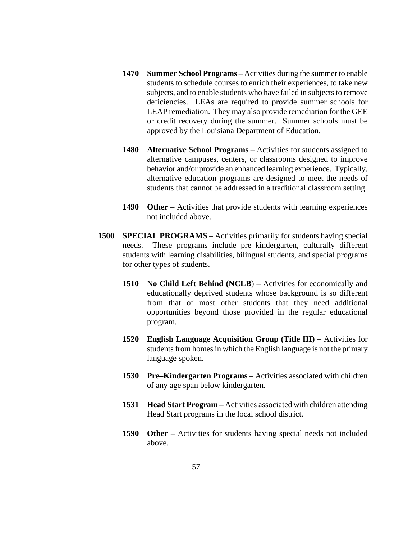- **1470 Summer School Programs**  Activities during the summer to enable students to schedule courses to enrich their experiences, to take new subjects, and to enable students who have failed in subjects to remove deficiencies. LEAs are required to provide summer schools for LEAP remediation. They may also provide remediation for the GEE or credit recovery during the summer. Summer schools must be approved by the Louisiana Department of Education.
- **1480 Alternative School Programs** Activities for students assigned to alternative campuses, centers, or classrooms designed to improve behavior and/or provide an enhanced learning experience. Typically, alternative education programs are designed to meet the needs of students that cannot be addressed in a traditional classroom setting.
- **1490 Other** Activities that provide students with learning experiences not included above.
- **1500 SPECIAL PROGRAMS** Activities primarily for students having special needs. These programs include pre–kindergarten, culturally different students with learning disabilities, bilingual students, and special programs for other types of students.
	- **1510 No Child Left Behind (NCLB**) Activities for economically and educationally deprived students whose background is so different from that of most other students that they need additional opportunities beyond those provided in the regular educational program.
	- **1520 English Language Acquisition Group (Title III)** Activities for students from homes in which the English language is not the primary language spoken.
	- **1530 Pre–Kindergarten Programs** Activities associated with children of any age span below kindergarten.
	- **1531 Head Start Program** Activities associated with children attending Head Start programs in the local school district.
	- **1590 Other** Activities for students having special needs not included above.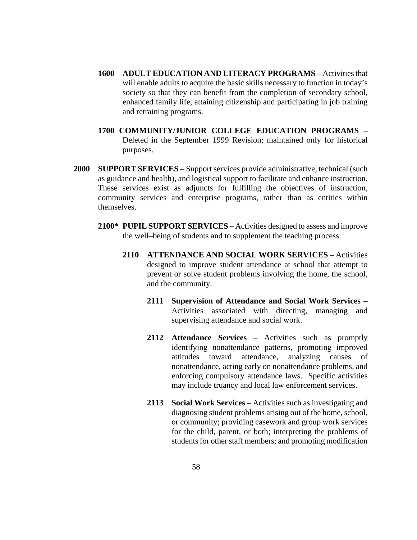- **1600 ADULT EDUCATION AND LITERACY PROGRAMS**  Activities that will enable adults to acquire the basic skills necessary to function in today's society so that they can benefit from the completion of secondary school, enhanced family life, attaining citizenship and participating in job training and retraining programs.
- **1700 COMMUNITY/JUNIOR COLLEGE EDUCATION PROGRAMS** Deleted in the September 1999 Revision; maintained only for historical purposes.
- **2000 SUPPORT SERVICES** Support services provide administrative, technical (such as guidance and health), and logistical support to facilitate and enhance instruction. These services exist as adjuncts for fulfilling the objectives of instruction, community services and enterprise programs, rather than as entities within themselves.
	- **2100\* PUPIL SUPPORT SERVICES** Activities designed to assess and improve the well–being of students and to supplement the teaching process.
		- **2110 ATTENDANCE AND SOCIAL WORK SERVICES**  Activities designed to improve student attendance at school that attempt to prevent or solve student problems involving the home, the school, and the community.
			- **2111 Supervision of Attendance and Social Work Services** Activities associated with directing, managing and supervising attendance and social work.
			- **2112 Attendance Services** Activities such as promptly identifying nonattendance patterns, promoting improved attitudes toward attendance, analyzing causes of nonattendance, acting early on nonattendance problems, and enforcing compulsory attendance laws. Specific activities may include truancy and local law enforcement services.
			- **2113 Social Work Services** Activities such as investigating and diagnosing student problems arising out of the home, school, or community; providing casework and group work services for the child, parent, or both; interpreting the problems of students for other staff members; and promoting modification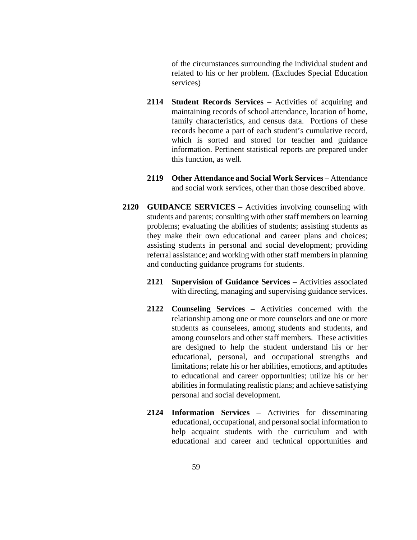of the circumstances surrounding the individual student and related to his or her problem. (Excludes Special Education services)

- **2114 Student Records Services** Activities of acquiring and maintaining records of school attendance, location of home, family characteristics, and census data. Portions of these records become a part of each student's cumulative record, which is sorted and stored for teacher and guidance information. Pertinent statistical reports are prepared under this function, as well.
- **2119 Other Attendance and Social Work Services** Attendance and social work services, other than those described above.
- **2120 GUIDANCE SERVICES** Activities involving counseling with students and parents; consulting with other staff members on learning problems; evaluating the abilities of students; assisting students as they make their own educational and career plans and choices; assisting students in personal and social development; providing referral assistance; and working with other staff members in planning and conducting guidance programs for students.
	- **2121 Supervision of Guidance Services** *–* Activities associated with directing, managing and supervising guidance services.
	- **2122 Counseling Services** Activities concerned with the relationship among one or more counselors and one or more students as counselees, among students and students, and among counselors and other staff members. These activities are designed to help the student understand his or her educational, personal, and occupational strengths and limitations; relate his or her abilities, emotions, and aptitudes to educational and career opportunities; utilize his or her abilities in formulating realistic plans; and achieve satisfying personal and social development.
	- **2124 Information Services** Activities for disseminating educational, occupational, and personal social information to help acquaint students with the curriculum and with educational and career and technical opportunities and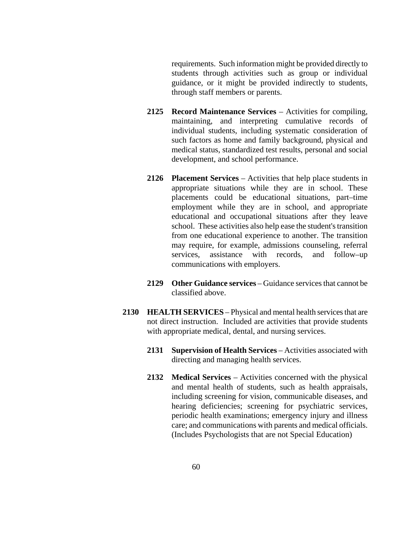requirements. Such information might be provided directly to students through activities such as group or individual guidance, or it might be provided indirectly to students, through staff members or parents.

- **2125 Record Maintenance Services** Activities for compiling, maintaining, and interpreting cumulative records of individual students, including systematic consideration of such factors as home and family background, physical and medical status, standardized test results, personal and social development, and school performance.
- **2126 Placement Services** Activities that help place students in appropriate situations while they are in school. These placements could be educational situations, part–time employment while they are in school, and appropriate educational and occupational situations after they leave school. These activities also help ease the student's transition from one educational experience to another. The transition may require, for example, admissions counseling, referral services, assistance with records, and follow–up communications with employers.
- **2129 Other Guidance services** Guidance services that cannot be classified above.
- **2130 HEALTH SERVICES** Physical and mental health services that are not direct instruction. Included are activities that provide students with appropriate medical, dental, and nursing services.
	- **2131 Supervision of Health Services** Activities associated with directing and managing health services.
	- **2132 Medical Services** Activities concerned with the physical and mental health of students, such as health appraisals, including screening for vision, communicable diseases, and hearing deficiencies; screening for psychiatric services, periodic health examinations; emergency injury and illness care; and communications with parents and medical officials. (Includes Psychologists that are not Special Education)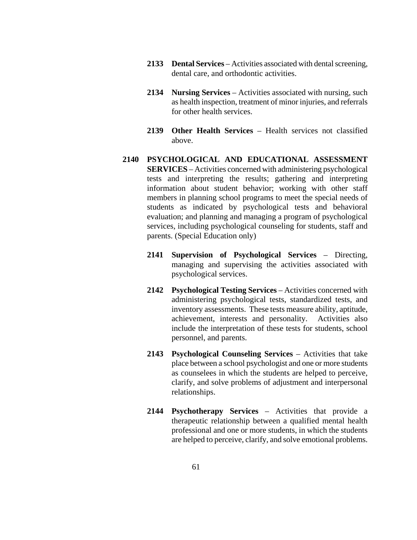- **2133 Dental Services** Activities associated with dental screening, dental care, and orthodontic activities.
- **2134 Nursing Services** Activities associated with nursing, such as health inspection, treatment of minor injuries, and referrals for other health services.
- **2139 Other Health Services** Health services not classified above.
- **2140 PSYCHOLOGICAL AND EDUCATIONAL ASSESSMENT SERVICES** – Activities concerned with administering psychological tests and interpreting the results; gathering and interpreting information about student behavior; working with other staff members in planning school programs to meet the special needs of students as indicated by psychological tests and behavioral evaluation; and planning and managing a program of psychological services, including psychological counseling for students, staff and parents. (Special Education only)
	- **2141 Supervision of Psychological Services** Directing, managing and supervising the activities associated with psychological services.
	- **2142 Psychological Testing Services** Activities concerned with administering psychological tests, standardized tests, and inventory assessments. These tests measure ability, aptitude, achievement, interests and personality. Activities also include the interpretation of these tests for students, school personnel, and parents.
	- **2143 Psychological Counseling Services** Activities that take place between a school psychologist and one or more students as counselees in which the students are helped to perceive, clarify, and solve problems of adjustment and interpersonal relationships.
	- **2144 Psychotherapy Services** Activities that provide a therapeutic relationship between a qualified mental health professional and one or more students, in which the students are helped to perceive, clarify, and solve emotional problems.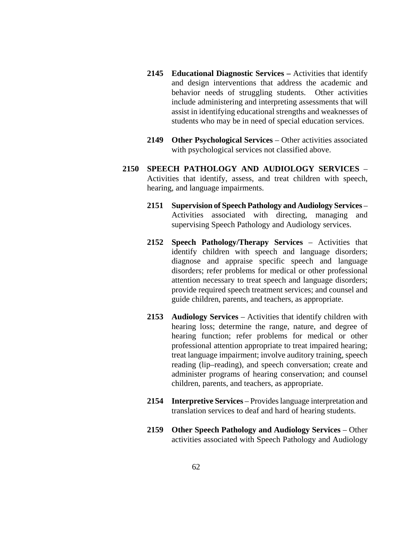- **2145 Educational Diagnostic Services –** Activities that identify and design interventions that address the academic and behavior needs of struggling students. Other activities include administering and interpreting assessments that will assist in identifying educational strengths and weaknesses of students who may be in need of special education services.
- **2149 Other Psychological Services** Other activities associated with psychological services not classified above.
- **2150 SPEECH PATHOLOGY AND AUDIOLOGY SERVICES** Activities that identify, assess, and treat children with speech, hearing, and language impairments.
	- **2151 Supervision of Speech Pathology and Audiology Services** Activities associated with directing, managing and supervising Speech Pathology and Audiology services.
	- **2152 Speech Pathology/Therapy Services** Activities that identify children with speech and language disorders; diagnose and appraise specific speech and language disorders; refer problems for medical or other professional attention necessary to treat speech and language disorders; provide required speech treatment services; and counsel and guide children, parents, and teachers, as appropriate.
	- **2153 Audiology Services** Activities that identify children with hearing loss; determine the range, nature, and degree of hearing function; refer problems for medical or other professional attention appropriate to treat impaired hearing; treat language impairment; involve auditory training, speech reading (lip–reading), and speech conversation; create and administer programs of hearing conservation; and counsel children, parents, and teachers, as appropriate.
	- **2154 Interpretive Services** Provides language interpretation and translation services to deaf and hard of hearing students.
	- **2159 Other Speech Pathology and Audiology Services** Other activities associated with Speech Pathology and Audiology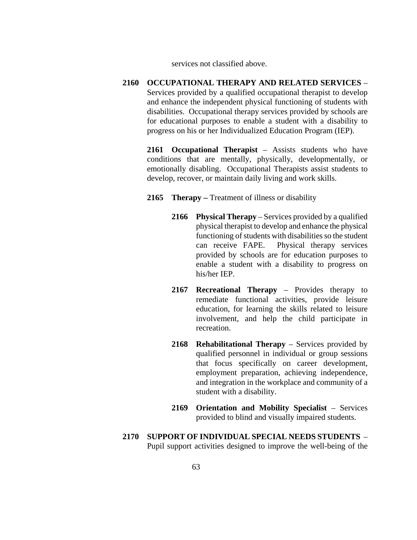services not classified above.

**2160 OCCUPATIONAL THERAPY AND RELATED SERVICES** – Services provided by a qualified occupational therapist to develop and enhance the independent physical functioning of students with disabilities. Occupational therapy services provided by schools are for educational purposes to enable a student with a disability to progress on his or her Individualized Education Program (IEP).

**2161 Occupational Therapist** – Assists students who have conditions that are mentally, physically, developmentally, or emotionally disabling. Occupational Therapists assist students to develop, recover, or maintain daily living and work skills.

- **2165 Therapy –** Treatment of illness or disability
	- **2166 Physical Therapy** Services provided by a qualified physical therapist to develop and enhance the physical functioning of students with disabilities so the student can receive FAPE. Physical therapy services provided by schools are for education purposes to enable a student with a disability to progress on his/her IEP.
	- **2167 Recreational Therapy** Provides therapy to remediate functional activities, provide leisure education, for learning the skills related to leisure involvement, and help the child participate in recreation.
	- **2168 Rehabilitational Therapy** Services provided by qualified personnel in individual or group sessions that focus specifically on career development, employment preparation, achieving independence, and integration in the workplace and community of a student with a disability.
	- **2169 Orientation and Mobility Specialist** Services provided to blind and visually impaired students.
- **2170 SUPPORT OF INDIVIDUAL SPECIAL NEEDS STUDENTS**  Pupil support activities designed to improve the well-being of the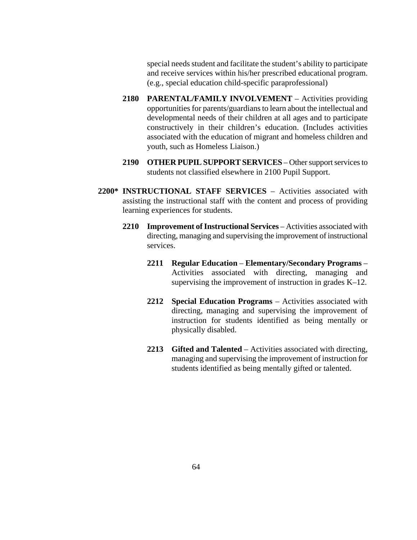special needs student and facilitate the student's ability to participate and receive services within his/her prescribed educational program. (e.g., special education child-specific paraprofessional)

- **2180 PARENTAL/FAMILY INVOLVEMENT** Activities providing opportunities for parents/guardians to learn about the intellectual and developmental needs of their children at all ages and to participate constructively in their children's education. (Includes activities associated with the education of migrant and homeless children and youth, such as Homeless Liaison.)
- **2190 OTHER PUPIL SUPPORT SERVICES** Other support services to students not classified elsewhere in 2100 Pupil Support.
- **2200\* INSTRUCTIONAL STAFF SERVICES** Activities associated with assisting the instructional staff with the content and process of providing learning experiences for students.
	- **2210 Improvement of Instructional Services** Activities associated with directing, managing and supervising the improvement of instructional services.
		- **2211 Regular Education Elementary/Secondary Programs**  Activities associated with directing, managing and supervising the improvement of instruction in grades K–12.
		- **2212 Special Education Programs** Activities associated with directing, managing and supervising the improvement of instruction for students identified as being mentally or physically disabled.
		- **2213 Gifted and Talented** Activities associated with directing, managing and supervising the improvement of instruction for students identified as being mentally gifted or talented.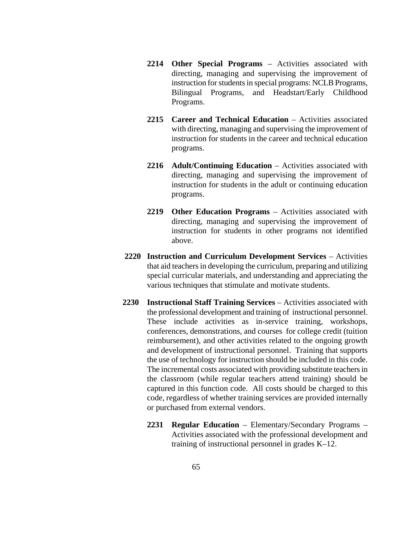- **2214 Other Special Programs** Activities associated with directing, managing and supervising the improvement of instruction for students in special programs: NCLB Programs, Bilingual Programs, and Headstart/Early Childhood Programs.
- **2215 Career and Technical Education** Activities associated with directing, managing and supervising the improvement of instruction for students in the career and technical education programs.
- **2216 Adult/Continuing Education** Activities associated with directing, managing and supervising the improvement of instruction for students in the adult or continuing education programs.
- **2219 Other Education Programs** Activities associated with directing, managing and supervising the improvement of instruction for students in other programs not identified above.
- **2220 Instruction and Curriculum Development Services** Activities that aid teachers in developing the curriculum, preparing and utilizing special curricular materials, and understanding and appreciating the various techniques that stimulate and motivate students.
- **2230 Instructional Staff Training Services** Activities associated with the professional development and training of instructional personnel. These include activities as in-service training, workshops, conferences, demonstrations, and courses for college credit (tuition reimbursement), and other activities related to the ongoing growth and development of instructional personnel. Training that supports the use of technology for instruction should be included in this code. The incremental costs associated with providing substitute teachers in the classroom (while regular teachers attend training) should be captured in this function code. All costs should be charged to this code, regardless of whether training services are provided internally or purchased from external vendors.
	- **2231 Regular Education** Elementary/Secondary Programs Activities associated with the professional development and training of instructional personnel in grades K–12.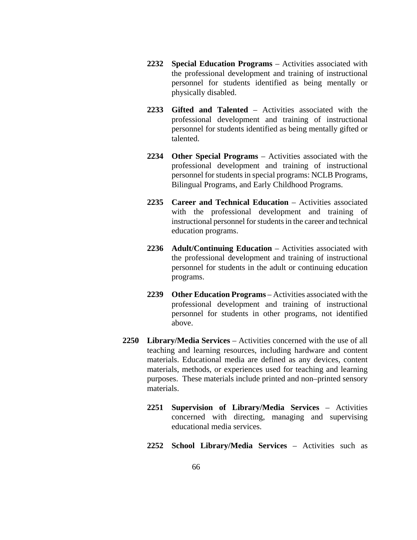- **2232 Special Education Programs** Activities associated with the professional development and training of instructional personnel for students identified as being mentally or physically disabled.
- **2233 Gifted and Talented** Activities associated with the professional development and training of instructional personnel for students identified as being mentally gifted or talented.
- **2234 Other Special Programs** Activities associated with the professional development and training of instructional personnel for students in special programs: NCLB Programs, Bilingual Programs, and Early Childhood Programs.
- **2235 Career and Technical Education** Activities associated with the professional development and training of instructional personnel for students in the career and technical education programs.
- **2236 Adult/Continuing Education** Activities associated with the professional development and training of instructional personnel for students in the adult or continuing education programs.
- **2239 Other Education Programs** Activities associated with the professional development and training of instructional personnel for students in other programs, not identified above.
- **2250 Library/Media Services** Activities concerned with the use of all teaching and learning resources, including hardware and content materials. Educational media are defined as any devices, content materials, methods, or experiences used for teaching and learning purposes. These materials include printed and non–printed sensory materials.
	- **2251 Supervision of Library/Media Services** Activities concerned with directing, managing and supervising educational media services.
	- **2252 School Library/Media Services** Activities such as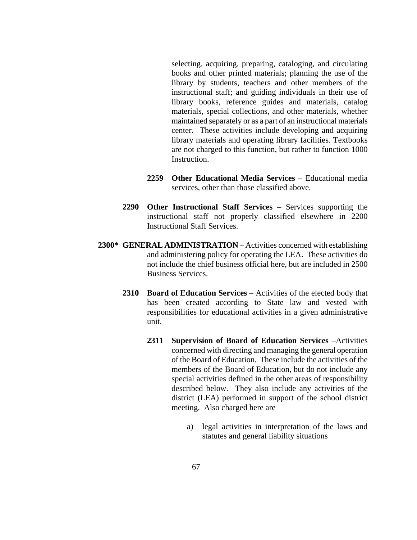selecting, acquiring, preparing, cataloging, and circulating books and other printed materials; planning the use of the library by students, teachers and other members of the instructional staff; and guiding individuals in their use of library books, reference guides and materials, catalog materials, special collections, and other materials, whether maintained separately or as a part of an instructional materials center. These activities include developing and acquiring library materials and operating library facilities. Textbooks are not charged to this function, but rather to function 1000 Instruction.

- **2259 Other Educational Media Services** Educational media services, other than those classified above.
- **2290 Other Instructional Staff Services** Services supporting the instructional staff not properly classified elsewhere in 2200 Instructional Staff Services.
- **2300\* GENERAL ADMINISTRATION** Activities concerned with establishing and administering policy for operating the LEA. These activities do not include the chief business official here, but are included in 2500 Business Services.
	- **2310 Board of Education Services** Activities of the elected body that has been created according to State law and vested with responsibilities for educational activities in a given administrative unit.
		- **2311 Supervision of Board of Education Services** –Activities concerned with directing and managing the general operation of the Board of Education. These include the activities of the members of the Board of Education, but do not include any special activities defined in the other areas of responsibility described below. They also include any activities of the district (LEA) performed in support of the school district meeting. Also charged here are
			- a) legal activities in interpretation of the laws and statutes and general liability situations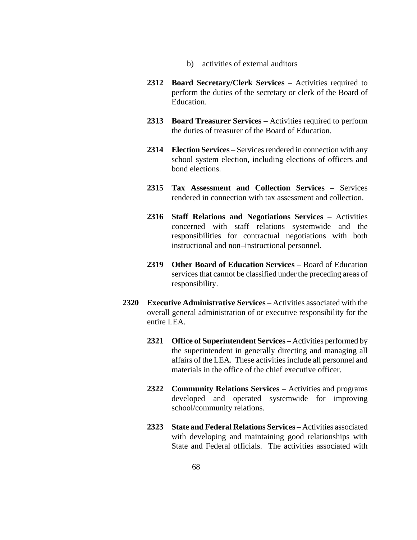- b) activities of external auditors
- **2312 Board Secretary/Clerk Services** Activities required to perform the duties of the secretary or clerk of the Board of Education.
- **2313 Board Treasurer Services** Activities required to perform the duties of treasurer of the Board of Education.
- **2314 Election Services** Services rendered in connection with any school system election, including elections of officers and bond elections.
- **2315 Tax Assessment and Collection Services** Services rendered in connection with tax assessment and collection.
- **2316 Staff Relations and Negotiations Services** Activities concerned with staff relations systemwide and the responsibilities for contractual negotiations with both instructional and non–instructional personnel.
- **2319 Other Board of Education Services** Board of Education services that cannot be classified under the preceding areas of responsibility.
- **2320 Executive Administrative Services** Activities associated with the overall general administration of or executive responsibility for the entire LEA.
	- **2321 Office of Superintendent Services** Activities performed by the superintendent in generally directing and managing all affairs of the LEA. These activities include all personnel and materials in the office of the chief executive officer.
	- **2322 Community Relations Services** Activities and programs developed and operated systemwide for improving school/community relations.
	- **2323 State and Federal Relations Services** Activities associated with developing and maintaining good relationships with State and Federal officials. The activities associated with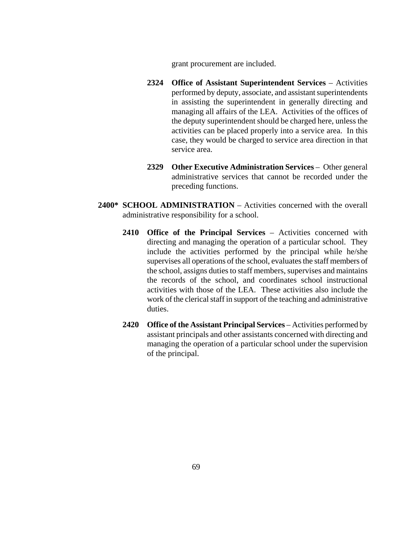grant procurement are included.

- **2324 Office of Assistant Superintendent Services** Activities performed by deputy, associate, and assistant superintendents in assisting the superintendent in generally directing and managing all affairs of the LEA. Activities of the offices of the deputy superintendent should be charged here, unless the activities can be placed properly into a service area. In this case, they would be charged to service area direction in that service area.
- **2329 Other Executive Administration Services** Other general administrative services that cannot be recorded under the preceding functions.
- **2400\* SCHOOL ADMINISTRATION** Activities concerned with the overall administrative responsibility for a school.
	- **2410 Office of the Principal Services** Activities concerned with directing and managing the operation of a particular school. They include the activities performed by the principal while he/she supervises all operations of the school, evaluates the staff members of the school, assigns duties to staff members, supervises and maintains the records of the school, and coordinates school instructional activities with those of the LEA. These activities also include the work of the clerical staff in support of the teaching and administrative duties.
	- **2420 Office of the Assistant Principal Services** Activities performed by assistant principals and other assistants concerned with directing and managing the operation of a particular school under the supervision of the principal.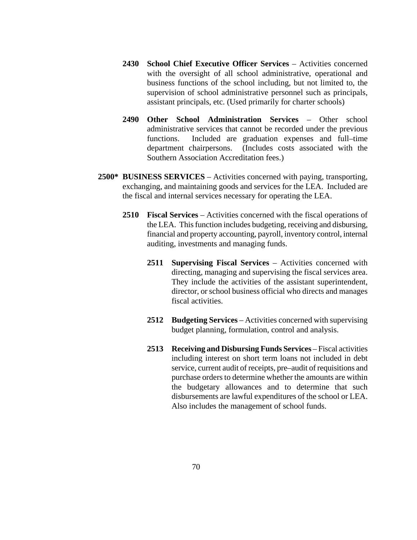- **2430 School Chief Executive Officer Services**  Activities concerned with the oversight of all school administrative, operational and business functions of the school including, but not limited to, the supervision of school administrative personnel such as principals, assistant principals, etc. (Used primarily for charter schools)
- **2490 Other School Administration Services** Other school administrative services that cannot be recorded under the previous functions. Included are graduation expenses and full–time department chairpersons. (Includes costs associated with the Southern Association Accreditation fees.)
- **2500\* BUSINESS SERVICES** Activities concerned with paying, transporting, exchanging, and maintaining goods and services for the LEA. Included are the fiscal and internal services necessary for operating the LEA.
	- **2510 Fiscal Services** Activities concerned with the fiscal operations of the LEA. This function includes budgeting, receiving and disbursing, financial and property accounting, payroll, inventory control, internal auditing, investments and managing funds.
		- **2511 Supervising Fiscal Services** Activities concerned with directing, managing and supervising the fiscal services area. They include the activities of the assistant superintendent, director, or school business official who directs and manages fiscal activities.
		- **2512 Budgeting Services** Activities concerned with supervising budget planning, formulation, control and analysis.
		- **2513 Receiving and Disbursing Funds Services** Fiscal activities including interest on short term loans not included in debt service, current audit of receipts, pre–audit of requisitions and purchase orders to determine whether the amounts are within the budgetary allowances and to determine that such disbursements are lawful expenditures of the school or LEA. Also includes the management of school funds.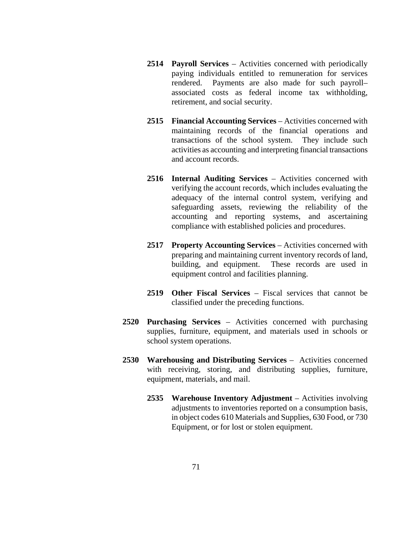- **2514 Payroll Services** Activities concerned with periodically paying individuals entitled to remuneration for services rendered. Payments are also made for such payroll– associated costs as federal income tax withholding, retirement, and social security.
- **2515 Financial Accounting Services** Activities concerned with maintaining records of the financial operations and transactions of the school system. They include such activities as accounting and interpreting financial transactions and account records.
- **2516 Internal Auditing Services** Activities concerned with verifying the account records, which includes evaluating the adequacy of the internal control system, verifying and safeguarding assets, reviewing the reliability of the accounting and reporting systems, and ascertaining compliance with established policies and procedures.
- **2517 Property Accounting Services** Activities concerned with preparing and maintaining current inventory records of land, building, and equipment. These records are used in equipment control and facilities planning.
- **2519 Other Fiscal Services** Fiscal services that cannot be classified under the preceding functions.
- **2520 Purchasing Services** Activities concerned with purchasing supplies, furniture, equipment, and materials used in schools or school system operations.
- **2530 Warehousing and Distributing Services** Activities concerned with receiving, storing, and distributing supplies, furniture, equipment, materials, and mail.
	- **2535 Warehouse Inventory Adjustment** Activities involving adjustments to inventories reported on a consumption basis, in object codes 610 Materials and Supplies, 630 Food, or 730 Equipment, or for lost or stolen equipment.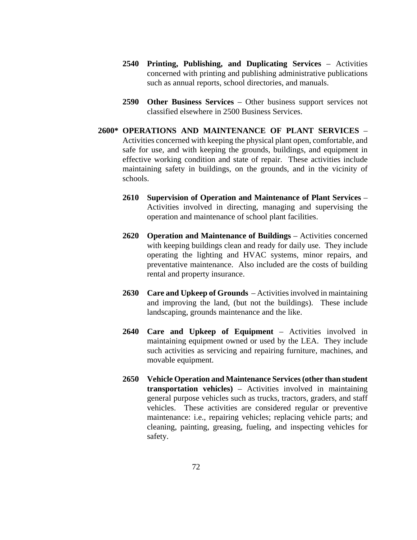- **2540 Printing, Publishing, and Duplicating Services** Activities concerned with printing and publishing administrative publications such as annual reports, school directories, and manuals.
- **2590 Other Business Services** Other business support services not classified elsewhere in 2500 Business Services.
- **2600\* OPERATIONS AND MAINTENANCE OF PLANT SERVICES** Activities concerned with keeping the physical plant open, comfortable, and safe for use, and with keeping the grounds, buildings, and equipment in effective working condition and state of repair. These activities include maintaining safety in buildings, on the grounds, and in the vicinity of schools.
	- **2610 Supervision of Operation and Maintenance of Plant Services** Activities involved in directing, managing and supervising the operation and maintenance of school plant facilities.
	- **2620 Operation and Maintenance of Buildings** Activities concerned with keeping buildings clean and ready for daily use. They include operating the lighting and HVAC systems, minor repairs, and preventative maintenance. Also included are the costs of building rental and property insurance.
	- **2630 Care and Upkeep of Grounds**  Activities involved in maintaining and improving the land, (but not the buildings). These include landscaping, grounds maintenance and the like.
	- **2640 Care and Upkeep of Equipment**  Activities involved in maintaining equipment owned or used by the LEA. They include such activities as servicing and repairing furniture, machines, and movable equipment.
	- **2650 Vehicle Operation and Maintenance Services(other than student transportation vehicles)** – Activities involved in maintaining general purpose vehicles such as trucks, tractors, graders, and staff vehicles. These activities are considered regular or preventive maintenance: i.e., repairing vehicles; replacing vehicle parts; and cleaning, painting, greasing, fueling, and inspecting vehicles for safety.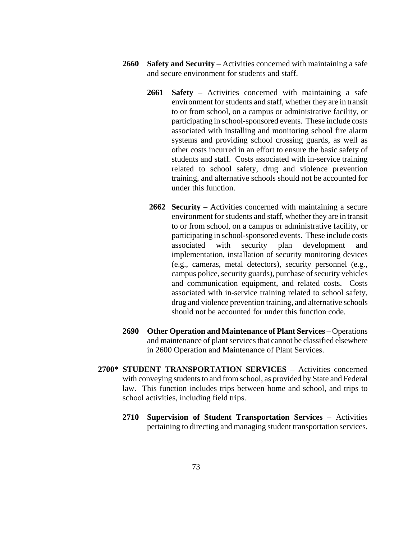- **2660 Safety and Security** Activities concerned with maintaining a safe and secure environment for students and staff.
	- **2661 Safety** Activities concerned with maintaining a safe environment for students and staff, whether they are in transit to or from school, on a campus or administrative facility, or participating in school-sponsored events. These include costs associated with installing and monitoring school fire alarm systems and providing school crossing guards, as well as other costs incurred in an effort to ensure the basic safety of students and staff. Costs associated with in-service training related to school safety, drug and violence prevention training, and alternative schools should not be accounted for under this function.
	- **2662 Security** Activities concerned with maintaining a secure environment for students and staff, whether they are in transit to or from school, on a campus or administrative facility, or participating in school-sponsored events. These include costs associated with security plan development and implementation, installation of security monitoring devices (e.g., cameras, metal detectors), security personnel (e.g., campus police, security guards), purchase of security vehicles and communication equipment, and related costs. Costs associated with in-service training related to school safety, drug and violence prevention training, and alternative schools should not be accounted for under this function code.
- **2690 Other Operation and Maintenance of Plant Services** Operations and maintenance of plant services that cannot be classified elsewhere in 2600 Operation and Maintenance of Plant Services.
- **2700\* STUDENT TRANSPORTATION SERVICES** Activities concerned with conveying students to and from school, as provided by State and Federal law. This function includes trips between home and school, and trips to school activities, including field trips.
	- **2710 Supervision of Student Transportation Services** Activities pertaining to directing and managing student transportation services.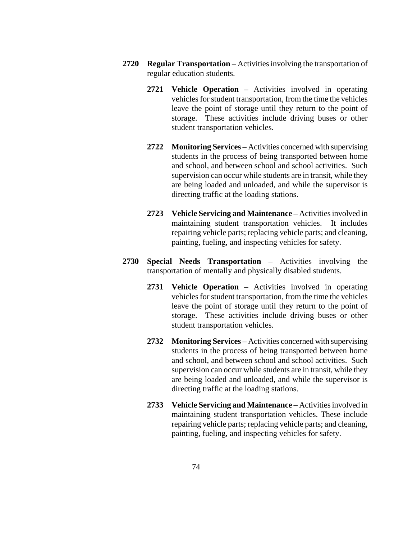- **2720 Regular Transportation** Activities involving the transportation of regular education students.
	- **2721 Vehicle Operation** Activities involved in operating vehicles for student transportation, from the time the vehicles leave the point of storage until they return to the point of storage. These activities include driving buses or other student transportation vehicles.
	- **2722 Monitoring Services** Activities concerned with supervising students in the process of being transported between home and school, and between school and school activities. Such supervision can occur while students are in transit, while they are being loaded and unloaded, and while the supervisor is directing traffic at the loading stations.
	- **2723 Vehicle Servicing and Maintenance**  Activities involved in maintaining student transportation vehicles. It includes repairing vehicle parts; replacing vehicle parts; and cleaning, painting, fueling, and inspecting vehicles for safety.
- **2730 Special Needs Transportation** Activities involving the transportation of mentally and physically disabled students.
	- **2731 Vehicle Operation** Activities involved in operating vehicles for student transportation, from the time the vehicles leave the point of storage until they return to the point of storage. These activities include driving buses or other student transportation vehicles.
	- **2732 Monitoring Services** Activities concerned with supervising students in the process of being transported between home and school, and between school and school activities. Such supervision can occur while students are in transit, while they are being loaded and unloaded, and while the supervisor is directing traffic at the loading stations.
	- **2733 Vehicle Servicing and Maintenance**  Activities involved in maintaining student transportation vehicles. These include repairing vehicle parts; replacing vehicle parts; and cleaning, painting, fueling, and inspecting vehicles for safety.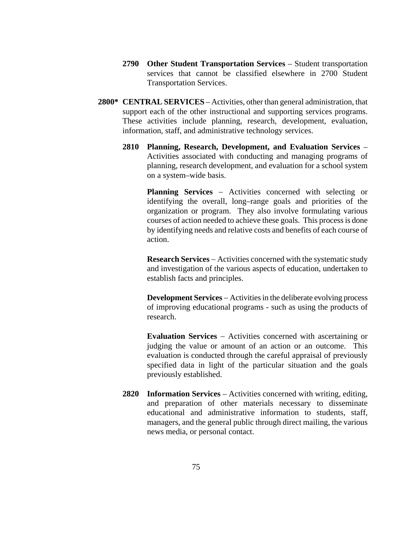- **2790 Other Student Transportation Services** Student transportation services that cannot be classified elsewhere in 2700 Student Transportation Services.
- **2800\* CENTRAL SERVICES** Activities, other than general administration, that support each of the other instructional and supporting services programs. These activities include planning, research, development, evaluation, information, staff, and administrative technology services.
	- **2810 Planning, Research, Development, and Evaluation Services**  Activities associated with conducting and managing programs of planning, research development, and evaluation for a school system on a system–wide basis.

**Planning Services** – Activities concerned with selecting or identifying the overall, long–range goals and priorities of the organization or program. They also involve formulating various courses of action needed to achieve these goals. This process is done by identifying needs and relative costs and benefits of each course of action.

**Research Services** − Activities concerned with the systematic study and investigation of the various aspects of education, undertaken to establish facts and principles.

**Development Services** − Activities in the deliberate evolving process of improving educational programs - such as using the products of research.

**Evaluation Services** − Activities concerned with ascertaining or judging the value or amount of an action or an outcome. This evaluation is conducted through the careful appraisal of previously specified data in light of the particular situation and the goals previously established.

**2820 Information Services** – Activities concerned with writing, editing, and preparation of other materials necessary to disseminate educational and administrative information to students, staff, managers, and the general public through direct mailing, the various news media, or personal contact.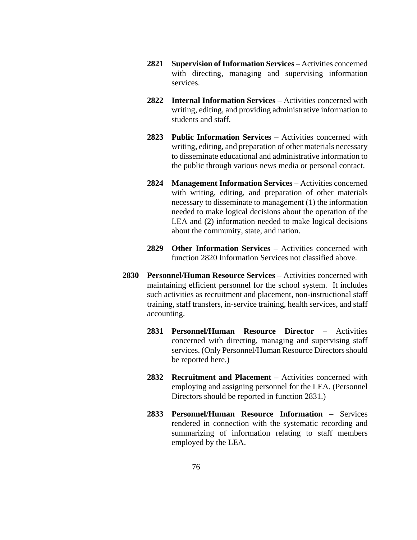- **2821 Supervision of Information Services** Activities concerned with directing, managing and supervising information services.
- **2822 Internal Information Services** Activities concerned with writing, editing, and providing administrative information to students and staff.
- **2823 Public Information Services** Activities concerned with writing, editing, and preparation of other materials necessary to disseminate educational and administrative information to the public through various news media or personal contact.
- **2824 Management Information Services** Activities concerned with writing, editing, and preparation of other materials necessary to disseminate to management (1) the information needed to make logical decisions about the operation of the LEA and (2) information needed to make logical decisions about the community, state, and nation.
- **2829 Other Information Services** Activities concerned with function 2820 Information Services not classified above.
- **2830 Personnel/Human Resource Services** Activities concerned with maintaining efficient personnel for the school system. It includes such activities as recruitment and placement, non-instructional staff training, staff transfers, in-service training, health services, and staff accounting.
	- **2831 Personnel/Human Resource Director** Activities concerned with directing, managing and supervising staff services. (Only Personnel/Human Resource Directors should be reported here.)
	- **2832 Recruitment and Placement** Activities concerned with employing and assigning personnel for the LEA. (Personnel Directors should be reported in function 2831.)
	- **2833 Personnel/Human Resource Information** Services rendered in connection with the systematic recording and summarizing of information relating to staff members employed by the LEA.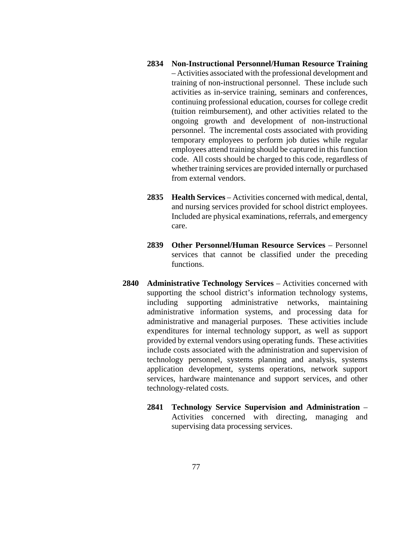- **2834 Non-Instructional Personnel/Human Resource Training** – Activities associated with the professional development and training of non-instructional personnel. These include such activities as in-service training, seminars and conferences, continuing professional education, courses for college credit (tuition reimbursement), and other activities related to the ongoing growth and development of non-instructional personnel. The incremental costs associated with providing temporary employees to perform job duties while regular employees attend training should be captured in this function code. All costs should be charged to this code, regardless of whether training services are provided internally or purchased from external vendors.
- **2835 Health Services** Activities concerned with medical, dental, and nursing services provided for school district employees. Included are physical examinations, referrals, and emergency care.
- **2839 Other Personnel/Human Resource Services** Personnel services that cannot be classified under the preceding functions.
- **2840 Administrative Technology Services** Activities concerned with supporting the school district's information technology systems, including supporting administrative networks, maintaining administrative information systems, and processing data for administrative and managerial purposes. These activities include expenditures for internal technology support, as well as support provided by external vendors using operating funds. These activities include costs associated with the administration and supervision of technology personnel, systems planning and analysis, systems application development, systems operations, network support services, hardware maintenance and support services, and other technology-related costs.
	- **2841 Technology Service Supervision and Administration** Activities concerned with directing, managing and supervising data processing services.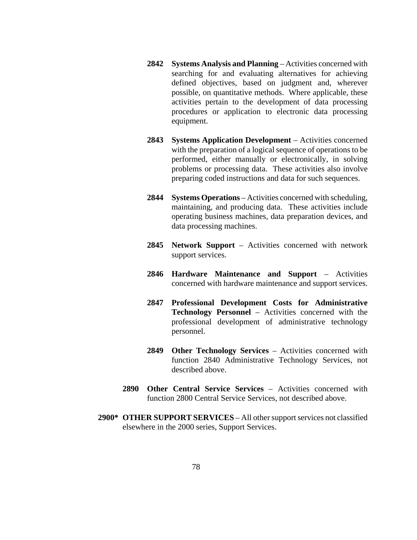- **2842 Systems Analysis and Planning** Activities concerned with searching for and evaluating alternatives for achieving defined objectives, based on judgment and, wherever possible, on quantitative methods. Where applicable, these activities pertain to the development of data processing procedures or application to electronic data processing equipment.
- **2843 Systems Application Development** Activities concerned with the preparation of a logical sequence of operations to be performed, either manually or electronically, in solving problems or processing data. These activities also involve preparing coded instructions and data for such sequences.
- **2844 Systems Operations**  Activities concerned with scheduling, maintaining, and producing data. These activities include operating business machines, data preparation devices, and data processing machines.
- **2845 Network Support** Activities concerned with network support services.
- **2846 Hardware Maintenance and Support** Activities concerned with hardware maintenance and support services.
- **2847 Professional Development Costs for Administrative Technology Personnel** – Activities concerned with the professional development of administrative technology personnel.
- **2849 Other Technology Services** Activities concerned with function 2840 Administrative Technology Services, not described above.
- **2890 Other Central Service Services** Activities concerned with function 2800 Central Service Services, not described above.
- **2900\* OTHER SUPPORT SERVICES**  All other support services not classified elsewhere in the 2000 series, Support Services.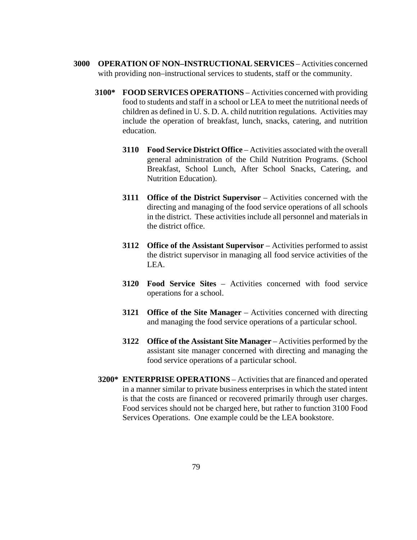- **3000 OPERATION OF NON–INSTRUCTIONAL SERVICES** Activities concerned with providing non–instructional services to students, staff or the community.
	- **3100\* FOOD SERVICES OPERATIONS** Activities concerned with providing food to students and staff in a school or LEA to meet the nutritional needs of children as defined in U. S. D. A. child nutrition regulations. Activities may include the operation of breakfast, lunch, snacks, catering, and nutrition education.
		- **3110 Food Service District Office**  Activities associated with the overall general administration of the Child Nutrition Programs. (School Breakfast, School Lunch, After School Snacks, Catering, and Nutrition Education).
		- **3111 Office of the District Supervisor** Activities concerned with the directing and managing of the food service operations of all schools in the district. These activities include all personnel and materials in the district office.
		- **3112** Office of the Assistant Supervisor Activities performed to assist the district supervisor in managing all food service activities of the LEA.
		- **3120 Food Service Sites**  Activities concerned with food service operations for a school.
		- **3121 Office of the Site Manager**  Activities concerned with directing and managing the food service operations of a particular school.
		- **3122 Office of the Assistant Site Manager**  Activities performed by the assistant site manager concerned with directing and managing the food service operations of a particular school.
	- **3200\* ENTERPRISE OPERATIONS** Activities that are financed and operated in a manner similar to private business enterprises in which the stated intent is that the costs are financed or recovered primarily through user charges. Food services should not be charged here, but rather to function 3100 Food Services Operations. One example could be the LEA bookstore.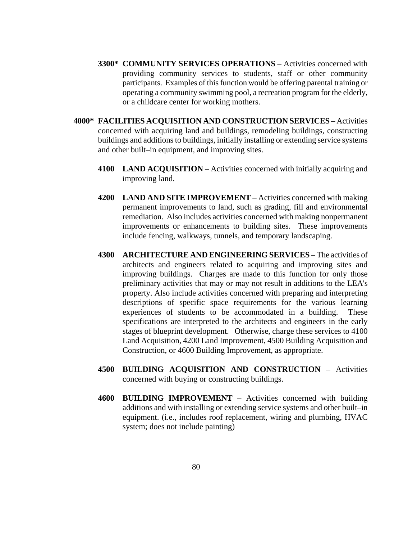- **3300\* COMMUNITY SERVICES OPERATIONS** Activities concerned with providing community services to students, staff or other community participants. Examples of this function would be offering parental training or operating a community swimming pool, a recreation program for the elderly, or a childcare center for working mothers.
- **4000\* FACILITIES ACQUISITION AND CONSTRUCTION SERVICES** Activities concerned with acquiring land and buildings, remodeling buildings, constructing buildings and additions to buildings, initially installing or extending service systems and other built–in equipment, and improving sites.
	- **4100 LAND ACQUISITION** Activities concerned with initially acquiring and improving land.
	- **4200 LAND AND SITE IMPROVEMENT**  Activities concerned with making permanent improvements to land, such as grading, fill and environmental remediation. Also includes activities concerned with making nonpermanent improvements or enhancements to building sites. These improvements include fencing, walkways, tunnels, and temporary landscaping.
	- **4300 ARCHITECTURE AND ENGINEERING SERVICES** The activities of architects and engineers related to acquiring and improving sites and improving buildings. Charges are made to this function for only those preliminary activities that may or may not result in additions to the LEA's property. Also include activities concerned with preparing and interpreting descriptions of specific space requirements for the various learning experiences of students to be accommodated in a building. These specifications are interpreted to the architects and engineers in the early stages of blueprint development. Otherwise, charge these services to 4100 Land Acquisition, 4200 Land Improvement, 4500 Building Acquisition and Construction, or 4600 Building Improvement, as appropriate.
	- **4500 BUILDING ACQUISITION AND CONSTRUCTION**  Activities concerned with buying or constructing buildings.
	- **4600 BUILDING IMPROVEMENT** Activities concerned with building additions and with installing or extending service systems and other built–in equipment. (i.e., includes roof replacement, wiring and plumbing, HVAC system; does not include painting)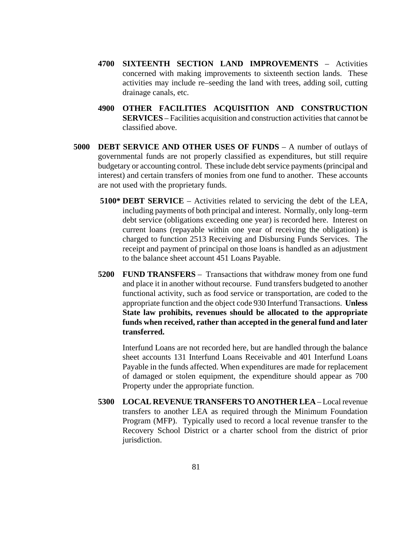- **4700 SIXTEENTH SECTION LAND IMPROVEMENTS** Activities concerned with making improvements to sixteenth section lands. These activities may include re–seeding the land with trees, adding soil, cutting drainage canals, etc.
- **4900 OTHER FACILITIES ACQUISITION AND CONSTRUCTION SERVICES** – Facilities acquisition and construction activities that cannot be classified above.
- **5000 DEBT SERVICE AND OTHER USES OF FUNDS** A number of outlays of governmental funds are not properly classified as expenditures, but still require budgetary or accounting control. These include debt service payments (principal and interest) and certain transfers of monies from one fund to another. These accounts are not used with the proprietary funds.
	- **5100\* DEBT SERVICE** Activities related to servicing the debt of the LEA, including payments of both principal and interest. Normally, only long–term debt service (obligations exceeding one year) is recorded here. Interest on current loans (repayable within one year of receiving the obligation) is charged to function 2513 Receiving and Disbursing Funds Services. The receipt and payment of principal on those loans is handled as an adjustment to the balance sheet account 451 Loans Payable.
	- **5200 FUND TRANSFERS** Transactions that withdraw money from one fund and place it in another without recourse. Fund transfers budgeted to another functional activity, such as food service or transportation, are coded to the appropriate function and the object code 930 Interfund Transactions. **Unless State law prohibits, revenues should be allocated to the appropriate funds when received, rather than accepted in the general fund and later transferred.**

Interfund Loans are not recorded here, but are handled through the balance sheet accounts 131 Interfund Loans Receivable and 401 Interfund Loans Payable in the funds affected. When expenditures are made for replacement of damaged or stolen equipment, the expenditure should appear as 700 Property under the appropriate function.

**5300 LOCAL REVENUE TRANSFERS TO ANOTHER LEA** – Local revenue transfers to another LEA as required through the Minimum Foundation Program (MFP). Typically used to record a local revenue transfer to the Recovery School District or a charter school from the district of prior jurisdiction.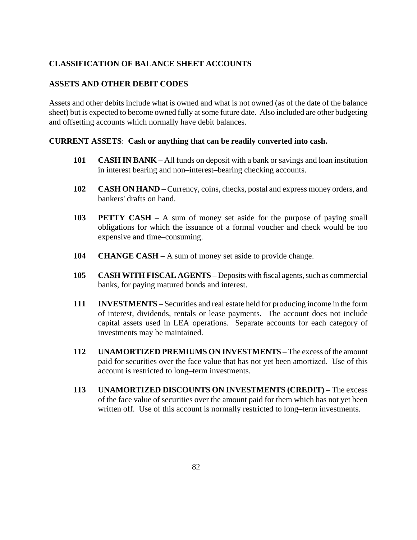# **CLASSIFICATION OF BALANCE SHEET ACCOUNTS**

#### **ASSETS AND OTHER DEBIT CODES**

Assets and other debits include what is owned and what is not owned (as of the date of the balance sheet) but is expected to become owned fully at some future date. Also included are other budgeting and offsetting accounts which normally have debit balances.

#### **CURRENT ASSETS**: **Cash or anything that can be readily converted into cash.**

- **101 CASH IN BANK** All funds on deposit with a bank or savings and loan institution in interest bearing and non–interest–bearing checking accounts.
- **102 CASH ON HAND** Currency, coins, checks, postal and express money orders, and bankers' drafts on hand.
- **103 PETTY CASH** A sum of money set aside for the purpose of paying small obligations for which the issuance of a formal voucher and check would be too expensive and time–consuming.
- **104 CHANGE CASH** A sum of money set aside to provide change.
- **105 CASH WITH FISCAL AGENTS** Deposits with fiscal agents, such as commercial banks, for paying matured bonds and interest.
- **111 INVESTMENTS** Securities and real estate held for producing income in the form of interest, dividends, rentals or lease payments. The account does not include capital assets used in LEA operations. Separate accounts for each category of investments may be maintained.
- **112 UNAMORTIZED PREMIUMS ON INVESTMENTS** The excess of the amount paid for securities over the face value that has not yet been amortized. Use of this account is restricted to long–term investments.
- **113 UNAMORTIZED DISCOUNTS ON INVESTMENTS (CREDIT)** The excess of the face value of securities over the amount paid for them which has not yet been written off. Use of this account is normally restricted to long–term investments.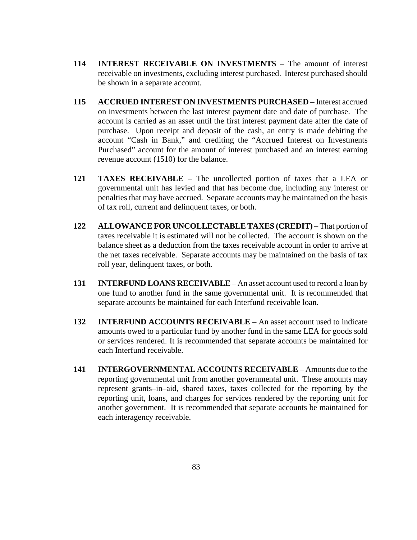- **114 INTEREST RECEIVABLE ON INVESTMENTS** The amount of interest receivable on investments, excluding interest purchased. Interest purchased should be shown in a separate account.
- **115 ACCRUED INTEREST ON INVESTMENTS PURCHASED** Interest accrued on investments between the last interest payment date and date of purchase. The account is carried as an asset until the first interest payment date after the date of purchase. Upon receipt and deposit of the cash, an entry is made debiting the account "Cash in Bank," and crediting the "Accrued Interest on Investments Purchased" account for the amount of interest purchased and an interest earning revenue account (1510) for the balance.
- **121 TAXES RECEIVABLE** The uncollected portion of taxes that a LEA or governmental unit has levied and that has become due, including any interest or penalties that may have accrued. Separate accounts may be maintained on the basis of tax roll, current and delinquent taxes, or both.
- **122 ALLOWANCE FOR UNCOLLECTABLE TAXES (CREDIT)** That portion of taxes receivable it is estimated will not be collected. The account is shown on the balance sheet as a deduction from the taxes receivable account in order to arrive at the net taxes receivable. Separate accounts may be maintained on the basis of tax roll year, delinquent taxes, or both.
- **131 INTERFUND LOANS RECEIVABLE** An asset account used to record a loan by one fund to another fund in the same governmental unit. It is recommended that separate accounts be maintained for each Interfund receivable loan.
- **132 INTERFUND ACCOUNTS RECEIVABLE** An asset account used to indicate amounts owed to a particular fund by another fund in the same LEA for goods sold or services rendered. It is recommended that separate accounts be maintained for each Interfund receivable.
- **141 INTERGOVERNMENTAL ACCOUNTS RECEIVABLE** Amounts due to the reporting governmental unit from another governmental unit. These amounts may represent grants–in–aid, shared taxes, taxes collected for the reporting by the reporting unit, loans, and charges for services rendered by the reporting unit for another government. It is recommended that separate accounts be maintained for each interagency receivable.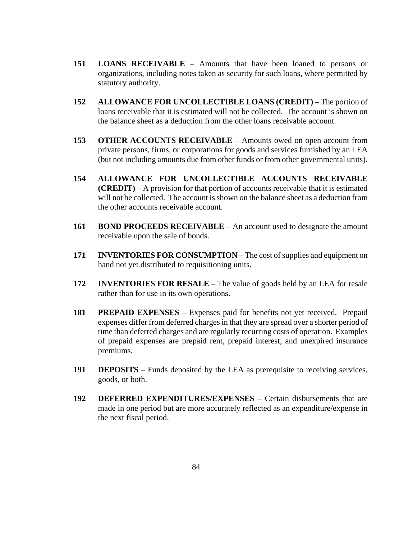- **151 LOANS RECEIVABLE** Amounts that have been loaned to persons or organizations, including notes taken as security for such loans, where permitted by statutory authority.
- **152 ALLOWANCE FOR UNCOLLECTIBLE LOANS (CREDIT)** The portion of loans receivable that it is estimated will not be collected. The account is shown on the balance sheet as a deduction from the other loans receivable account.
- **153 OTHER ACCOUNTS RECEIVABLE** Amounts owed on open account from private persons, firms, or corporations for goods and services furnished by an LEA (but not including amounts due from other funds or from other governmental units).
- **154 ALLOWANCE FOR UNCOLLECTIBLE ACCOUNTS RECEIVABLE (CREDIT)** – A provision for that portion of accounts receivable that it is estimated will not be collected. The account is shown on the balance sheet as a deduction from the other accounts receivable account.
- **161 BOND PROCEEDS RECEIVABLE** An account used to designate the amount receivable upon the sale of bonds.
- **171 INVENTORIES FOR CONSUMPTION** The cost of supplies and equipment on hand not yet distributed to requisitioning units.
- **172 INVENTORIES FOR RESALE** The value of goods held by an LEA for resale rather than for use in its own operations.
- **181 PREPAID EXPENSES** Expenses paid for benefits not yet received. Prepaid expenses differ from deferred charges in that they are spread over a shorter period of time than deferred charges and are regularly recurring costs of operation. Examples of prepaid expenses are prepaid rent, prepaid interest, and unexpired insurance premiums.
- **191 DEPOSITS** Funds deposited by the LEA as prerequisite to receiving services, goods, or both.
- **192 DEFERRED EXPENDITURES/EXPENSES** Certain disbursements that are made in one period but are more accurately reflected as an expenditure/expense in the next fiscal period.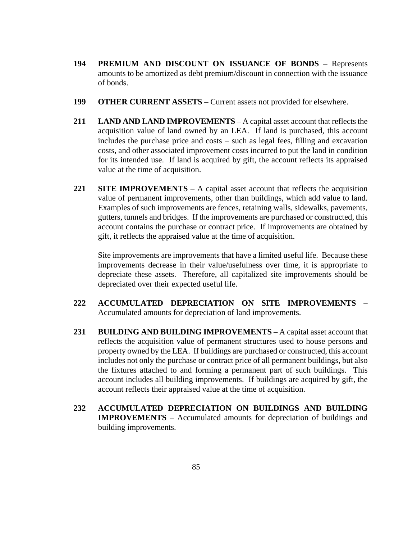- **194 PREMIUM AND DISCOUNT ON ISSUANCE OF BONDS** Represents amounts to be amortized as debt premium/discount in connection with the issuance of bonds.
- **199 OTHER CURRENT ASSETS** Current assets not provided for elsewhere.
- **211 LAND AND LAND IMPROVEMENTS** A capital asset account that reflects the acquisition value of land owned by an LEA. If land is purchased, this account includes the purchase price and costs − such as legal fees, filling and excavation costs, and other associated improvement costs incurred to put the land in condition for its intended use. If land is acquired by gift, the account reflects its appraised value at the time of acquisition.
- **221 SITE IMPROVEMENTS** A capital asset account that reflects the acquisition value of permanent improvements, other than buildings, which add value to land. Examples of such improvements are fences, retaining walls, sidewalks, pavements, gutters, tunnels and bridges. If the improvements are purchased or constructed, this account contains the purchase or contract price. If improvements are obtained by gift, it reflects the appraised value at the time of acquisition.

Site improvements are improvements that have a limited useful life. Because these improvements decrease in their value/usefulness over time, it is appropriate to depreciate these assets. Therefore, all capitalized site improvements should be depreciated over their expected useful life.

- **222 ACCUMULATED DEPRECIATION ON SITE IMPROVEMENTS** Accumulated amounts for depreciation of land improvements.
- **231 BUILDING AND BUILDING IMPROVEMENTS** A capital asset account that reflects the acquisition value of permanent structures used to house persons and property owned by the LEA. If buildings are purchased or constructed, this account includes not only the purchase or contract price of all permanent buildings, but also the fixtures attached to and forming a permanent part of such buildings. This account includes all building improvements. If buildings are acquired by gift, the account reflects their appraised value at the time of acquisition.
- **232 ACCUMULATED DEPRECIATION ON BUILDINGS AND BUILDING IMPROVEMENTS** – Accumulated amounts for depreciation of buildings and building improvements.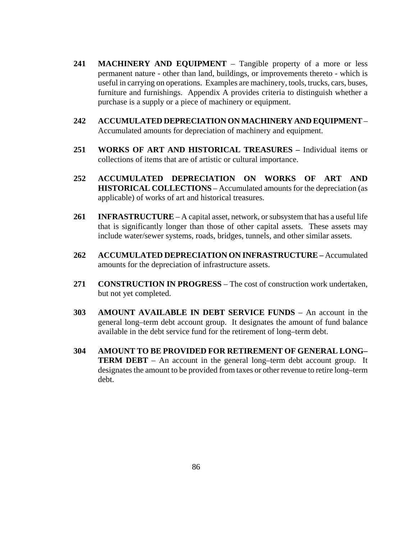- **241 MACHINERY AND EQUIPMENT** Tangible property of a more or less permanent nature - other than land, buildings, or improvements thereto - which is useful in carrying on operations. Examples are machinery, tools, trucks, cars, buses, furniture and furnishings. Appendix A provides criteria to distinguish whether a purchase is a supply or a piece of machinery or equipment.
- **242 ACCUMULATED DEPRECIATION ON MACHINERY AND EQUIPMENT** Accumulated amounts for depreciation of machinery and equipment.
- **251 WORKS OF ART AND HISTORICAL TREASURES –** Individual items or collections of items that are of artistic or cultural importance.
- **252 ACCUMULATED DEPRECIATION ON WORKS OF ART AND HISTORICAL COLLECTIONS** – Accumulated amounts for the depreciation (as applicable) of works of art and historical treasures.
- **261 INFRASTRUCTURE** A capital asset, network, or subsystem that has a useful life that is significantly longer than those of other capital assets. These assets may include water/sewer systems, roads, bridges, tunnels, and other similar assets.
- **262 ACCUMULATED DEPRECIATION ON INFRASTRUCTURE –** Accumulated amounts for the depreciation of infrastructure assets.
- **271 CONSTRUCTION IN PROGRESS** The cost of construction work undertaken, but not yet completed.
- **303 AMOUNT AVAILABLE IN DEBT SERVICE FUNDS** An account in the general long–term debt account group. It designates the amount of fund balance available in the debt service fund for the retirement of long–term debt.
- **304 AMOUNT TO BE PROVIDED FOR RETIREMENT OF GENERAL LONG– TERM DEBT** – An account in the general long–term debt account group. It designates the amount to be provided from taxes or other revenue to retire long–term debt.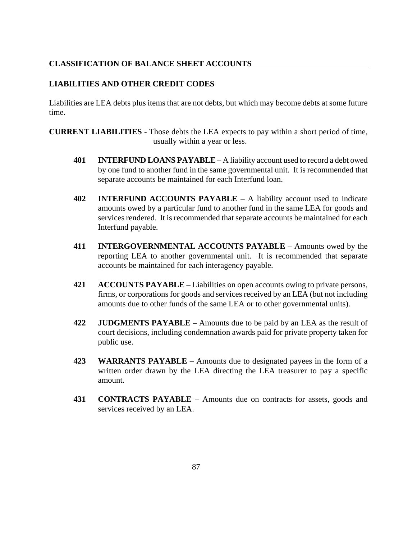# **CLASSIFICATION OF BALANCE SHEET ACCOUNTS**

### **LIABILITIES AND OTHER CREDIT CODES**

Liabilities are LEA debts plus items that are not debts, but which may become debts at some future time.

**CURRENT LIABILITIES** - Those debts the LEA expects to pay within a short period of time, usually within a year or less.

- **401 INTERFUND LOANS PAYABLE** A liability account used to record a debt owed by one fund to another fund in the same governmental unit. It is recommended that separate accounts be maintained for each Interfund loan.
- **402 INTERFUND ACCOUNTS PAYABLE** A liability account used to indicate amounts owed by a particular fund to another fund in the same LEA for goods and services rendered. It is recommended that separate accounts be maintained for each Interfund payable.
- **411 INTERGOVERNMENTAL ACCOUNTS PAYABLE** Amounts owed by the reporting LEA to another governmental unit. It is recommended that separate accounts be maintained for each interagency payable.
- **421 ACCOUNTS PAYABLE** Liabilities on open accounts owing to private persons, firms, or corporations for goods and services received by an LEA (but not including amounts due to other funds of the same LEA or to other governmental units).
- **422 JUDGMENTS PAYABLE** Amounts due to be paid by an LEA as the result of court decisions, including condemnation awards paid for private property taken for public use.
- **423 WARRANTS PAYABLE** Amounts due to designated payees in the form of a written order drawn by the LEA directing the LEA treasurer to pay a specific amount.
- **431 CONTRACTS PAYABLE** Amounts due on contracts for assets, goods and services received by an LEA.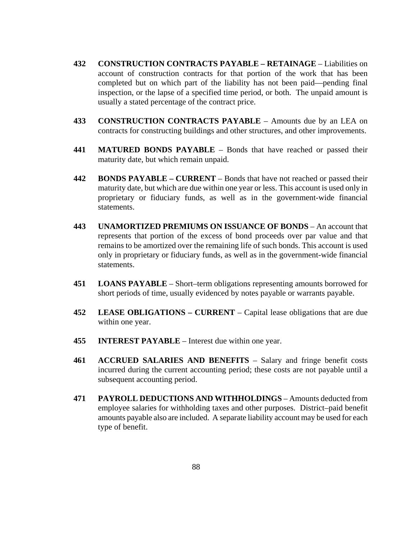- **432 CONSTRUCTION CONTRACTS PAYABLE – RETAINAGE**  Liabilities on account of construction contracts for that portion of the work that has been completed but on which part of the liability has not been paid––pending final inspection, or the lapse of a specified time period, or both. The unpaid amount is usually a stated percentage of the contract price.
- **433 CONSTRUCTION CONTRACTS PAYABLE** Amounts due by an LEA on contracts for constructing buildings and other structures, and other improvements.
- **441 MATURED BONDS PAYABLE** Bonds that have reached or passed their maturity date, but which remain unpaid.
- **442 BONDS PAYABLE – CURRENT** Bonds that have not reached or passed their maturity date, but which are due within one year or less. This account is used only in proprietary or fiduciary funds, as well as in the government-wide financial statements.
- **443 UNAMORTIZED PREMIUMS ON ISSUANCE OF BONDS** An account that represents that portion of the excess of bond proceeds over par value and that remains to be amortized over the remaining life of such bonds. This account is used only in proprietary or fiduciary funds, as well as in the government-wide financial statements.
- **451 LOANS PAYABLE** Short–term obligations representing amounts borrowed for short periods of time, usually evidenced by notes payable or warrants payable.
- **452 LEASE OBLIGATIONS – CURRENT** Capital lease obligations that are due within one year.
- **455 INTEREST PAYABLE** Interest due within one year.
- **461 ACCRUED SALARIES AND BENEFITS** Salary and fringe benefit costs incurred during the current accounting period; these costs are not payable until a subsequent accounting period.
- **471 PAYROLL DEDUCTIONS AND WITHHOLDINGS** Amounts deducted from employee salaries for withholding taxes and other purposes. District–paid benefit amounts payable also are included. A separate liability account may be used for each type of benefit.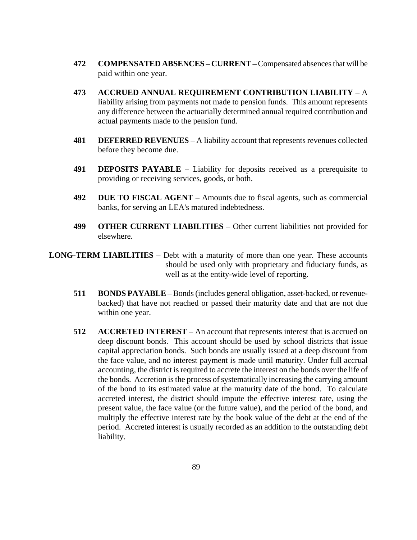- **472 COMPENSATED ABSENCES – CURRENT –** Compensated absences that will be paid within one year.
- **473 ACCRUED ANNUAL REQUIREMENT CONTRIBUTION LIABILITY** A liability arising from payments not made to pension funds. This amount represents any difference between the actuarially determined annual required contribution and actual payments made to the pension fund.
- **481 DEFERRED REVENUES** A liability account that represents revenues collected before they become due.
- **491 DEPOSITS PAYABLE** Liability for deposits received as a prerequisite to providing or receiving services, goods, or both.
- **492 DUE TO FISCAL AGENT** Amounts due to fiscal agents, such as commercial banks, for serving an LEA's matured indebtedness.
- **499 OTHER CURRENT LIABILITIES** Other current liabilities not provided for elsewhere.

**LONG-TERM LIABILITIES** – Debt with a maturity of more than one year. These accounts should be used only with proprietary and fiduciary funds, as well as at the entity-wide level of reporting.

- **511 BONDS PAYABLE** Bonds (includes general obligation, asset-backed, or revenuebacked) that have not reached or passed their maturity date and that are not due within one year.
- **512 ACCRETED INTEREST** An account that represents interest that is accrued on deep discount bonds. This account should be used by school districts that issue capital appreciation bonds. Such bonds are usually issued at a deep discount from the face value, and no interest payment is made until maturity. Under full accrual accounting, the district is required to accrete the interest on the bonds over the life of the bonds. Accretion is the process of systematically increasing the carrying amount of the bond to its estimated value at the maturity date of the bond. To calculate accreted interest, the district should impute the effective interest rate, using the present value, the face value (or the future value), and the period of the bond, and multiply the effective interest rate by the book value of the debt at the end of the period. Accreted interest is usually recorded as an addition to the outstanding debt liability.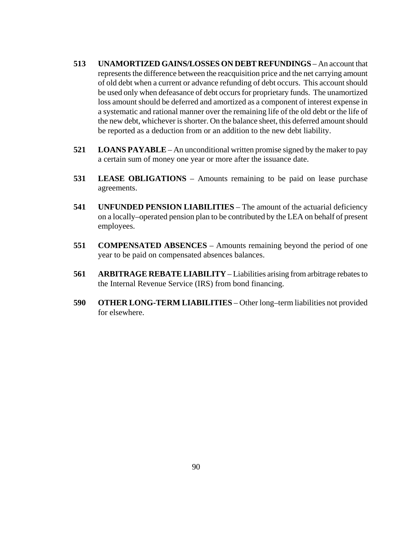- **513 UNAMORTIZED GAINS/LOSSES ON DEBT REFUNDINGS** An account that represents the difference between the reacquisition price and the net carrying amount of old debt when a current or advance refunding of debt occurs. This account should be used only when defeasance of debt occurs for proprietary funds. The unamortized loss amount should be deferred and amortized as a component of interest expense in a systematic and rational manner over the remaining life of the old debt or the life of the new debt, whichever is shorter. On the balance sheet, this deferred amount should be reported as a deduction from or an addition to the new debt liability.
- **521 LOANS PAYABLE** An unconditional written promise signed by the maker to pay a certain sum of money one year or more after the issuance date.
- **531 LEASE OBLIGATIONS** Amounts remaining to be paid on lease purchase agreements.
- **541 UNFUNDED PENSION LIABILITIES** The amount of the actuarial deficiency on a locally–operated pension plan to be contributed by the LEA on behalf of present employees.
- **551 COMPENSATED ABSENCES** Amounts remaining beyond the period of one year to be paid on compensated absences balances.
- **561 ARBITRAGE REBATE LIABILITY** Liabilities arising from arbitrage rebates to the Internal Revenue Service (IRS) from bond financing.
- **590 OTHER LONG-TERM LIABILITIES** Other long–term liabilities not provided for elsewhere.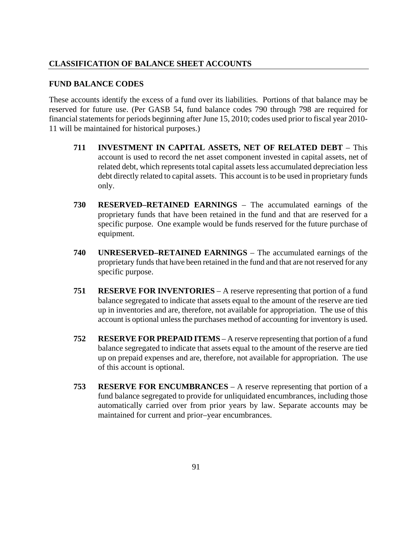### **CLASSIFICATION OF BALANCE SHEET ACCOUNTS**

#### **FUND BALANCE CODES**

These accounts identify the excess of a fund over its liabilities. Portions of that balance may be reserved for future use. (Per GASB 54, fund balance codes 790 through 798 are required for financial statements for periods beginning after June 15, 2010; codes used prior to fiscal year 2010- 11 will be maintained for historical purposes.)

- **711 INVESTMENT IN CAPITAL ASSETS, NET OF RELATED DEBT** This account is used to record the net asset component invested in capital assets, net of related debt, which represents total capital assets less accumulated depreciation less debt directly related to capital assets. This account is to be used in proprietary funds only.
- **730 RESERVED–RETAINED EARNINGS** The accumulated earnings of the proprietary funds that have been retained in the fund and that are reserved for a specific purpose. One example would be funds reserved for the future purchase of equipment.
- **740 UNRESERVED–RETAINED EARNINGS** The accumulated earnings of the proprietary funds that have been retained in the fund and that are not reserved for any specific purpose.
- **751 RESERVE FOR INVENTORIES** A reserve representing that portion of a fund balance segregated to indicate that assets equal to the amount of the reserve are tied up in inventories and are, therefore, not available for appropriation. The use of this account is optional unless the purchases method of accounting for inventory is used.
- **752 RESERVE FOR PREPAID ITEMS** A reserve representing that portion of a fund balance segregated to indicate that assets equal to the amount of the reserve are tied up on prepaid expenses and are, therefore, not available for appropriation. The use of this account is optional.
- **753 RESERVE FOR ENCUMBRANCES** A reserve representing that portion of a fund balance segregated to provide for unliquidated encumbrances, including those automatically carried over from prior years by law. Separate accounts may be maintained for current and prior–year encumbrances.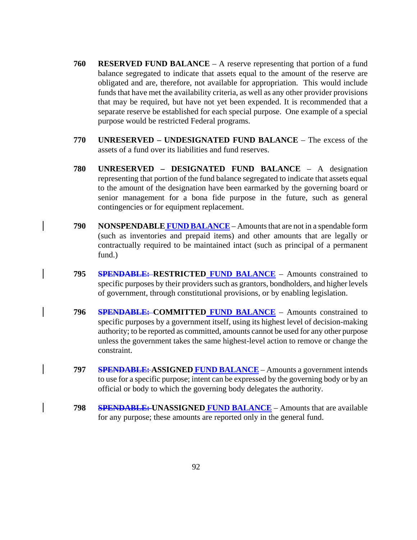- **760 RESERVED FUND BALANCE** A reserve representing that portion of a fund balance segregated to indicate that assets equal to the amount of the reserve are obligated and are, therefore, not available for appropriation. This would include funds that have met the availability criteria, as well as any other provider provisions that may be required, but have not yet been expended. It is recommended that a separate reserve be established for each special purpose. One example of a special purpose would be restricted Federal programs.
- **770 UNRESERVED – UNDESIGNATED FUND BALANCE** The excess of the assets of a fund over its liabilities and fund reserves.
- **780 UNRESERVED – DESIGNATED FUND BALANCE** A designation representing that portion of the fund balance segregated to indicate that assets equal to the amount of the designation have been earmarked by the governing board or senior management for a bona fide purpose in the future, such as general contingencies or for equipment replacement.
- **790 NONSPENDABLE FUND BALANCE** Amounts that are not in a spendable form (such as inventories and prepaid items) and other amounts that are legally or contractually required to be maintained intact (such as principal of a permanent fund.)
- **795 SPENDABLE: RESTRICTED FUND BALANCE** Amounts constrained to specific purposes by their providers such as grantors, bondholders, and higher levels of government, through constitutional provisions, or by enabling legislation.
- **796 SPENDABLE: COMMITTED FUND BALANCE** Amounts constrained to specific purposes by a government itself, using its highest level of decision-making authority; to be reported as committed, amounts cannot be used for any other purpose unless the government takes the same highest-level action to remove or change the constraint.
- **797 SPENDABLE: ASSIGNED FUND BALANCE** Amounts a government intends to use for a specific purpose; intent can be expressed by the governing body or by an official or body to which the governing body delegates the authority.
- **798 SPENDABLE: UNASSIGNED FUND BALANCE** Amounts that are available for any purpose; these amounts are reported only in the general fund.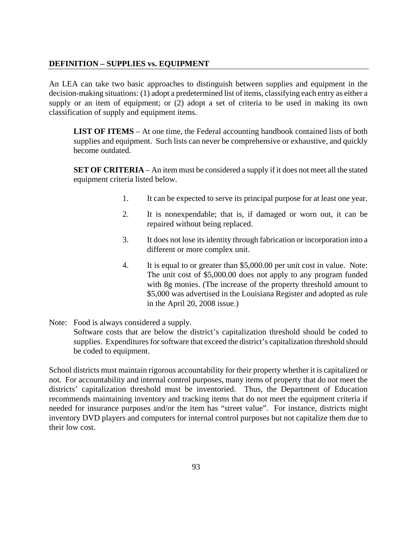# **DEFINITION – SUPPLIES vs. EQUIPMENT**

An LEA can take two basic approaches to distinguish between supplies and equipment in the decision-making situations: (1) adopt a predetermined list of items, classifying each entry as either a supply or an item of equipment; or (2) adopt a set of criteria to be used in making its own classification of supply and equipment items.

**LIST OF ITEMS** – At one time, the Federal accounting handbook contained lists of both supplies and equipment. Such lists can never be comprehensive or exhaustive, and quickly become outdated.

**SET OF CRITERIA** – An item must be considered a supply if it does not meet all the stated equipment criteria listed below.

- 1. It can be expected to serve its principal purpose for at least one year.
- 2. It is nonexpendable; that is, if damaged or worn out, it can be repaired without being replaced.
- 3. It does not lose its identity through fabrication or incorporation into a different or more complex unit.
- 4. It is equal to or greater than \$5,000.00 per unit cost in value. Note: The unit cost of \$5,000.00 does not apply to any program funded with 8g monies. (The increase of the property threshold amount to \$5,000 was advertised in the Louisiana Register and adopted as rule in the April 20, 2008 issue.)
- Note: Food is always considered a supply. Software costs that are below the district's capitalization threshold should be coded to supplies. Expenditures for software that exceed the district's capitalization threshold should be coded to equipment.

School districts must maintain rigorous accountability for their property whether it is capitalized or not. For accountability and internal control purposes, many items of property that do not meet the districts' capitalization threshold must be inventoried. Thus, the Department of Education recommends maintaining inventory and tracking items that do not meet the equipment criteria if needed for insurance purposes and/or the item has "street value". For instance, districts might inventory DVD players and computers for internal control purposes but not capitalize them due to their low cost.